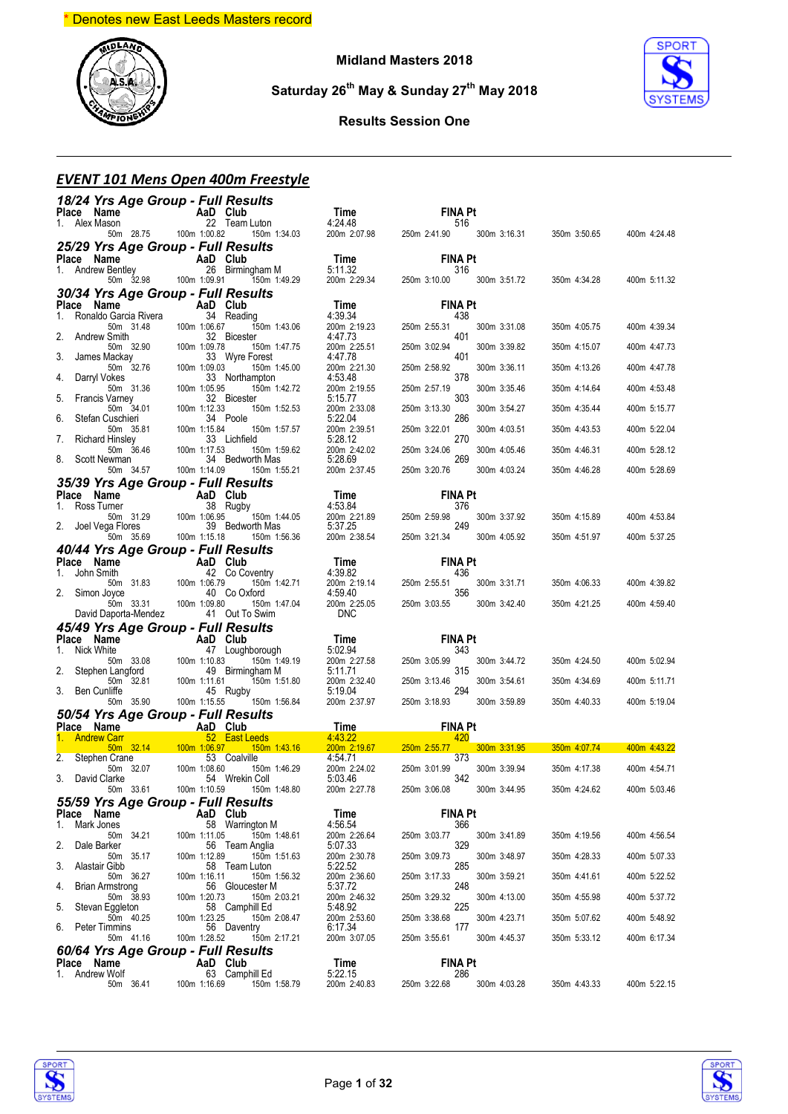

**Midland Masters 2018**

**Saturday 26th May & Sunday 27th May 2018**



#### **Results Session One**

#### *EVENT 101 Mens Open 400m Freestyle*

| 18/24 Yrs Age Group - Full Results                                                                                                                                                                                                                                 |                                      |                                                                                                                                                                     |                                             |                                                                                                                                              |                           |                           |              |
|--------------------------------------------------------------------------------------------------------------------------------------------------------------------------------------------------------------------------------------------------------------------|--------------------------------------|---------------------------------------------------------------------------------------------------------------------------------------------------------------------|---------------------------------------------|----------------------------------------------------------------------------------------------------------------------------------------------|---------------------------|---------------------------|--------------|
| <b>Place Name <br/> 1.</b> Alex Mason<br>50m 28.75<br>100m 1:00.82<br>150m 1:34.03                                                                                                                                                                                 |                                      |                                                                                                                                                                     | <b>Time</b><br>4:24.48<br>200m 2:07.98 250m | <b>FINA Pt</b>                                                                                                                               |                           |                           |              |
|                                                                                                                                                                                                                                                                    |                                      |                                                                                                                                                                     |                                             | 516<br>250m 2:41.90 300m 3:16.31                                                                                                             |                           | 350m 3:50.65              | 400m 4:24.48 |
| 25/29 Yrs Age Group - Full Results                                                                                                                                                                                                                                 |                                      |                                                                                                                                                                     |                                             |                                                                                                                                              |                           |                           |              |
|                                                                                                                                                                                                                                                                    |                                      |                                                                                                                                                                     |                                             | <b>FINA Pt</b>                                                                                                                               |                           |                           |              |
| <b>Place Name AaD Club</b><br>1. Andrew Bentley 26 Birmingham M<br>50m 32.98 100m 1:09.91 150m 1:49.29                                                                                                                                                             |                                      |                                                                                                                                                                     | <b>Time</b><br>5:11.32<br>200m 2:29.34 250  | 316                                                                                                                                          | 250m 3:10.00 300m 3:51.72 | 350m 4:34.28              | 400m 5:11.32 |
| 30/34 Yrs Age Group - Full Results                                                                                                                                                                                                                                 |                                      |                                                                                                                                                                     |                                             |                                                                                                                                              |                           |                           |              |
| Place Name                                                                                                                                                                                                                                                         | AaD Club                             |                                                                                                                                                                     | Time                                        | <b>FINA Pt</b>                                                                                                                               |                           |                           |              |
| 1. Ronaldo Garcia Rivera                                                                                                                                                                                                                                           | 34 Reading                           |                                                                                                                                                                     | 4:39.34                                     | 438                                                                                                                                          |                           |                           |              |
| 50m 31.48 100m 1:06.67<br>2.<br>Andrew Smith                                                                                                                                                                                                                       |                                      | 150m 1:43.06<br>32 Bicester                                                                                                                                         | 200m 2:19.23<br>4:47.73                     | 250m 2:55.31<br>401                                                                                                                          | 300m 3:31.08              | 350m 4:05.75              | 400m 4:39.34 |
| 50m 32.90<br>3.<br>James Mackay                                                                                                                                                                                                                                    | 100m 1:09.78<br>33 V<br>100m 1:09.03 | 150m 1:47.75<br>33 Wyre Forest                                                                                                                                      | 200m 2:25.51<br>4:47.78                     | 250m 3:02.94<br>401                                                                                                                          | 300m 3:39.82              | 350m 4:15.07              | 400m 4:47.73 |
| 50m 32.76                                                                                                                                                                                                                                                          |                                      | 150m 1:45.00                                                                                                                                                        | 200m 2:21.30                                | 250m 2:58.92                                                                                                                                 | 300m 3:36.11              | 350m 4:13.26              | 400m 4:47.78 |
| Darryl Vokes<br>4.                                                                                                                                                                                                                                                 | 100m 1:05.95                         | 33 Northampton<br>150m 1:42.72                                                                                                                                      | 4:53.48<br>200m 2:19.55                     | 378<br>250m 2:57.19                                                                                                                          | 300m 3:35.46              | 350m 4:14.64              | 400m 4:53.48 |
| 5.<br>Francis Varney                                                                                                                                                                                                                                               |                                      | 32 Bicester                                                                                                                                                         | 5:15.77                                     | 303                                                                                                                                          |                           |                           |              |
| 50m 31.36 100m<br>Varney<br>50m 34.01 100m<br>Cuschieri<br>Stefan Cuschieri<br>6.                                                                                                                                                                                  | 100m 1:12.33                         | 150m 1:52.53<br>34 Poole                                                                                                                                            | 200m 2:33.08<br>5:22.04                     | 250m 3:13.30<br>286                                                                                                                          | 300m 3:54.27              | 350m 4:35.44              | 400m 5:15.77 |
| 7.                                                                                                                                                                                                                                                                 |                                      | 150m 1:57.57<br>33 Lichfield                                                                                                                                        | 200m 2:39.51<br>5:28.12                     | 250m 3:22.01<br>270                                                                                                                          | 300m 4:03.51              | 350m 4:43.53              | 400m 5:22.04 |
| Steran Cuschien<br>Fig. 100m 1:15.84<br>Richard Hinsley<br>50m 36.46<br>50m 36.46<br>50m 34.57<br>50m 34.57<br>100m 1:14.09<br>8. Scott Newman                                                                                                                     |                                      | 150m 1:59.62<br>34 Bedworth Mas                                                                                                                                     | 200m 2:42.02                                | 250m 3:24.06<br>269                                                                                                                          | 300m 4:05.46              | 350m 4:46.31              | 400m 5:28.12 |
|                                                                                                                                                                                                                                                                    |                                      | 150m 1:55.21                                                                                                                                                        | 5:28.69<br>200m 2:37.45                     | 250m 3:20.76                                                                                                                                 | 300m 4:03.24              | 350m 4:46.28              | 400m 5:28.69 |
| 35/39 Yrs Age Group - Full Results                                                                                                                                                                                                                                 |                                      |                                                                                                                                                                     |                                             |                                                                                                                                              |                           |                           |              |
|                                                                                                                                                                                                                                                                    |                                      |                                                                                                                                                                     |                                             | <b>FINA Pt</b>                                                                                                                               |                           |                           |              |
|                                                                                                                                                                                                                                                                    |                                      | 150m 1:44.05                                                                                                                                                        | Time<br>4:53.84<br>200m 2:21.89             | 376<br>250m 2:59.98                                                                                                                          | 300m 3:37.92              | 350m 4:15.89              | 400m 4:53.84 |
| <b>Place Name 4aD Club</b><br>1. Ross Tumer 38 Rugby<br>1. Ross Tumer 38 Rugby<br>2. Joel Vega Flores 39 Bedworth Mas<br>2. Joel Vega Flores 39 Bedworth Mas                                                                                                       |                                      | 150m 1:56.36                                                                                                                                                        | 200m 2.2.1.2.<br>5:37.25<br>200m 2:38.54    | 249<br>250m 3:21.34 300m 4:05.92                                                                                                             |                           | 350m 4:51.97              | 400m 5:37.25 |
| 40/44 Yrs Age Group - Full Results                                                                                                                                                                                                                                 |                                      |                                                                                                                                                                     |                                             |                                                                                                                                              |                           |                           |              |
|                                                                                                                                                                                                                                                                    |                                      |                                                                                                                                                                     |                                             |                                                                                                                                              |                           |                           |              |
|                                                                                                                                                                                                                                                                    |                                      |                                                                                                                                                                     |                                             |                                                                                                                                              |                           |                           |              |
|                                                                                                                                                                                                                                                                    |                                      |                                                                                                                                                                     |                                             |                                                                                                                                              |                           | 350m 4:06.33              | 400m 4:39.82 |
|                                                                                                                                                                                                                                                                    |                                      |                                                                                                                                                                     |                                             |                                                                                                                                              |                           |                           |              |
| Place Name Map Correct Map 2 Correct Map 2 Correct Map 31.83<br>1. John Smith 42 Co Coventry<br>2. Simon Joyce 40 Co Oxford<br>1.98.80 1.98.80 1.99.80 1.99.80 1.99.80 2.150m 1.47.04                                                                              |                                      |                                                                                                                                                                     |                                             | <b>Time</b><br>4:39.82<br>4:39.82<br>200m 2:19.14<br>4:59.40<br>200m 2:25.05<br>250m 3:03.55<br>260m 2:25.05<br>250m 3:03.55<br>260m 3:42.40 |                           | 350m 4:21.25              | 400m 4:59.40 |
| David Daporta-Mendez 41 Out To Swim                                                                                                                                                                                                                                |                                      |                                                                                                                                                                     | <b>DNC</b>                                  |                                                                                                                                              |                           |                           |              |
|                                                                                                                                                                                                                                                                    |                                      |                                                                                                                                                                     |                                             |                                                                                                                                              |                           |                           |              |
|                                                                                                                                                                                                                                                                    |                                      |                                                                                                                                                                     |                                             |                                                                                                                                              |                           |                           |              |
|                                                                                                                                                                                                                                                                    |                                      |                                                                                                                                                                     |                                             |                                                                                                                                              |                           | 350m 4:24.50              | 400m 5:02.94 |
|                                                                                                                                                                                                                                                                    |                                      |                                                                                                                                                                     |                                             |                                                                                                                                              |                           | 350m 4:34.69              | 400m 5:11.71 |
|                                                                                                                                                                                                                                                                    |                                      |                                                                                                                                                                     |                                             |                                                                                                                                              |                           | 350m 4:40.33              | 400m 5:19.04 |
|                                                                                                                                                                                                                                                                    |                                      |                                                                                                                                                                     |                                             |                                                                                                                                              |                           |                           |              |
| <b>45/49 Yrs Age Group - FUII Results<br/> Place Name AaD Club<br/> 1. Nick White 47 Loughborough 5:02.94 343<br/> 2. Stephen Langford 49 Birmingham M 5:01.94 200m 2:27.58 250m 3:05.99 300m 3:44.72<br/> 2. Stephen Langford 49 Birmingham M 5</b><br>Place Name | <b>Example 2</b> AaD Club            |                                                                                                                                                                     | <b>Time</b>                                 | <b>FINA Pt</b>                                                                                                                               |                           |                           |              |
| 1. Andrew Carr                                                                                                                                                                                                                                                     |                                      |                                                                                                                                                                     |                                             |                                                                                                                                              |                           | 300m 3:31.95 350m 4:07.74 | 400m 4:43.22 |
| 2. Stephen Crane<br>50m 32.07                                                                                                                                                                                                                                      |                                      | Carr 52 East Leeds 4:43.22 420<br>50m 32.14 100m 1:06.97 150m 1:43.16 200m 2:19.67 250m 2:55.77<br>1 Crane 53 Coalville 4:54.71 373<br>53 Coalville<br>150m 1:46.29 | 4:54.71<br>200m 2:24.02                     | 373<br>250m 3:01.99                                                                                                                          | 300m 3:39.94              | 350m 4:17.38              | 400m 4:54.71 |
| 3. David Clarke                                                                                                                                                                                                                                                    | 100m 1:08.60                         | 54 Wrekin Coll                                                                                                                                                      | 5:03.46                                     | 342                                                                                                                                          |                           |                           |              |
| 50m 33.61                                                                                                                                                                                                                                                          |                                      | 100m 1:10.59   150m 1:48.80                                                                                                                                         | 200m 2:27.78                                | 250m 3:06.08 300m 3:44.95                                                                                                                    |                           | 350m 4:24.62              | 400m 5:03.46 |
| 55/59 Yrs Age Group - Full Results<br>Place Name                                                                                                                                                                                                                   |                                      | AaD Club                                                                                                                                                            | Time                                        | FINA Pt                                                                                                                                      |                           |                           |              |
| Mark Jones<br>1.                                                                                                                                                                                                                                                   |                                      | 58 Warrington M                                                                                                                                                     | 4:56.54                                     | 366                                                                                                                                          |                           |                           |              |
| 50m 34.21<br>2.<br>Dale Barker                                                                                                                                                                                                                                     | 100m 1:11.05                         | 150m 1:48.61<br>56 Team Anglia                                                                                                                                      | 200m 2:26.64<br>5:07.33                     | 250m 3:03.77<br>329                                                                                                                          | 300m 3:41.89              | 350m 4:19.56              | 400m 4:56.54 |
| 50m 35.17<br>3.<br>Alastair Gibb                                                                                                                                                                                                                                   | 100m 1:12.89                         | 150m 1:51.63<br>58 Team Luton                                                                                                                                       | 200m 2:30.78<br>5:22.52                     | 250m 3:09.73<br>285                                                                                                                          | 300m 3:48.97              | 350m 4:28.33              | 400m 5:07.33 |
| 50m 36.27                                                                                                                                                                                                                                                          | 100m 1:16.11                         | 150m 1:56.32                                                                                                                                                        | 200m 2:36.60                                | 250m 3:17.33                                                                                                                                 | 300m 3:59.21              | 350m 4:41.61              | 400m 5:22.52 |
| Brian Armstrong<br>4.<br>50m 38.93                                                                                                                                                                                                                                 | 100m 1:20.73                         | 56 Gloucester M<br>150m 2:03.21                                                                                                                                     | 5:37.72<br>200m 2:46.32                     | 248<br>250m 3:29.32                                                                                                                          | 300m 4:13.00              | 350m 4:55.98              | 400m 5:37.72 |
| 5.<br>Stevan Eggleton<br>50m 40.25                                                                                                                                                                                                                                 | 100m 1:23.25                         | 58 Camphill Ed<br>150m 2:08.47                                                                                                                                      | 5:48.92<br>200m 2:53.60                     | 225<br>250m 3:38.68                                                                                                                          | 300m 4:23.71              | 350m 5:07.62              | 400m 5:48.92 |
| 6.<br>Peter Timmins<br>50m 41.16                                                                                                                                                                                                                                   | 100m 1:28.52                         | 56 Daventry<br>150m 2:17.21                                                                                                                                         | 6:17.34<br>200m 3:07.05                     | 177<br>250m 3:55.61                                                                                                                          | 300m 4:45.37              | 350m 5:33.12              | 400m 6:17.34 |
| 60/64 Yrs Age Group - Full Results                                                                                                                                                                                                                                 |                                      |                                                                                                                                                                     |                                             |                                                                                                                                              |                           |                           |              |
| Place Name                                                                                                                                                                                                                                                         |                                      | AaD Club                                                                                                                                                            | Time                                        | FINA Pt                                                                                                                                      |                           |                           |              |
| Andrew Wolf<br>1.<br>50m 36.41                                                                                                                                                                                                                                     | 100m 1:16.69                         | 63 Camphill Ed<br>150m 1:58.79                                                                                                                                      | 5:22.15<br>200m 2:40.83                     | 286<br>250m 3:22.68                                                                                                                          | 300m 4:03.28              | 350m 4:43.33              | 400m 5:22.15 |



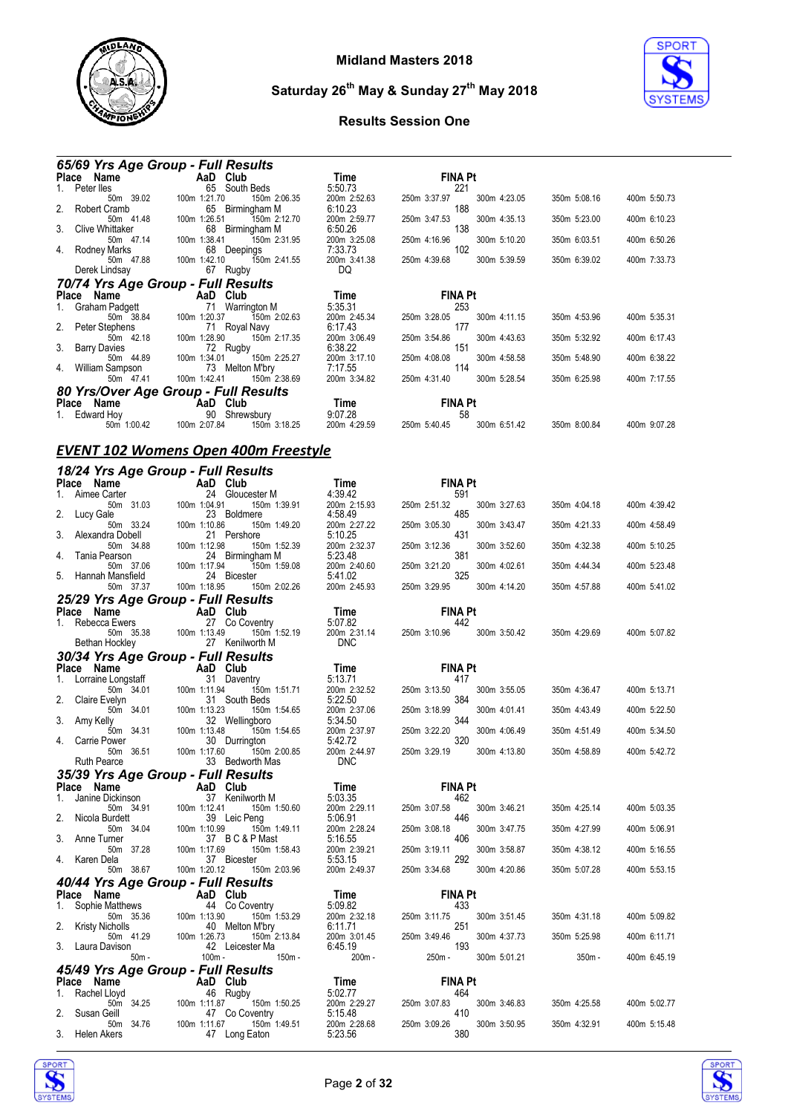



|                     | <b>65/69 Yrs Age Group - Full Results</b>   |              |                              |              |              |
|---------------------|---------------------------------------------|--------------|------------------------------|--------------|--------------|
| Place Name AaD Club |                                             | Time         | <b>FINA Pt</b>               |              |              |
| Peter lles<br>1.    | 65 South Beds                               | 5:50.73      | 221                          |              |              |
| 50m 39.02           | 100m 1:21.70<br>150m 2:06.35                | 200m 2:52.63 | 250m 3:37.97<br>300m 4:23.05 | 350m 5:08.16 | 400m 5:50.73 |
| 2. Robert Cramb     | 65 Birmingham M                             | 6:10.23      | 188                          |              |              |
| 50m 41.48           | 100m 1:26.51<br>150m 2:12.70                | 200m 2:59.77 | 250m 3:47.53<br>300m 4:35.13 | 350m 5:23.00 | 400m 6:10.23 |
| 3. Clive Whittaker  | 68 Birmingham M                             | 6:50.26      | 138                          |              |              |
| 50m 47.14           | 100m 1:38.41<br>150m 2:31.95                | 200m 3:25.08 | 250m 4:16.96<br>300m 5:10.20 | 350m 6:03.51 | 400m 6:50.26 |
| 4. Rodney Marks     | 68 Deepings                                 | 7:33.73      | 102                          |              |              |
| 50m 47.88           | 150m 2:41.55<br>100m 1:42.10                | 200m 3:41.38 | 250m 4:39.68<br>300m 5:39.59 | 350m 6:39.02 | 400m 7:33.73 |
| Derek Lindsay       | 67 Rugby                                    | DQ           |                              |              |              |
|                     | 70/74 Yrs Age Group - Full Results          |              |                              |              |              |
| Place Name          | <b>Example 2 AaD</b> Club                   | Time         | <b>FINA Pt</b>               |              |              |
| Graham Padgett      | 71 Warrington M                             | 5:35.31      | 253                          |              |              |
| 50m 38.84           | 100m 1:20.37<br>150m 2:02.63                | 200m 2:45.34 | 250m 3:28.05<br>300m 4:11.15 | 350m 4:53.96 | 400m 5:35.31 |
| 2. Peter Stephens   | 71 Royal Navy                               | 6:17.43      | 177                          |              |              |
| 50m 42.18           | 100m 1:28.90<br>150m 2:17.35                | 200m 3:06.49 | 250m 3:54.86<br>300m 4:43.63 | 350m 5:32.92 | 400m 6:17.43 |
| 3. Barry Davies     | 72 Rugby                                    | 6:38.22      | 151                          |              |              |
| 50m 44.89           | 100m 1:34.01<br>150m 2:25.27                | 200m 3:17.10 | 250m 4:08.08<br>300m 4:58.58 | 350m 5:48.90 | 400m 6:38.22 |
| 4. William Sampson  | 73 Melton M'bry                             | 7:17.55      | 114                          |              |              |
| 50m 47.41           | 100m 1:42.41<br>150m 2:38.69                | 200m 3:34.82 | 250m 4:31.40<br>300m 5:28.54 | 350m 6:25.98 | 400m 7:17.55 |
|                     | 80 Yrs/Over Age Group - Full Results        |              |                              |              |              |
| Place Name          | <b>Example 2</b> AaD Club                   | Time         | <b>FINA Pt</b>               |              |              |
| 1. Edward Hoy       | 90 Shrewsbury                               | 9:07.28      | 58                           |              |              |
| 50m 1:00.42         | 100m 2:07.84<br>150m 3:18.25                | 200m 4:29.59 | 300m 6:51.42<br>250m 5:40.45 | 350m 8:00.84 | 400m 9:07.28 |
|                     |                                             |              |                              |              |              |
|                     | <b>EVENT 102 Womens Open 400m Freestyle</b> |              |                              |              |              |
|                     |                                             |              |                              |              |              |
|                     | 18/24 Yrs Age Group - Full Results          |              |                              |              |              |
| Place Name AaD Club |                                             | Time         | <b>FINA Pt</b>               |              |              |

|    | Place Name                                       |                 | AaD Club                                          | <b>Time</b>                           | <b>FINA Pt</b>      |              |              |              |
|----|--------------------------------------------------|-----------------|---------------------------------------------------|---------------------------------------|---------------------|--------------|--------------|--------------|
| 1. | Aimee Carter                                     |                 | 24 Gloucester M                                   | 4:39.42                               | 591                 |              |              |              |
| 2. | 50m 31.03<br>Lucy Gale                           | 100m 1:04.91    | 150m 1:39.91<br>23 Boldmere                       | 200m 2:15.93<br>4:58.49               | 250m 2:51.32<br>485 | 300m 3:27.63 | 350m 4:04.18 | 400m 4:39.42 |
| 3. | 50m 33.24<br>Alexandra Dobell                    | 100m 1:10.86    | 150m 1:49.20<br>21 Pershore                       | 200m 2:27.22<br>5:10.25               | 250m 3:05.30<br>431 | 300m 3:43.47 | 350m 4:21.33 | 400m 4:58.49 |
| 4. | 50m 34.88<br>Tania Pearson                       | 100m 1:12.98    | 150m 1:52.39<br>24 Birmingham M                   | 200m 2:32.37<br>5:23.48               | 250m 3:12.36<br>381 | 300m 3:52.60 | 350m 4:32.38 | 400m 5:10.25 |
| 5. | 50m 37.06<br>Hannah Mansfield                    | 100m 1:17.94    | 150m 1:59.08<br>24 Bicester                       | 200m 2:40.60<br>5:41.02               | 250m 3:21.20<br>325 | 300m 4:02.61 | 350m 4:44.34 | 400m 5:23.48 |
|    | 50m 37.37                                        | 100m 1:18.95    | 150m 2:02.26                                      | 200m 2:45.93                          | 250m 3:29.95        | 300m 4:14.20 | 350m 4:57.88 | 400m 5:41.02 |
|    | 25/29 Yrs Age Group - Full Results               |                 |                                                   |                                       |                     |              |              |              |
|    | Place Name                                       | <b>AaD</b> Club |                                                   | Time                                  | <b>FINA Pt</b>      |              |              |              |
| 1. | Rebecca Ewers<br>50m 35.38<br>Bethan Hockley     | 100m 1:13.49    | 27 Co Coventry<br>150m 1:52.19<br>27 Kenilworth M | 5:07.82<br>200m 2:31.14<br><b>DNC</b> | 442<br>250m 3:10.96 | 300m 3:50.42 | 350m 4:29.69 | 400m 5:07.82 |
|    |                                                  |                 |                                                   |                                       |                     |              |              |              |
|    | 30/34 Yrs Age Group - Full Results               |                 |                                                   |                                       | <b>FINA Pt</b>      |              |              |              |
| 1. | Place Name                                       |                 | AaD Club<br>31 Daventry                           | Time<br>5:13.71                       | 417                 |              |              |              |
| 2. | Lorraine Longstaff<br>50m 34.01<br>Claire Evelyn | 100m 1:11.94    | 150m 1:51.71<br>31 South Beds                     | 200m 2:32.52<br>5:22.50               | 250m 3:13.50<br>384 | 300m 3:55.05 | 350m 4:36.47 | 400m 5:13.71 |
| 3. | 50m 34.01<br>Amy Kelly                           | 100m 1:13.23    | 150m 1:54.65<br>32 Wellingboro                    | 200m 2:37.06<br>5:34.50               | 250m 3:18.99<br>344 | 300m 4:01.41 | 350m 4:43.49 | 400m 5:22.50 |
| 4. | 50m 34.31<br>Carrie Power                        | 100m 1:13.48    | 150m 1:54.65<br>30 Durrington                     | 200m 2:37.97<br>5:42.72               | 250m 3:22.20<br>320 | 300m 4:06.49 | 350m 4:51.49 | 400m 5:34.50 |
|    | 50m 36.51<br><b>Ruth Pearce</b>                  | 100m 1:17.60    | 150m 2:00.85<br>33 Bedworth Mas                   | 200m 2:44.97<br><b>DNC</b>            | 250m 3:29.19        | 300m 4:13.80 | 350m 4:58.89 | 400m 5:42.72 |
|    |                                                  |                 |                                                   |                                       |                     |              |              |              |
|    | 35/39 Yrs Age Group - Full Results               |                 |                                                   |                                       | <b>FINA Pt</b>      |              |              |              |
| 1. | Place Name<br>Janine Dickinson                   | AaD Club        | 37 Kenilworth M                                   | Time<br>5:03.35                       | 462                 |              |              |              |
|    | 50m 34.91                                        | 100m 1:12.41    | 150m 1:50.60                                      | 200m 2:29.11                          | 250m 3:07.58        | 300m 3:46.21 | 350m 4:25.14 | 400m 5:03.35 |
| 2. | Nicola Burdett                                   |                 | 39 Leic Peng                                      | 5:06.91                               | 446                 |              |              |              |
|    | 50m 34.04                                        | 100m 1:10.99    | 150m 1:49.11                                      | 200m 2:28.24                          | 250m 3:08.18        | 300m 3:47.75 | 350m 4:27.99 | 400m 5:06.91 |
| 3. | Anne Turner                                      |                 | 37 BC&PMast                                       | 5:16.55                               | 406                 |              |              |              |
| 4. | 50m 37.28<br>Karen Dela                          | 100m 1:17.69    | 150m 1:58.43<br>37 Bicester                       | 200m 2:39.21<br>5:53.15               | 250m 3:19.11<br>292 | 300m 3:58.87 | 350m 4:38.12 | 400m 5:16.55 |
|    | 50m 38.67                                        | 100m 1:20.12    | 150m 2:03.96                                      | 200m 2:49.37                          | 250m 3:34.68        | 300m 4:20.86 | 350m 5:07.28 | 400m 5:53.15 |
|    | 40/44 Yrs Age Group - Full Results               |                 |                                                   |                                       |                     |              |              |              |
|    | Place Name                                       |                 | AaD Club                                          | Time                                  | <b>FINA Pt</b>      |              |              |              |
| 1. | Sophie Matthews                                  |                 | 44 Co Coventry                                    | 5:09.82                               | 433                 |              |              |              |
|    | 50m 35.36                                        | 100m 1:13.90    | 150m 1:53.29                                      | 200m 2:32.18                          | 250m 3:11.75        | 300m 3:51.45 | 350m 4:31.18 | 400m 5:09.82 |
| 2. | <b>Kristy Nicholls</b>                           |                 | 40 Melton M'bry                                   | 6:11.71                               | 251                 |              |              |              |
| 3. | 50m 41.29                                        | 100m 1:26.73    | 150m 2:13.84<br>42 Leicester Ma                   | 200m 3:01.45                          | 250m 3:49.46<br>193 | 300m 4:37.73 | 350m 5:25.98 | 400m 6:11.71 |
|    | Laura Davison<br>$50m -$                         | 100m -          | $150m -$                                          | 6:45.19<br>200m-                      | $250m -$            | 300m 5:01.21 | $350m -$     | 400m 6:45.19 |
|    | 45/49 Yrs Age Group - Full Results               |                 |                                                   |                                       |                     |              |              |              |
|    | Place Name                                       |                 | AaD Club                                          | Time                                  | <b>FINA Pt</b>      |              |              |              |
|    | Rachel Lloyd                                     |                 | 46 Rugby                                          | 5:02.77                               | 464                 |              |              |              |
|    | 50m 34.25                                        | 100m 1:11.87    | 150m 1:50.25                                      | 200m 2:29.27                          | 250m 3:07.83        | 300m 3:46.83 | 350m 4:25.58 | 400m 5:02.77 |
| 2. | Susan Geill<br>50m 34.76                         | 100m 1:11.67    | 47 Co Coventry<br>150m 1:49.51                    | 5:15.48<br>200m 2:28.68               | 410<br>250m 3:09.26 | 300m 3:50.95 | 350m 4:32.91 | 400m 5:15.48 |
|    | 3. Helen Akers                                   |                 | 47 Long Eaton                                     | 5:23.56                               | 380                 |              |              |              |



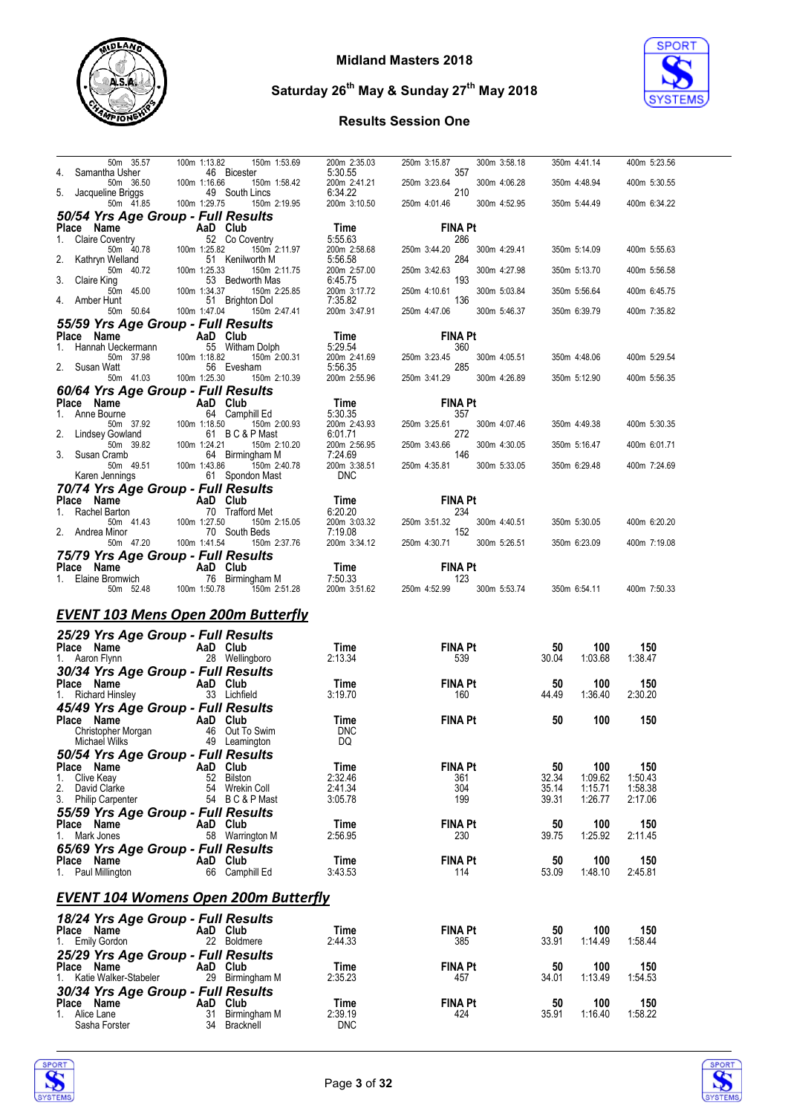



| 50m 35.57                                                                                                                                                 | 100m 1:13.82 | 150m 1:53.69                                                 | 200m 2:35.03                                | 250m 3:15.87<br>300m 3:58.18                                                                        | 350m 4:41.14                         | 400m 5:23.56       |
|-----------------------------------------------------------------------------------------------------------------------------------------------------------|--------------|--------------------------------------------------------------|---------------------------------------------|-----------------------------------------------------------------------------------------------------|--------------------------------------|--------------------|
| 4. Samantha Usher                                                                                                                                         |              | 46 Bicester                                                  | 5:30.55                                     | 357                                                                                                 |                                      |                    |
| 50m 36.50<br>Jacqueline Briggs                                                                                                                            | 100m 1:16.66 | 150m 1:58.42<br>49 South Lincs                               | 200m 2:41.21<br>6:34.22                     | 250m 3:23.64<br>300m 4:06.28<br>210                                                                 | 350m 4:48.94                         | 400m 5:30.55       |
| ine Briggs       49<br>50m  41.85    100m 1:29.75                                                                                                         |              | 150m 2:19.95                                                 | 200m 3:10.50                                | 250m 4:01.46<br>300m 4:52.95                                                                        | 350m 5:44.49                         | 400m 6:34.22       |
| 50/54 Yrs Age Group - Full Results                                                                                                                        |              |                                                              |                                             |                                                                                                     |                                      |                    |
| Place Name AaD Club                                                                                                                                       |              |                                                              | Time                                        | <b>FINA Pt</b>                                                                                      |                                      |                    |
| <b>Claire Coventry</b><br>$1_{\cdot}$                                                                                                                     |              | 52 Co Coventry                                               | 5:55.63                                     | 286                                                                                                 |                                      |                    |
| ioventry 52 (<br>50m 40.78 100m 1:25.82                                                                                                                   |              | 150m 2:11.97                                                 | 200m 2:58.68                                | 300m 4:29.41<br>250m 3:44.20                                                                        | 350m 5:14.09                         | 400m 5:55.63       |
| Kathryn Welland<br>50m 40.72                                                                                                                              | 100m 1:25.33 | 51 Kenilworth M<br>150m 2:11.75                              | 5:56.58<br>200m 2:57.00                     | 284<br>250m 3:42.63<br>300m 4:27.98                                                                 | 350m 5:13.70                         | 400m 5:56.58       |
| 3. Claire King                                                                                                                                            |              | 53 Bedworth Mas                                              | 6:45.75                                     | 193                                                                                                 |                                      |                    |
| 50m 45.00                                                                                                                                                 | 100m 1:34.37 | 150m 2:25.85                                                 | 200m 3:17.72                                | 250m 4:10.61<br>300m 5:03.84                                                                        | 350m 5:56.64                         | 400m 6:45.75       |
| 4. Amber Hunt                                                                                                                                             |              | 51 Brighton Dol<br>50m 50.64 100m 1:47.04 150m 2:47.41       | 7:35.82                                     | 136                                                                                                 |                                      | 400m 7:35.82       |
|                                                                                                                                                           |              |                                                              | 200m 3:47.91                                | 250m 4:47.06<br>300m 5:46.37                                                                        | 350m 6:39.79                         |                    |
| 55/59 Yrs Age Group - Full Results<br>Place Name                                                                                                          |              |                                                              |                                             | <b>FINA Pt</b>                                                                                      |                                      |                    |
| 1. Hannah Ueckermann                                                                                                                                      |              | ann <b>AaD Club</b><br>ann 55 Witham Dolph                   |                                             | 360                                                                                                 |                                      |                    |
| 50m 37.98                                                                                                                                                 | 100m 1:18.82 | 150m 2:00.31                                                 | <b>Time</b><br>5:29.54<br>200m 2:41.69 250m | 250m 3:23.45<br>300m 4:05.51                                                                        | 350m 4:48.06                         | 400m 5:29.54       |
| Vatt 56 E<br>50m 41.03 100m 1:25.30<br>2. Susan Watt                                                                                                      |              | 56 Evesham                                                   | 5:56.35                                     | 285                                                                                                 |                                      |                    |
|                                                                                                                                                           |              | 150m 2:10.39                                                 | 200m 2:55.96                                | 250m 3:41.29 300m 4:26.89                                                                           | 350m 5:12.90                         | 400m 5:56.35       |
| 60/64 Yrs Age Group - Full Results                                                                                                                        |              |                                                              |                                             |                                                                                                     |                                      |                    |
|                                                                                                                                                           |              | 64 Camphill Ed                                               | $Time$<br>$5:30.35$                         | <b>FINA Pt</b><br>357                                                                               |                                      |                    |
|                                                                                                                                                           |              | 150m 2:00.93                                                 | 200m 2:43.93                                | 250m 3:25.61<br>300m 4:07.46                                                                        | 350m 4:49.38                         | 400m 5:30.35       |
| Place Name<br>1. Anne Bourne 1.18.50<br>1. Anne Bourne 50m<br>50m 37.92<br>2. Lindsey Gowland<br>50m 39.82<br>100m 1:24.21<br>3. Susan Cramb<br>64 Birmin |              | 61 BC&PMast                                                  | 6:01.71                                     | 272                                                                                                 |                                      |                    |
|                                                                                                                                                           |              | 150m 2:10.20                                                 | 200m 2:56.95                                | 250m 3:43.66<br>300m 4:30.05                                                                        | 350m 5:16.47                         | 400m 6:01.71       |
| 50m  49.51                                                                                                                                                | 100m 1:43.86 | 64 Birmingham M<br>150m 2:40.78                              | 7:24.69<br>200m 3:38.51                     | 146<br>250m 4:35.81 300m 5:33.05                                                                    | 350m 6:29.48                         | 400m 7:24.69       |
| Karen Jennings                                                                                                                                            |              | 61 Spondon Mast                                              | <b>DNC</b>                                  |                                                                                                     |                                      |                    |
| 70/74 Yrs Age Group - Full Results                                                                                                                        |              |                                                              |                                             |                                                                                                     |                                      |                    |
|                                                                                                                                                           |              |                                                              |                                             | <b>FINA Pt</b>                                                                                      |                                      |                    |
| Place Name AaD Club<br>1. Rachel Barton 70 Trafford Met<br>50m 41.43 100m 1:27.50 150m 2                                                                  |              |                                                              |                                             |                                                                                                     |                                      |                    |
| 2. Andrea Minor                                                                                                                                           |              | 150m 2:15.05                                                 |                                             | Time<br>6:20.20<br>200m 3:03.32<br>7:19.08<br>250m 3:03.132<br>152<br>250m 3:03.132<br>300m 4:40.51 | 350m 5:30.05                         | 400m 6:20.20       |
| 50m 47.20                                                                                                                                                 | 100m 1:41.54 | 70 South Beds<br>150m 2:37.76                                | 200m 3:34.12                                | 250m 4:30.71 300m 5:26.51                                                                           | 350m 6:23.09                         | 400m 7:19.08       |
| 75/79 Yrs Age Group - Full Results                                                                                                                        |              |                                                              |                                             |                                                                                                     |                                      |                    |
|                                                                                                                                                           |              |                                                              |                                             | <b>FINA Pt</b>                                                                                      |                                      |                    |
| <b>Place Name AaD Club</b><br>1. Elaine Bromwich 76 Birmingham M<br>50m 52.48 100m 1:50.78 150m 2:51.28                                                   |              |                                                              |                                             | Time FINA P<br>7:50.33 123<br>200m 3:51.62 250m 4:52.99                                             |                                      |                    |
|                                                                                                                                                           |              |                                                              |                                             | 300m 5:53.74<br>250m 4:52.99                                                                        | 350m 6:54.11                         | 400m 7:50.33       |
|                                                                                                                                                           |              |                                                              |                                             |                                                                                                     |                                      |                    |
|                                                                                                                                                           |              |                                                              |                                             |                                                                                                     |                                      |                    |
| <b>EVENT 103 Mens Open 200m Butterfly</b>                                                                                                                 |              |                                                              |                                             |                                                                                                     |                                      |                    |
| 25/29 Yrs Age Group - Full Results                                                                                                                        |              |                                                              |                                             |                                                                                                     |                                      |                    |
|                                                                                                                                                           |              |                                                              | Time                                        | FINA Pt                                                                                             | 100<br>50                            | 150                |
| <b>Place Name</b><br>1. Aaron Flynn <b>Capacity</b> 28 Wellin                                                                                             |              | 28 Wellingboro                                               | 2:13.34                                     | 539                                                                                                 | 30.04<br>1:03.68                     | 1:38.47            |
| 30/34 Yrs Age Group - Full Results                                                                                                                        |              |                                                              |                                             |                                                                                                     |                                      |                    |
|                                                                                                                                                           |              |                                                              | Time<br>3:19.70                             | <b>FINA Pt</b><br>- 160                                                                             | 50<br>100<br>44.49<br>1:36.40        | 150<br>2:30.20     |
| Place Name<br>1. Richard Hinsley<br>1. Richard Hinsley<br>1. Subsetted                                                                                    |              |                                                              |                                             |                                                                                                     |                                      |                    |
| 45/49 Yrs Age Group - Full Results<br>Place Name                                                                                                          |              |                                                              | Time                                        | <b>FINA Pt</b>                                                                                      | 50<br>100                            | 150                |
| Christopher Morgan                                                                                                                                        |              |                                                              | <b>DNC</b>                                  |                                                                                                     |                                      |                    |
| Michael Wilks <b>Contract Contract Contract Contract</b>                                                                                                  |              | rgan <b>AaD Club</b><br>rgan 46 Out To Swim<br>49 Leamington | DQ                                          |                                                                                                     |                                      |                    |
| 50/54 Yrs Age Group - Full Results                                                                                                                        |              |                                                              |                                             |                                                                                                     |                                      |                    |
| Place Name                                                                                                                                                |              | AaD Club                                                     | Time                                        | <b>FINA Pt</b>                                                                                      | 50<br>100                            | 150                |
| Clive Keay<br>1.                                                                                                                                          |              | 52 Bilston                                                   | 2:32.46                                     | 361<br>304                                                                                          | 32.34<br>1:09.62                     | 1:50.43            |
| 2. David Clarke                                                                                                                                           |              | 54 Wrekin Coll<br>54 BC&PMast                                | 2:41.34<br>3:05.78                          | 199                                                                                                 | 35.14<br>1:15.71<br>39.31<br>1:26.77 | 1:58.38<br>2:17.06 |
| 3. Philip Carpenter                                                                                                                                       |              |                                                              |                                             |                                                                                                     |                                      |                    |
| 55/59 Yrs Age Group - Full Results<br>Place Name                                                                                                          |              | AaD Club                                                     | Time                                        | <b>FINA Pt</b>                                                                                      | 50<br>100                            | 150                |
| 1. Mark Jones                                                                                                                                             |              | 58 Warrington M                                              | 2:56.95                                     | 230                                                                                                 | 39.75<br>1:25.92                     | 2:11.45            |
| 65/69 Yrs Age Group - Full Results                                                                                                                        |              |                                                              |                                             |                                                                                                     |                                      |                    |
| Place Name                                                                                                                                                |              | AaD Club                                                     | Time                                        | <b>FINA Pt</b>                                                                                      | 50<br>100                            | 150                |
| 1. Paul Millington                                                                                                                                        |              | 66 Camphill Ed                                               | 3:43.53                                     | 114                                                                                                 | 53.09<br>1:48.10                     | 2:45.81            |
|                                                                                                                                                           |              |                                                              |                                             |                                                                                                     |                                      |                    |
| <b>EVENT 104 Womens Open 200m Butterfly</b>                                                                                                               |              |                                                              |                                             |                                                                                                     |                                      |                    |
| 18/24 Yrs Age Group - Full Results                                                                                                                        |              |                                                              |                                             |                                                                                                     |                                      |                    |
| Place Name                                                                                                                                                |              | AaD Club                                                     | Time                                        | <b>FINA Pt</b>                                                                                      | 50<br>100                            | 150                |
| 1. Emily Gordon                                                                                                                                           |              | 22 Boldmere                                                  | 2:44.33                                     | 385                                                                                                 | 33.91<br>1:14.49                     | 1:58.44            |
| 25/29 Yrs Age Group - Full Results                                                                                                                        |              |                                                              |                                             |                                                                                                     |                                      |                    |
| Place Name<br>1. Katie Walker-Stabeler                                                                                                                    |              | AaD Club<br>29 Birmingham M                                  | Time<br>2:35.23                             | <b>FINA Pt</b><br>457                                                                               | 50<br>100<br>34.01<br>1:13.49        | 150<br>1:54.53     |
| 30/34 Yrs Age Group - Full Results                                                                                                                        |              |                                                              |                                             |                                                                                                     |                                      |                    |
| Place Name                                                                                                                                                |              | AaD Club                                                     | Time                                        | <b>FINA Pt</b>                                                                                      | 100<br>50                            | 150                |
| 1. Alice Lane<br>Sasha Forster                                                                                                                            |              | 31 Birmingham M<br>34 Bracknell                              | 2:39.19<br><b>DNC</b>                       | 424                                                                                                 | 35.91<br>1:16.40                     | 1:58.22            |



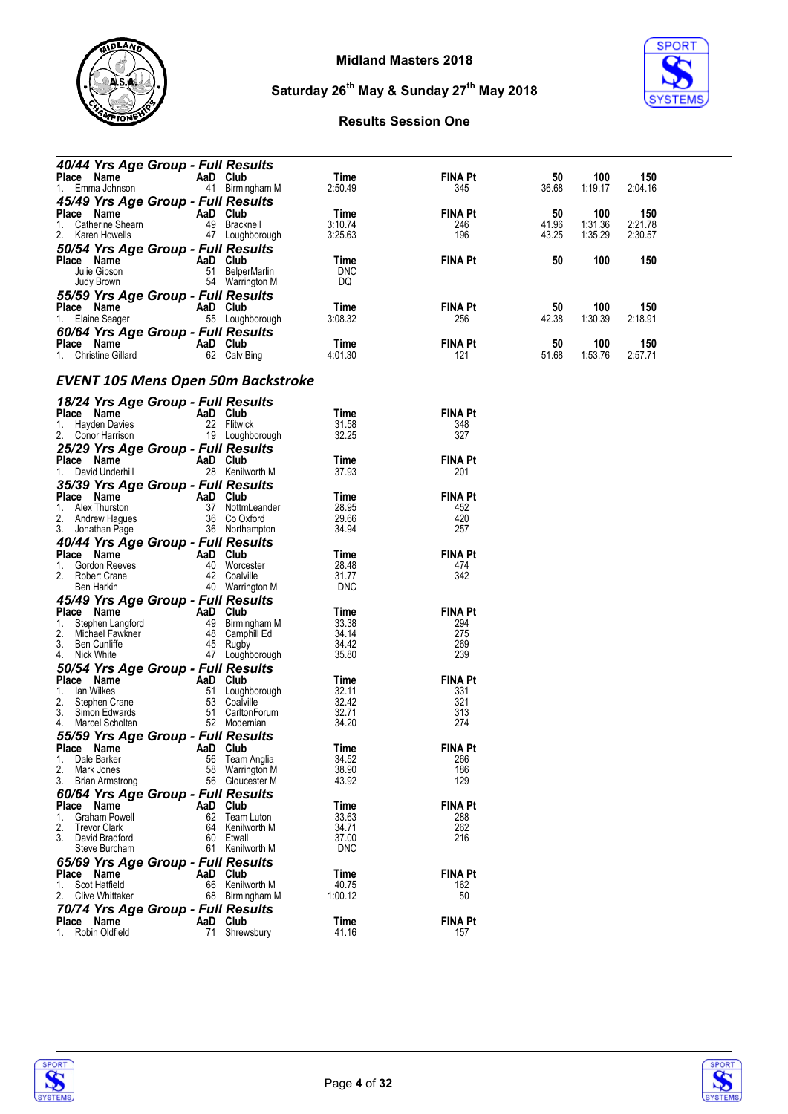



| 40/44 Yrs Age Group - Full Results        |          |                 |            |                |       |         |         |
|-------------------------------------------|----------|-----------------|------------|----------------|-------|---------|---------|
| Place Name                                |          | AaD Club        | Time       | <b>FINA Pt</b> | 50    | 100     | 150     |
| 1. Emma Johnson                           |          | 41 Birmingham M | 2:50.49    | 345            | 36.68 | 1:19.17 | 2:04.16 |
|                                           |          |                 |            |                |       |         |         |
| 45/49 Yrs Age Group - Full Results        |          |                 |            |                |       |         |         |
| Place Name                                |          | AaD Club        | Time       | <b>FINA Pt</b> | 50    | 100     | 150     |
| 1. Catherine Shearn                       |          | 49 Bracknell    | 3:10.74    | 246            | 41.96 | 1.31.36 | 2:21.78 |
| 2. Karen Howells                          |          | 47 Loughborough | 3:25.63    | 196            | 43.25 | 1:35.29 | 2:30.57 |
| 50/54 Yrs Age Group - Full Results        |          |                 |            |                |       |         |         |
| Place Name                                |          | AaD Club        | Time       | <b>FINA Pt</b> | 50    | 100     | 150     |
| Julie Gibson                              |          | 51 BelperMarlin | <b>DNC</b> |                |       |         |         |
| Judy Brown                                |          | 54 Warrington M | DQ         |                |       |         |         |
| 55/59 Yrs Age Group - Full Results        |          |                 |            |                |       |         |         |
| Place Name                                |          | AaD Club        | Time       | <b>FINA Pt</b> | 50    | 100     | 150     |
| 1. Elaine Seager                          |          | 55 Loughborough | 3:08.32    | 256            | 42.38 | 1:30.39 | 2:18.91 |
|                                           |          |                 |            |                |       |         |         |
| 60/64 Yrs Age Group - Full Results        |          |                 |            |                |       |         |         |
| Place Name                                |          | AaD Club        | Time       | <b>FINA Pt</b> | 50    | 100     | 150     |
| 1. Christine Gillard                      |          | 62 Calv Bing    | 4:01.30    | 121            | 51.68 | 1.53.76 | 2:57.71 |
|                                           |          |                 |            |                |       |         |         |
| <b>EVENT 105 Mens Open 50m Backstroke</b> |          |                 |            |                |       |         |         |
|                                           |          |                 |            |                |       |         |         |
| 18/24 Yrs Age Group - Full Results        |          |                 |            |                |       |         |         |
| Place Name                                |          | AaD Club        | Time       | <b>FINA Pt</b> |       |         |         |
| 1. Hayden Davies                          |          | 22 Flitwick     | 31.58      | 348            |       |         |         |
| 2. Conor Harrison                         |          | 19 Loughborough | 32.25      | 327            |       |         |         |
| 25/29 Yrs Age Group - Full Results        |          |                 |            |                |       |         |         |
| Place Name                                |          | AaD Club        | Time       | <b>FINA Pt</b> |       |         |         |
| 1. David Underhill                        |          | 28 Kenilworth M | 37.93      | 201            |       |         |         |
|                                           |          |                 |            |                |       |         |         |
| 35/39 Yrs Age Group - Full Results        |          |                 |            |                |       |         |         |
| Place Name                                | AaD Club |                 | Time       | <b>FINA Pt</b> |       |         |         |
| 1.<br>Alex Thurston                       |          | 37 NottmLeander | 28.95      | 452            |       |         |         |
| 2. Andrew Hagues                          |          | 36 Co Oxford    | 29.66      | 420            |       |         |         |
| 3. Jonathan Page                          |          | 36 Northampton  | 34.94      | 257            |       |         |         |
| 40/44 Yrs Age Group - Full Results        |          |                 |            |                |       |         |         |
| Place Name                                |          | AaD Club        | Time       | <b>FINA Pt</b> |       |         |         |
| Gordon Reeves<br>1.                       |          | 40 Worcester    | 28.48      | 474            |       |         |         |
| Robert Crane<br>2.                        |          | 42 Coalville    | 31.77      | 342            |       |         |         |
| Ben Harkin                                |          | 40 Warrington M | <b>DNC</b> |                |       |         |         |
| 45/49 Yrs Age Group - Full Results        |          |                 |            |                |       |         |         |
| Place Name                                |          | AaD Club        | Time       | <b>FINA Pt</b> |       |         |         |
| 1.<br>Stephen Langford                    |          | 49 Birmingham M | 33.38      | 294            |       |         |         |
| 2.<br>Michael Fawkner                     |          | 48 Camphill Ed  | 34.14      | 275            |       |         |         |
| 3. Ben Cunliffe                           |          | 45 Rugby        | 34.42      | 269            |       |         |         |
| 4. Nick White                             |          | 47 Loughborough | 35.80      | 239            |       |         |         |
|                                           |          |                 |            |                |       |         |         |
| 50/54 Yrs Age Group - Full Results        |          |                 |            |                |       |         |         |
| Place Name                                | AaD Club |                 | Time       | <b>FINA Pt</b> |       |         |         |
| lan Wilkes<br>1.                          |          | 51 Loughborough | 32.11      | 331            |       |         |         |
| 2.<br>Stephen Crane                       |          | 53 Coalville    | 32.42      | 321            |       |         |         |
| 3. Simon Edwards                          |          | 51 CarltonForum | 32.71      | 313            |       |         |         |
| 4. Marcel Scholten                        |          | 52 Modernian    | 34.20      | 274            |       |         |         |
| 55/59 Yrs Age Group - Full Results        |          |                 |            |                |       |         |         |
| Place Name <b>AaD</b> Club                |          |                 | Time       | <b>FINA Pt</b> |       |         |         |
| Dale Barker<br>1.                         | 56       | Team Anglia     | 34.52      | 266            |       |         |         |
| 2.<br>Mark Jones                          | 58       | Warrington M    | 38.90      | 186            |       |         |         |
| 3.<br><b>Brian Armstrong</b>              | 56       | Gloucester M    | 43.92      | 129            |       |         |         |
| 60/64 Yrs Age Group - Full Results        |          |                 |            |                |       |         |         |
| Place Name                                | AaD      | Club            | Time       | <b>FINA Pt</b> |       |         |         |
| Graham Powell<br>1.                       | 62       | Team Luton      | 33.63      | 288            |       |         |         |
| 2.<br><b>Trevor Clark</b>                 | 64       | Kenilworth M    | 34.71      | 262            |       |         |         |
| 3.<br>David Bradford                      | 60       | Etwall          | 37.00      | 216            |       |         |         |
| Steve Burcham                             |          | 61 Kenilworth M | <b>DNC</b> |                |       |         |         |
|                                           |          |                 |            |                |       |         |         |
| 65/69 Yrs Age Group - Full Results        |          |                 |            |                |       |         |         |
| Place Name                                |          | AaD Club        | Time       | <b>FINA Pt</b> |       |         |         |
| Scot Hatfield<br>1.                       |          | 66 Kenilworth M | 40.75      | 162            |       |         |         |
| 2.<br><b>Clive Whittaker</b>              | 68       | Birmingham M    | 1:00.12    | 50             |       |         |         |
| 70/74 Yrs Age Group - Full Results        |          |                 |            |                |       |         |         |
| Place Name                                |          | AaD Club        | Time       | <b>FINA Pt</b> |       |         |         |
| Robin Oldfield<br>1.                      |          | 71 Shrewsbury   | 41.16      | 157            |       |         |         |
|                                           |          |                 |            |                |       |         |         |



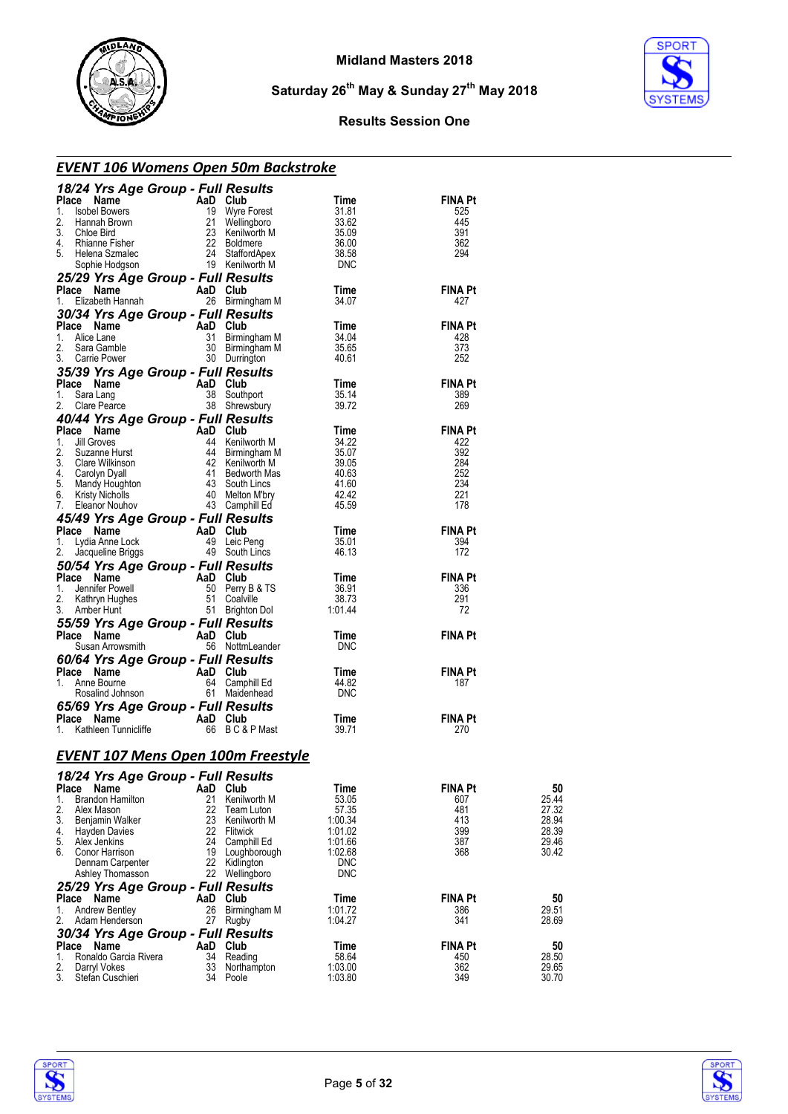



#### **Results Session One**

#### *EVENT 106 Womens Open 50m Backstroke*

| 18/24 Yrs Age Group - Full Results                  |                |                                    |                    |                       |                |
|-----------------------------------------------------|----------------|------------------------------------|--------------------|-----------------------|----------------|
| Place Name                                          | AaD Club       |                                    | Time               | <b>FINA Pt</b>        |                |
| 1.<br><b>Isobel Bowers</b><br>2.<br>Hannah Brown    | 21             | 19 Wyre Forest                     | 31.81<br>33.62     | 525<br>445            |                |
| 3.<br>Chloe Bird                                    |                | Wellingboro<br>23 Kenilworth M     | 35.09              | 391                   |                |
| 4.<br>Rhianne Fisher                                |                | 22 Boldmere                        | 36.00              | 362                   |                |
| 5.<br>Helena Szmalec                                |                | 24 StaffordApex                    | 38.58              | 294                   |                |
| Sophie Hodgson                                      |                | 19 Kenilworth M                    | <b>DNC</b>         |                       |                |
| 25/29 Yrs Age Group - Full Results                  |                |                                    |                    |                       |                |
| Place Name<br>Elizabeth Hannah<br>1.                | AaD Club       | 26 Birmingham M                    | Time<br>34.07      | <b>FINA Pt</b><br>427 |                |
| 30/34 Yrs Age Group - Full Results                  |                |                                    |                    |                       |                |
| Place Name                                          | AaD Club       |                                    | Time               | <b>FINA Pt</b>        |                |
| 1.<br>Alice Lane                                    | 31             | Birmingham M                       | 34.04              | 428                   |                |
| 2.<br>Sara Gamble                                   |                | 30 Birmingham M                    | 35.65              | 373                   |                |
| 3.<br>Carrie Power                                  |                | 30 Durrington                      | 40.61              | 252                   |                |
| 35/39 Yrs Age Group - Full Results                  |                |                                    |                    |                       |                |
| Place Name                                          | AaD Club       |                                    | Time               | <b>FINA Pt</b>        |                |
| Sara Lang<br>1.<br>2.<br>Clare Pearce               |                | 38 Southport<br>38 Shrewsbury      | 35.14<br>39.72     | 389<br>269            |                |
| 40/44 Yrs Age Group - Full Results                  |                |                                    |                    |                       |                |
| Place Name                                          | AaD Club       |                                    | Time               | <b>FINA Pt</b>        |                |
| 1.<br>Jill Groves                                   |                | 44 Kenilworth M                    | 34.22              | 422                   |                |
| 2.<br>Suzanne Hurst                                 |                | 44 Birmingham M                    | 35.07              | 392                   |                |
| 3.<br>Clare Wilkinson<br>4.                         |                | 42 Kenilworth M<br>41 Bedworth Mas | 39.05<br>40.63     | 284<br>252            |                |
| Carolyn Dyall<br>5.<br>Mandy Houghton               |                | 43 South Lincs                     | 41.60              | 234                   |                |
| 6.<br>Kristy Nicholls                               |                | 40 Melton M'bry                    | 42.42              | 221                   |                |
| 7.<br>Eleanor Nouhov                                |                | 43 Camphill Ed                     | 45.59              | 178                   |                |
| 45/49 Yrs Age Group - Full Results                  |                |                                    |                    |                       |                |
| Place Name                                          | AaD Club       |                                    | Time               | <b>FINA Pt</b>        |                |
| 1.<br>Lydia Anne Lock<br>2.<br>Jacqueline Briggs    |                | 49 Leic Peng<br>49 South Lincs     | 35.01<br>46.13     | 394<br>172            |                |
| 50/54 Yrs Age Group - Full Results                  |                |                                    |                    |                       |                |
| Place<br>Name                                       | AaD Club       |                                    | Time               | <b>FINA Pt</b>        |                |
| 1.<br>Jennifer Powell                               |                | 50 Perry B & TS                    | 36.91              | 336                   |                |
| 2.<br>Kathryn Hughes                                |                | 51 Coalville                       | 38.73              | 291                   |                |
| 3.<br>Amber Hunt                                    |                | 51 Brighton Dol                    | 1:01.44            | 72                    |                |
| 55/59 Yrs Age Group - Full Results                  |                |                                    |                    |                       |                |
| Place Name                                          | AaD Club       |                                    | Time<br><b>DNC</b> | <b>FINA Pt</b>        |                |
| Susan Arrowsmith                                    |                | 56 NottmLeander                    |                    |                       |                |
| 60/64 Yrs Age Group - Full Results<br>Place Name    | AaD Club       |                                    | Time               | <b>FINA Pt</b>        |                |
| 1.<br>Anne Bourne                                   |                | 64 Camphill Ed                     | 44.82              | 187                   |                |
| Rosalind Johnson                                    |                | 61 Maidenhead                      | <b>DNC</b>         |                       |                |
| 65/69 Yrs Age Group - Full Results                  |                |                                    |                    |                       |                |
| Place Name                                          | AaD Club       |                                    | Time               | <b>FINA Pt</b>        |                |
| Kathleen Tunnicliffe<br>1.                          |                | 66 BC&PMast                        | 39.71              | 270                   |                |
| <b>EVENT 107 Mens Open 100m Freestyle</b>           |                |                                    |                    |                       |                |
| 18/24 Yrs Age Group - Full Results                  |                |                                    |                    |                       |                |
| Place Name                                          | AaD Club       |                                    | Time               | <b>FINA Pt</b>        | 50             |
| 1.<br><b>Brandon Hamilton</b>                       | 21             | Kenilworth M                       | 53.05              | 607                   | 25.44          |
| 2.<br>Alex Mason                                    | 22             | Team Luton                         | 57.35              | 481                   | 27.32          |
| 3.<br>Benjamin Walker<br>4.<br><b>Hayden Davies</b> | 23<br>22       | Kenilworth M<br>Flitwick           | 1:00.34<br>1:01.02 | 413<br>399            | 28.94<br>28.39 |
| 5.<br>Alex Jenkins                                  |                | 24 Camphill Ed                     | 1:01.66            | 387                   | 29.46          |
| 6.<br>Conor Harrison                                | 19             | Loughborough                       | 1:02.68            | 368                   | 30.42          |
| Dennam Carpenter                                    | 22             | Kidlington                         | <b>DNC</b>         |                       |                |
| Ashley Thomasson                                    | 22             | Wellingboro                        | <b>DNC</b>         |                       |                |
| 25/29 Yrs Age Group - Full Results                  |                |                                    |                    |                       |                |
| Place Name<br>1.<br><b>Andrew Bentley</b>           | AaD Club<br>26 | Birmingham M                       | Time<br>1:01.72    | <b>FINA Pt</b><br>386 | 50<br>29.51    |
| 2.<br>Adam Henderson                                | 27             | Rugby                              | 1:04.27            | 341                   | 28.69          |
| 30/34 Yrs Age Group - Full Results                  |                |                                    |                    |                       |                |
| Place Name                                          | AaD            | Club                               | Time               | <b>FINA Pt</b>        | 50             |
| 1.<br>Ronaldo Garcia Rivera                         | 34             | Reading                            | 58.64              | 450                   | 28.50          |
| 2.<br>Darryl Vokes<br>3.<br>Stefan Cuschieri        | 33             | Northampton<br>34 Poole            | 1:03.00<br>1:03.80 | 362<br>349            | 29.65<br>30.70 |
|                                                     |                |                                    |                    |                       |                |



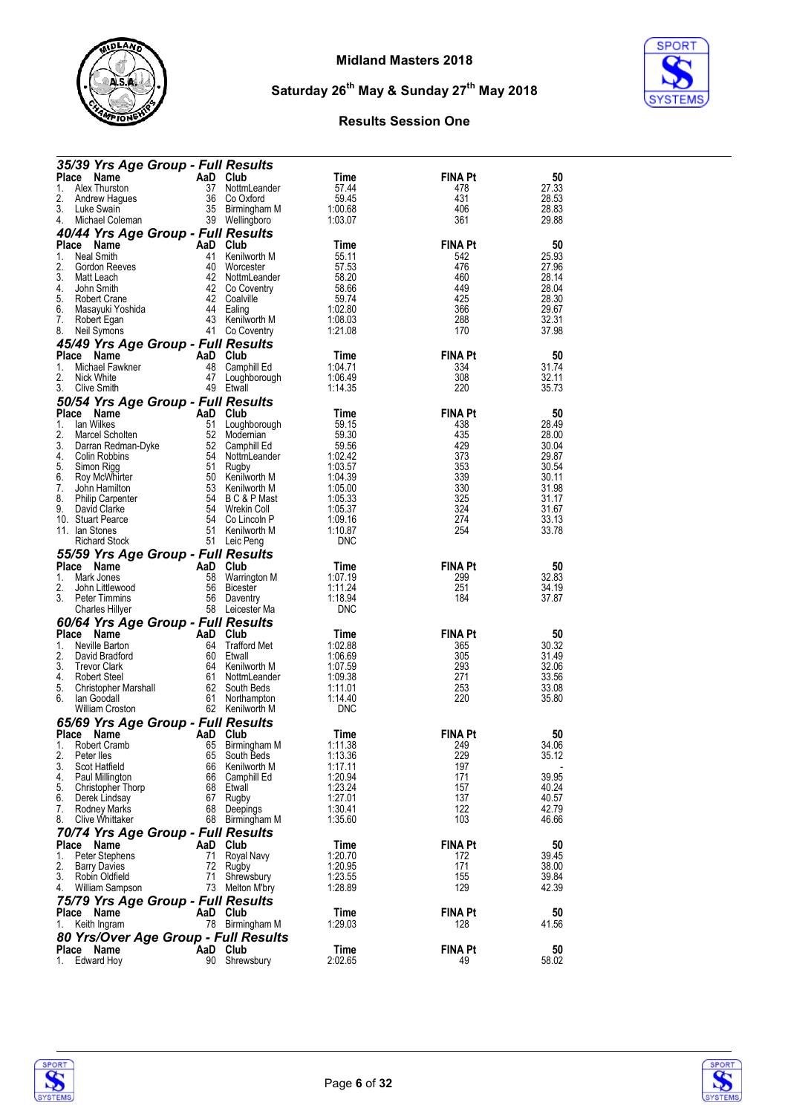



| 35/39 Yrs Age Group - Full Results           |           |                                   |                       |                       |                |
|----------------------------------------------|-----------|-----------------------------------|-----------------------|-----------------------|----------------|
| <b>Place</b><br><b>Name</b>                  |           | AaD Club                          | Time                  | <b>FINA Pt</b>        | 50             |
| Alex Thurston<br>1.                          | 37        | NottmLeander                      | 57.44                 | 478                   | 27.33          |
| 2.<br>Andrew Hagues                          | 36        | Co Oxford                         | 59.45                 | 431                   | 28.53          |
| 3.<br>Luke Swain<br>4.<br>Michael Coleman    |           | 35 Birmingham M<br>39 Wellingboro | 1:00.68<br>1:03.07    | 406<br>361            | 28.83<br>29.88 |
| 40/44 Yrs Age Group - Full Results           |           |                                   |                       |                       |                |
| Place<br>Name                                | AaD Club  |                                   | Time                  | <b>FINA Pt</b>        | 50             |
| Neal Smith<br>1.                             | 41        | Kenilworth M                      | 55.11                 | 542                   | 25.93          |
| 2.<br>Gordon Reeves                          | 40        | Worcester                         | 57.53                 | 476                   | 27.96          |
| 3.<br>Matt Leach                             | 42        | NottmLeander                      | 58.20                 | 460                   | 28.14          |
| 4.<br>John Smith<br>5.<br>Robert Crane       | 42        | 42 Co Coventry<br>Coalville       | 58.66<br>59.74        | 449<br>425            | 28.04<br>28.30 |
| 6.<br>Masayuki Yoshida                       |           | 44 Ealing                         | 1:02.80               | 366                   | 29.67          |
| 7.<br>Robert Egan                            |           | 43 Kenilworth M                   | 1:08.03               | 288                   | 32.31          |
| 8.<br>Neil Symons                            |           | 41 Co Coventry                    | 1:21.08               | 170                   | 37.98          |
| 45/49 Yrs Age Group - Full Results           |           |                                   |                       |                       |                |
| <b>Place</b><br>Name                         | AaD       | Club                              | Time                  | <b>FINA Pt</b>        | 50             |
| Michael Fawkner<br>1.<br>2.<br>Nick White    | 48<br>47  | Camphill Ed                       | 1:04.71<br>1:06.49    | 334<br>308            | 31.74<br>32.11 |
| 3.<br>Clive Smith                            |           | Loughborough<br>49 Etwall         | 1:14.35               | 220                   | 35.73          |
| 50/54 Yrs Age Group - Full Results           |           |                                   |                       |                       |                |
| <b>Place</b><br>Name                         |           | AaD Club                          | Time                  | <b>FINA Pt</b>        | 50             |
| 1.<br>lan Wilkes                             | 51        | Loughborough                      | 59.15                 | 438                   | 28.49          |
| 2.<br>Marcel Scholten                        | 52        | Modernian                         | 59.30                 | 435                   | 28.00          |
| 3.<br>Darran Redman-Dyke                     | 52        | Camphill Ed                       | 59.56                 | 429                   | 30.04          |
| 4.<br>Colin Robbins<br>5.<br>Simon Rigg      | 54<br>51  | NottmLeander<br>Rugby             | 1:02.42<br>1:03.57    | 373<br>353            | 29.87<br>30.54 |
| 6.<br>Roy McWhirter                          |           | 50 Kenilworth M                   | 1:04.39               | 339                   | 30.11          |
| 7.<br>John Hamilton                          |           | 53 Kenilworth M                   | 1:05.00               | 330                   | 31.98          |
| 8.<br><b>Philip Carpenter</b>                | 54        | B C & P Mast                      | 1:05.33               | 325                   | 31.17          |
| 9.<br>David Clarke                           | 54        | Wrekin Coll                       | 1:05.37               | 324                   | 31.67          |
| 10. Stuart Pearce<br>11. Ian Stones          | 54<br>51  | Co Lincoln P<br>Kenilworth M      | 1:09.16<br>1:10.87    | 274<br>254            | 33.13<br>33.78 |
| <b>Richard Stock</b>                         | 51        | Leic Peng                         | <b>DNC</b>            |                       |                |
| 55/59 Yrs Age Group - Full Results           |           |                                   |                       |                       |                |
| Place Name                                   | AaD       | Club                              | Time                  | <b>FINA Pt</b>        | 50             |
| Mark Jones<br>1.                             | 58        | Warrington M                      | 1:07.19               | 299                   | 32.83          |
| 2.<br>John Littlewood                        | 56        | <b>Bicester</b>                   | 1:11.24               | 251                   | 34.19          |
| 3.<br><b>Peter Timmins</b>                   | 56        | Daventry                          | 1:18.94               | 184                   | 37.87          |
| <b>Charles Hillyer</b>                       |           | 58 Leicester Ma                   | <b>DNC</b>            |                       |                |
| 60/64 Yrs Age Group - Full Results           |           | Club                              |                       |                       |                |
| <b>Place</b><br>Name<br>Neville Barton<br>1. | AaD<br>64 | <b>Trafford Met</b>               | Time<br>1:02.88       | <b>FINA Pt</b><br>365 | 50<br>30.32    |
| 2.<br>David Bradford                         | 60        | Etwall                            | 1:06.69               | 305                   | 31.49          |
| 3.<br><b>Trevor Clark</b>                    | 64        | Kenilworth M                      | 1:07.59               | 293                   | 32.06          |
| 4.<br>Robert Steel                           | 61        | NottmLeander                      | 1:09.38               | 271                   | 33.56          |
| 5.<br>Christopher Marshall                   | 62        | South Beds                        | 1:11.01               | 253                   | 33.08          |
| lan Goodall<br>6.<br><b>William Croston</b>  | 61        | Northampton<br>62 Kenilworth M    | 1:14.40<br><b>DNC</b> | 220                   | 35.80          |
| 65/69 Yrs Age Group - Full Results           |           |                                   |                       |                       |                |
| <b>Place</b><br>Name                         | AaD       | Club                              | Time                  | <b>FINA Pt</b>        | 50             |
| 1.<br>Robert Cramb                           | 65        | Birmingham M                      | 1:11.38               | 249                   | 34.06          |
| 2.<br>Peter lles                             | 65        | South Beds                        | 1:13.36               | 229                   | 35.12          |
| 3.<br>Scot Hatfield                          | 66        | Kenilworth M                      | 1:17.11               | 197                   |                |
| 4.<br>Paul Millington<br>5.                  | 66        | Camphill Ed<br>68 Etwall          | 1:20.94<br>1:23.24    | 171<br>157            | 39.95<br>40.24 |
| Christopher Thorp<br>6.<br>Derek Lindsay     | 67        | Rugby                             | 1:27.01               | 137                   | 40.57          |
| 7.<br>Rodney Marks                           | 68        | Deepings                          | 1:30.41               | 122                   | 42.79          |
| 8.<br><b>Clive Whittaker</b>                 | 68        | Birmingham M                      | 1:35.60               | 103                   | 46.66          |
| 70/74 Yrs Age Group - Full Results           |           |                                   |                       |                       |                |
| Place Name                                   | AaD       | Club                              | Time                  | <b>FINA Pt</b>        | 50             |
| 1.<br>Peter Stephens                         | 71        | Royal Navy                        | 1:20.70               | 172                   | 39.45          |
| 2.<br>Barry Davies<br>3.<br>Robin Oldfield   | 72<br>71  | Rugby<br>Shrewsbury               | 1:20.95<br>1:23.55    | 171<br>155            | 38.00<br>39.84 |
| 4.<br>William Sampson                        | 73        | Melton M'bry                      | 1:28.89               | 129                   | 42.39          |
| 75/79 Yrs Age Group - Full Results           |           |                                   |                       |                       |                |
| Place<br>Name                                |           | AaD Club                          | Time                  | <b>FINA Pt</b>        | 50             |
| Keith Ingram<br>1.                           |           | 78 Birmingham M                   | 1:29.03               | 128                   | 41.56          |
| <b>80 Yrs/Over Age Group - Full Results</b>  |           |                                   |                       |                       |                |
| Place Name                                   |           | AaD Club                          | Time                  | FINA Pt               | 50             |
| Edward Hoy<br>1.                             | 90        | Shrewsbury                        | 2:02.65               | 49                    | 58.02          |



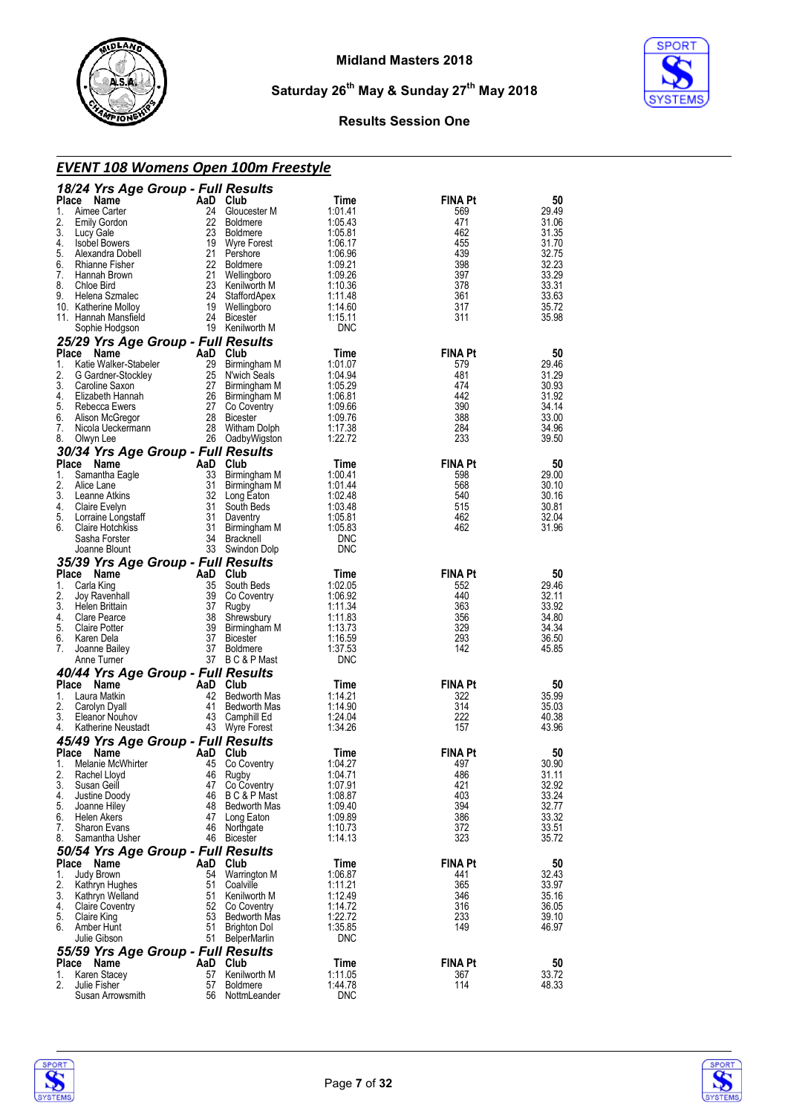



#### **Results Session One**

## *EVENT 108 Womens Open 100m Freestyle*

|          | 18/24 Yrs Age Group - Full Results               |           |                                 |                    |                       |                |
|----------|--------------------------------------------------|-----------|---------------------------------|--------------------|-----------------------|----------------|
| Place    | Name                                             | AaD Club  |                                 | Time               | <b>FINA Pt</b>        | 50             |
| 1.       | Aimee Carter                                     | 24        | Gloucester M                    | 1:01.41            | 569                   | 29.49          |
| 2.<br>3. | <b>Emily Gordon</b><br>Lucy Gale                 | 23        | 22 Boldmere<br><b>Boldmere</b>  | 1:05.43<br>1:05.81 | 471<br>462            | 31.06<br>31.35 |
| 4.       | <b>Isobel Bowers</b>                             | 19        | Wyre Forest                     | 1:06.17            | 455                   | 31.70          |
| 5.       | Alexandra Dobell                                 |           | 21 Pershore                     | 1:06.96            | 439                   | 32.75          |
| 6.       | Rhianne Fisher                                   | 22        | Boldmere                        | 1:09.21            | 398                   | 32.23          |
| 7.       | Hannah Brown                                     | 21        | Wellingboro                     | 1:09.26            | 397                   | 33.29          |
| 8.       | Chloe Bird                                       | 23        | Kenilworth M                    | 1:10.36            | 378                   | 33.31          |
| 9.       | Helena Szmalec                                   | 24        | StaffordApex                    | 1:11.48            | 361                   | 33.63          |
|          | 10. Katherine Molloy<br>11. Hannah Manstield     |           | 19 Wellingboro<br>24 Bicester   | 1:14.60<br>1:15.11 | 317<br>311            | 35.72<br>35.98 |
|          | Sophie Hodgson                                   |           | 19 Kenilworth M                 | <b>DNC</b>         |                       |                |
|          | 25/29 Yrs Age Group - Full Results               |           |                                 |                    |                       |                |
|          | Place<br>Name                                    |           | AaD Club                        | Time               | <b>FINA Pt</b>        | 50             |
| 1.       | Katie Walker-Stabeler                            | 29        | Birmingham M                    | 1:01.07            | 579                   | 29.46          |
| 2.       | G Gardner-Stockley                               | 25        | N'wich Seals                    | 1:04.94            | 481                   | 31.29          |
| 3.       | Caroline Saxon                                   | 27        | Birmingham M                    | 1:05.29            | 474                   | 30.93          |
| 4.       | Elizabeth Hannah                                 |           | 26 Birmingham M                 | 1:06.81            | 442                   | 31.92          |
| 5.       | Rebecca Ewers                                    | 27        | Co Coventry                     | 1:09.66            | 390                   | 34.14          |
| 6.<br>7. | Alison McGregor                                  |           | 28 Bicester<br>28 Witham Dolph  | 1:09.76            | 388<br>284            | 33.00<br>34.96 |
| 8.       | Nicola Ueckermann<br>Olwyn Lee                   |           | 26 OadbyWigston                 | 1:17.38<br>1:22.72 | 233                   | 39.50          |
|          | 30/34 Yrs Age Group - Full Results               |           |                                 |                    |                       |                |
|          | Place Name                                       | AaD Club  |                                 | Time               | <b>FINA Pt</b>        | 50             |
| 1.       | Samantha Eagle                                   | 33        | Birmingham M                    | 1:00.41            | 598                   | 29.00          |
| 2.       | Alice Lane                                       | 31        | Birmingham M                    | 1:01.44            | 568                   | 30.10          |
| 3.       | Leanne Atkins                                    |           | 32 Long Eaton                   | 1:02.48            | 540                   | 30.16          |
| 4.       | Claire Evelyn                                    | 31        | South Beds                      | 1:03.48            | 515                   | 30.81          |
| 5.       | Lorraine Longstaff                               | 31        | Daventry                        | 1:05.81            | 462                   | 32.04          |
| 6.       | <b>Claire Hotchkiss</b>                          |           | 31 Birmingham M                 | 1:05.83            | 462                   | 31.96          |
|          | Sasha Forster                                    |           | 34 Bracknell                    | <b>DNC</b>         |                       |                |
|          | Joanne Blount                                    |           | 33 Swindon Dolp                 | <b>DNC</b>         |                       |                |
|          | 35/39 Yrs Age Group - Full Results               |           |                                 |                    |                       |                |
|          | Place Name                                       | AaD Club  |                                 | Time               | <b>FINA Pt</b>        | 50<br>29.46    |
| 1.       | Carla King<br>Joy Ravenhall                      | 35<br>39  | South Beds<br>Co Coventry       | 1:02.05<br>1:06.92 | 552<br>440            | 32.11          |
| 3.       | Helen Brittain                                   | 37        | Rugby                           | 1:11.34            | 363                   | 33.92          |
| 4.       | Clare Pearce                                     | 38        | Shrewsbury                      | 1:11.83            | 356                   | 34.80          |
| 5.       | <b>Claire Potter</b>                             | 39        | Birmingham M                    | 1:13.73            | 329                   | 34.34          |
| 6.       | Karen Dela                                       | 37        | Bicester                        | 1:16.59            | 293                   | 36.50          |
| 7.       | Joanne Bailey                                    |           | 37 Boldmere                     | 1:37.53            | 142                   | 45.85          |
|          | Anne Turner                                      |           | 37 BC&PMast                     | <b>DNC</b>         |                       |                |
|          | 40/44 Yrs Age Group - Full Results               |           |                                 |                    |                       |                |
| Place    | Name                                             | AaD<br>42 | Club                            | Time               | <b>FINA Pt</b>        | 50             |
| 1.<br>2. | Laura Matkin                                     |           |                                 |                    |                       |                |
| 3.       |                                                  |           | <b>Bedworth Mas</b>             | 1:14.21            | 322                   | 35.99          |
|          | Carolyn Dyall                                    | 41        | Bedworth Mas                    | 1:14.90            | 314                   | 35.03          |
|          | Eleanor Nouhov                                   | 43        | Camphill Ed                     | 1:24.04            | 222                   | 40.38          |
| 4.       | Katherine Neustadt                               |           | 43 Wyre Forest                  | 1:34.26            | 157                   | 43.96          |
|          | 45/49 Yrs Age Group - Full Results<br>Place Name | AaD       | Club                            | Time               | <b>FINA Pt</b>        | 50             |
| 1.       | Melanie McWhirter                                | 45        | Co Coventry                     | 1:04.27            | 497                   | 30.90          |
|          | Rachel Lloyd                                     | 46        | Rugby                           | 1:04.71            | 486                   | 31.11          |
| 3.       | Susan Geill                                      | 47        | Co Coventry                     | 1:07.91            | 421                   | 32.92          |
| 4.       | Justine Doody                                    | 46        | B C & P Mast                    | 1:08.87            | 403                   | 33.24          |
| 5.       | Joanne Hiley                                     | 48        | Bedworth Mas                    | 1:09.40            | 394                   | 32.77          |
| 6.       | Helen Akers                                      | 47        | Long Eaton                      | 1:09.89            | 386                   | 33.32          |
| 7.       | <b>Sharon Evans</b>                              | 46        | Northgate                       | 1:10.73            | 372                   | 33.51          |
| 8.       | Samantha Usher                                   | 46        | Bicester                        | 1:14.13            | 323                   | 35.72          |
|          | 50/54 Yrs Age Group - Full Results               |           |                                 |                    |                       |                |
| 1.       | Place Name                                       | AaD<br>54 | Club                            | Time               | <b>FINA Pt</b><br>441 | 50             |
| 2.       | Judy Brown<br>Kathryn Hughes                     | 51        | Warrington M<br>Coalville       | 1:06.87<br>1:11 21 | 365                   | 32.43<br>33.97 |
| 3.       | Kathryn Welland                                  | 51        | Kenilworth M                    | 1:12.49            | 346                   | 35.16          |
| 4.       | <b>Claire Coventry</b>                           | 52        | Co Coventry                     | 1:14.72            | 316                   | 36.05          |
| 5.       | Claire King                                      | 53        | Bedworth Mas                    | 1:22.72            | 233                   | 39.10          |
| 6.       | Amber Hunt                                       | 51        | Brighton Dol                    | 1:35.85            | 149                   | 46.97          |
|          | Julie Gibson                                     | 51        | <b>BelperMarlin</b>             | <b>DNC</b>         |                       |                |
|          | 55/59 Yrs Age Group - Full Results               |           |                                 |                    |                       |                |
| Place    | Name                                             | AaD       | Club                            | Time               | <b>FINA Pt</b>        | 50             |
| 1.<br>2. | Karen Stacey<br>Julie Fisher                     | 57<br>57  | Kenilworth M<br><b>Boldmere</b> | 1:11.05<br>1:44.78 | 367<br>114            | 33.72<br>48.33 |

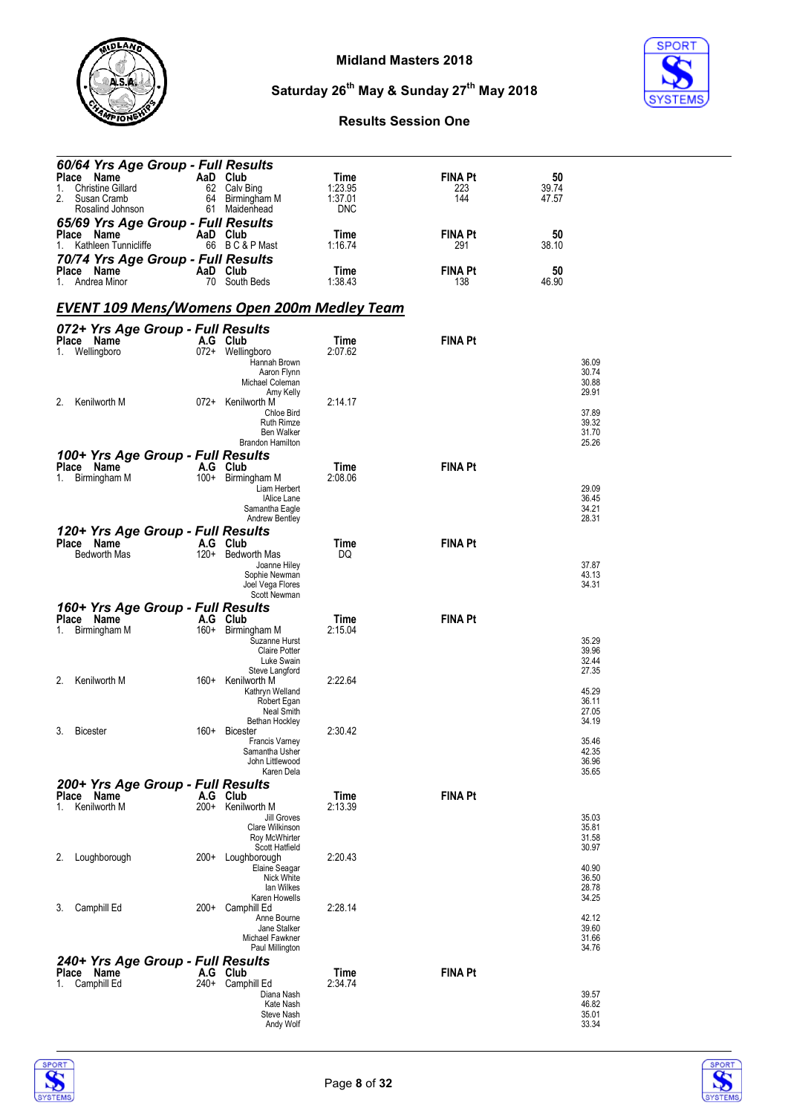

**SPORT** 

# **Saturday 26th May & Sunday 27th May 2018**

| 60/64 Yrs Age Group - Full Results<br>Place Name   |        | AaD Club                                | Time            | <b>FINA Pt</b> | 50             |
|----------------------------------------------------|--------|-----------------------------------------|-----------------|----------------|----------------|
| <b>Christine Gillard</b><br>1.                     |        | 62 Calv Bing                            | 1:23.95         | 223            | 39.74          |
| Susan Cramb<br>2.                                  | 64     | Birmingham M                            | 1:37.01         | 144            | 47.57          |
| Rosalind Johnson                                   | 61     | Maidenhead                              | <b>DNC</b>      |                |                |
| 65/69 Yrs Age Group - Full Results<br>Place Name   |        | AaD Club                                | Time            | FINA Pt        | 50             |
| Kathleen Tunnicliffe<br>1.                         |        | 66 BC&PMast                             | 1:16.74         | 291            | 38.10          |
| 70/74 Yrs Age Group - Full Results                 |        |                                         |                 |                |                |
| Place Name<br>Andrea Minor<br>1.                   |        | AaD Club<br>70 South Beds               | Time<br>1:38.43 | FINA Pt        | 50<br>46.90    |
|                                                    |        |                                         |                 | 138            |                |
| <u>EVENT 109 Mens/Womens Open 200m Medley Team</u> |        |                                         |                 |                |                |
|                                                    |        |                                         |                 |                |                |
| 072+ Yrs Age Group - Full Results<br>Place Name    |        | A.G Club                                | Time            | <b>FINA Pt</b> |                |
| Wellingboro<br>1.                                  |        | 072+ Wellingboro                        | 2:07.62         |                |                |
|                                                    |        | Hannah Brown<br>Aaron Flynn             |                 |                | 36.09<br>30.74 |
|                                                    |        | Michael Coleman                         |                 |                | 30.88          |
| Kenilworth M<br>2.                                 |        | Amy Kelly<br>072+ Kenilworth M          | 2:14.17         |                | 29.91          |
|                                                    |        | Chloe Bird                              |                 |                | 37.89          |
|                                                    |        | <b>Ruth Rimze</b><br><b>Ben Walker</b>  |                 |                | 39.32<br>31.70 |
|                                                    |        | <b>Brandon Hamilton</b>                 |                 |                | 25.26          |
| 100+ Yrs Age Group - Full Results                  |        |                                         |                 |                |                |
| Place Name<br>Birmingham M<br>1.                   | 100+   | A.G Club<br>Birmingham M                | Time<br>2:08.06 | <b>FINA Pt</b> |                |
|                                                    |        | Liam Herbert                            |                 |                | 29.09          |
|                                                    |        | <b>IAlice Lane</b><br>Samantha Eagle    |                 |                | 36.45<br>34.21 |
|                                                    |        | <b>Andrew Bentley</b>                   |                 |                | 28.31          |
| 120+ Yrs Age Group - Full Results                  |        |                                         |                 |                |                |
| Place Name<br><b>Bedworth Mas</b>                  |        | A.G Club<br>120+ Bedworth Mas           | Time<br>DQ      | <b>FINA Pt</b> |                |
|                                                    |        | Joanne Hiley                            |                 |                | 37.87          |
|                                                    |        | Sophie Newman<br>Joel Vega Flores       |                 |                | 43.13<br>34.31 |
|                                                    |        | Scott Newman                            |                 |                |                |
| 160+ Yrs Age Group - Full Results                  |        |                                         |                 |                |                |
| Place Name<br>Birmingham M<br>1.                   |        | A.G Club<br>160+ Birmingham M           | Time<br>2:15.04 | <b>FINA Pt</b> |                |
|                                                    |        | Suzanne Hurst                           |                 |                | 35.29          |
|                                                    |        | <b>Claire Potter</b><br>Luke Swain      |                 |                | 39.96<br>32.44 |
|                                                    |        | Steve Langford                          |                 |                | 27.35          |
| Kenilworth M<br>2.                                 | 160+   | Kenilworth M<br>Kathryn Welland         | 2:22.64         |                | 45.29          |
|                                                    |        | Robert Egan                             |                 |                | 36.11          |
|                                                    |        | Neal Smith<br>Bethan Hockley            |                 |                | 27.05<br>34.19 |
| <b>Bicester</b><br>3.                              |        | 160+ Bicester                           | 2:30.42         |                |                |
|                                                    |        | <b>Francis Varney</b><br>Samantha Usher |                 |                | 35.46<br>42.35 |
|                                                    |        | John Littlewood                         |                 |                | 36.96          |
|                                                    |        | Karen Dela                              |                 |                | 35.65          |
| 200+ Yrs Age Group - Full Results<br>Place Name    |        | A.G Club                                | Time            | <b>FINA Pt</b> |                |
| Kenilworth M<br>1.                                 |        | 200+ Kenilworth M                       | 2:13.39         |                |                |
|                                                    |        | Jill Groves<br>Clare Wilkinson          |                 |                | 35.03<br>35.81 |
|                                                    |        | Roy McWhirter                           |                 |                | 31.58          |
| Loughborough<br>2.                                 | 200+   | Scott Hatfield<br>Loughborough          | 2:20.43         |                | 30.97          |
|                                                    |        | Elaine Seagar                           |                 |                | 40.90          |
|                                                    |        | Nick White<br>lan Wilkes                |                 |                | 36.50<br>28.78 |
|                                                    |        | Karen Howells                           |                 |                | 34.25          |
| Camphill Ed<br>3.                                  | $200+$ | Camphill Ed<br>Anne Bourne              | 2:28.14         |                | 42.12          |
|                                                    |        | Jane Stalker                            |                 |                | 39.60          |
|                                                    |        | Michael Fawkner<br>Paul Millington      |                 |                | 31.66<br>34.76 |
| 240+ Yrs Age Group - Full Results                  |        |                                         |                 |                |                |
| Place Name                                         |        | A.G Club                                | Time            | <b>FINA Pt</b> |                |
| Camphill Ed<br>1.                                  | 240+   | Camphill Ed<br>Diana Nash               | 2:34.74         |                | 39.57          |
|                                                    |        | Kate Nash                               |                 |                | 46.82          |
|                                                    |        | <b>Steve Nash</b><br>Andy Wolf          |                 |                | 35.01<br>33.34 |
|                                                    |        |                                         |                 |                |                |



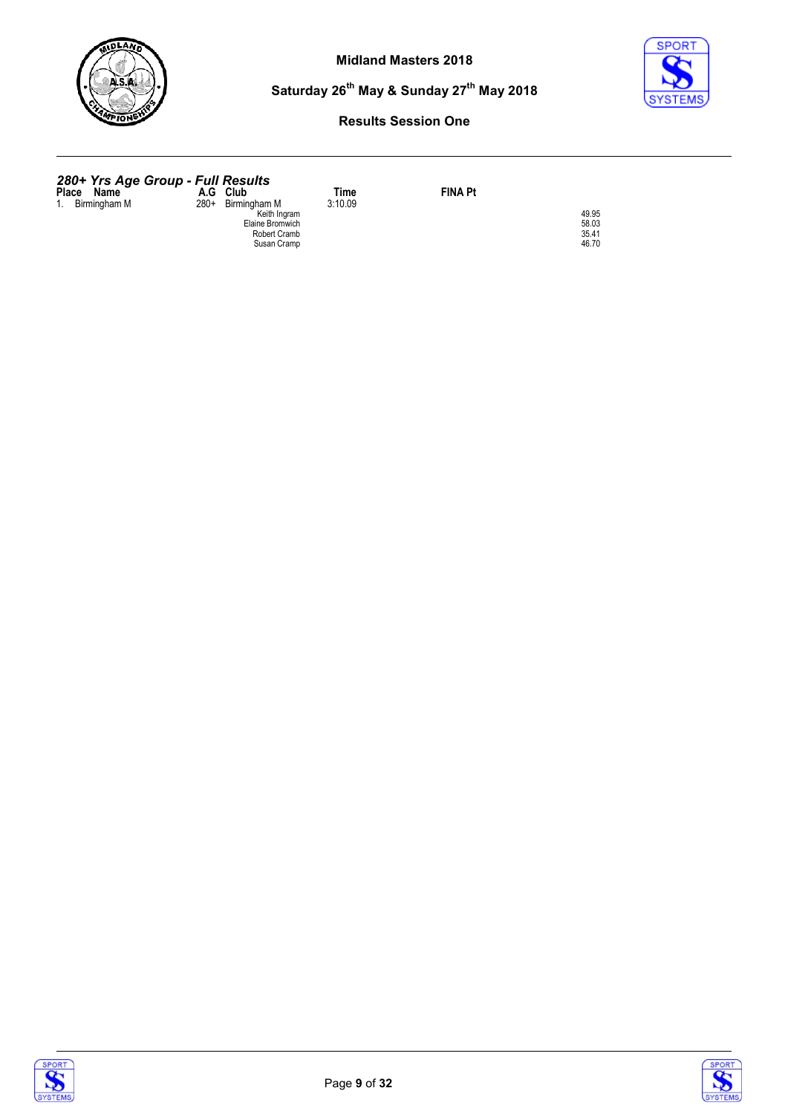



#### **Results Session One**

#### *280+ Yrs Age Group - Full Results*

**Place Name A.G Club Time FINA Pt**<br>
1. Birmingham M 280+ Birmingham M 5:10.09<br>
Elaine Bromwich<br>
FINA Pt<br>
Elaine Bromwich<br>
Robert Cramb<br>
Susan Cramp<br>
46.70<br>
46.70





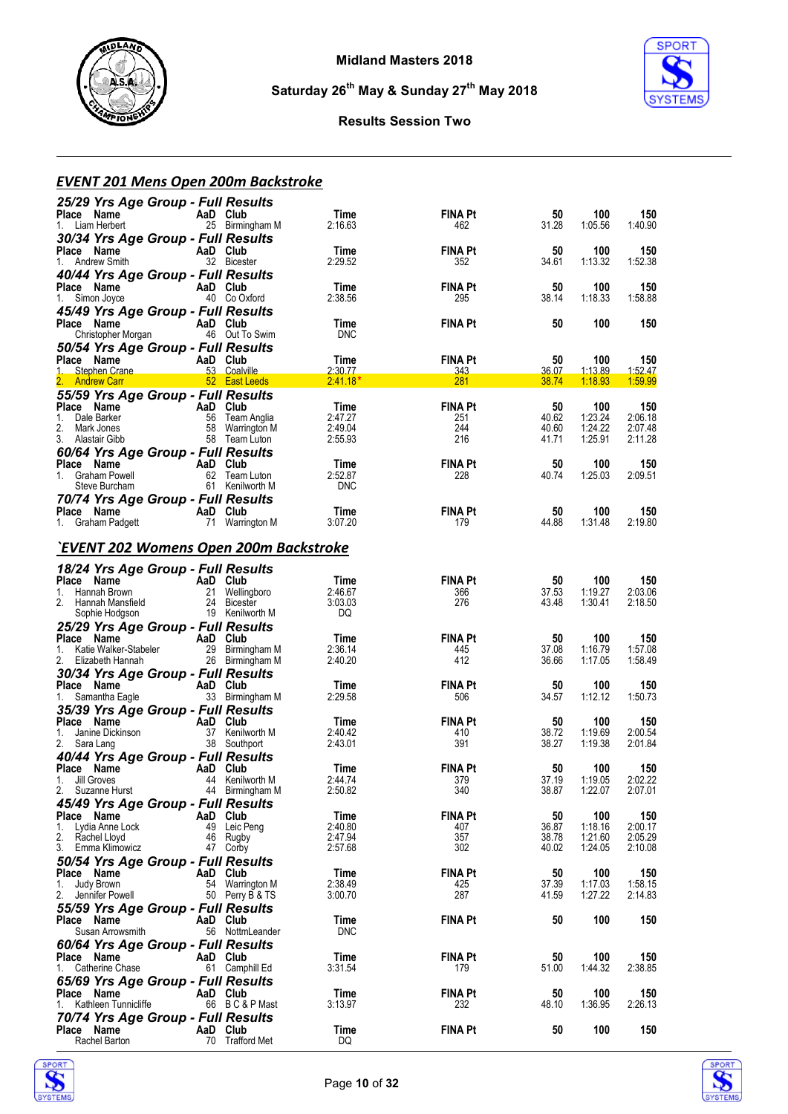



#### **Results Session Two**

#### *EVENT 201 Mens Open 200m Backstroke*

| 25/29 Yrs Age Group - Full Results<br>Place Name<br>1. Liam Herbert       | AaD Club | 25 Birmingham M                    | Time<br>2:16.63       | <b>FINA Pt</b><br>462 | 50<br>31.28    | 100<br>1:05.56     | 150<br>1:40.90     |
|---------------------------------------------------------------------------|----------|------------------------------------|-----------------------|-----------------------|----------------|--------------------|--------------------|
| 30/34 Yrs Age Group - Full Results<br>Place Name<br>1. Andrew Smith       | AaD Club | 32 Bicester                        | Time<br>2:29.52       | <b>FINA Pt</b><br>352 | 50<br>34.61    | 100<br>1:13.32     | 150<br>1:52.38     |
| 40/44 Yrs Age Group - Full Results<br>Place Name<br>1. Simon Joyce        | AaD Club | 40 Co Oxford                       | Time<br>2:38.56       | <b>FINA Pt</b><br>295 | 50<br>38.14    | 100<br>1:18.33     | 150<br>1:58.88     |
| 45/49 Yrs Age Group - Full Results<br>Place Name<br>Christopher Morgan    | AaD Club | 46 Out To Swim                     | Time<br><b>DNC</b>    | <b>FINA Pt</b>        | 50             | 100                | 150                |
| 50/54 Yrs Age Group - Full Results<br>Place Name<br>$1-$<br>Stephen Crane | AaD Club |                                    | Time<br>2:30.77       | <b>FINA Pt</b><br>343 | 50<br>36.07    | 100<br>1:13.89     | 150<br>1:52.47     |
| 2. Andrew Carr                                                            |          | 52 East Leeds                      | $2:41.18*$            | 281                   | 38.74          | 1:18.93            | 1:59.99            |
| 55/59 Yrs Age Group - Full Results<br>Place Name                          | AaD Club |                                    | Time                  | <b>FINA Pt</b>        | 50             | 100                | 150                |
| 1.<br>Dale Barker                                                         |          | 56 Team Anglia                     | 2:47.27               | 251                   | 40.62          | 1:23.24            | 2:06.18            |
| 2.<br>Mark Jones<br>3. Alastair Gibb                                      |          | 58 Warrington M<br>58 Team Luton   | 2:49.04<br>2:55.93    | 244<br>216            | 40.60<br>41.71 | 1:24.22<br>1:25.91 | 2:07.48<br>2:11.28 |
| 60/64 Yrs Age Group - Full Results                                        |          |                                    |                       |                       |                |                    |                    |
| Place Name<br>AaD Club                                                    |          |                                    | Time                  | <b>FINA Pt</b>        | 50             | 100                | 150                |
| 1. Graham Powell<br>Steve Burcham                                         |          | 62 Team Luton<br>61 Kenilworth M   | 2:52.87<br><b>DNC</b> | 228                   | 40.74          | 1:25.03            | 2:09.51            |
| 70/74 Yrs Age Group - Full Results                                        |          |                                    |                       |                       |                |                    |                    |
| Place Name<br>AaD Club                                                    |          |                                    | Time                  | <b>FINA Pt</b>        | 50             | 100                | 150                |
| 1. Graham Padgett                                                         |          | 71 Warrington M                    | 3:07.20               | 179                   | 44.88          | 1:31.48            | 2:19.80            |
| `EVENT 202 Womens Open 200m Backstroke                                    |          |                                    |                       |                       |                |                    |                    |
| 18/24 Yrs Age Group - Full Results<br>Place Name<br>AaD Club              |          |                                    | Time                  | <b>FINA Pt</b>        | 50             | 100                | 150                |
| 1. Hannah Brown                                                           |          | 21 Wellingboro                     | 2:46.67               | 366                   | 37.53          | 1:19.27            | 2:03.06            |
| 2. Hannah Mansfield                                                       |          | 24 Bicester<br>19 Kenilworth M     | 3:03.03<br>DQ.        | 276                   | 43.48          | 1:30.41            | 2:18.50            |
| Sophie Hodgson<br>25/29 Yrs Age Group - Full Results                      |          |                                    |                       |                       |                |                    |                    |
| Place Name                                                                | AaD Club |                                    | Time                  | <b>FINA Pt</b>        | 50             | 100                | 150                |
| 1. Katie Walker-Stabeler<br>2.                                            |          | 29 Birmingham M                    | 2:36.14<br>2:40.20    | 445<br>412            | 37.08<br>36.66 | 1:16.79<br>1:17.05 | 1:57.08<br>1:58.49 |
| Elizabeth Hannah<br>30/34 Yrs Age Group - Full Results                    |          | 26 Birmingham M                    |                       |                       |                |                    |                    |
| Place Name                                                                | AaD Club |                                    | Time                  | <b>FINA Pt</b>        | 50             | 100                | 150                |
| Samantha Eagle<br>1.                                                      |          | 33 Birmingham M                    | 2:29.58               | 506                   | 34.57          | 1:12.12            | 1:50.73            |
| 35/39 Yrs Age Group - Full Results<br>Place Name                          | AaD Club |                                    | Time                  | <b>FINA Pt</b>        | 50             | 100                | 150                |
| 1. Janine Dickinson                                                       |          | 37 Kenilworth M                    | 2:40.42               | 410                   | 38.72          | 1:19.69            | 2:00.54            |
| 2. Sara Lang                                                              |          | 38 Southport                       | 2:43.01               | 391                   | 38.27          | 1:19.38            | 2:01.84            |
| 40/44 Yrs Age Group - Full Results<br>Place Name                          |          |                                    | Time                  | <b>FINA Pt</b>        | 50             | 100                | 150                |
| AaD Club<br>44 Kenilw<br>1. Jill Groves                                   |          | 44 Kenilworth M                    | 2:44.74               | 379                   | 37.19          | 1:19.05            | 2:02.22            |
| 2. Suzanne Hurst                                                          |          | 44 Birmingham M                    | 2:50.82               | 340                   | 38.87          | 1:22.07            | 2:07.01            |
| 45/49 Yrs Age Group - Full Results<br>Place Name                          | AaD Club |                                    | Time                  | FINA Pt               | 50             | 100                | 150                |
| Lydia Anne Lock<br>1.                                                     |          | 49 Leic Pena                       | 2:40.80               | 407                   | 36.87          | 1:18.16            | 2:00.17            |
| 2. Rachel Lloyd<br>3. Emma Klimowicz                                      |          | 46 Rugby<br>47 Corby               | 2:47.94<br>2:57.68    | 357<br>302            | 38.78<br>40.02 | 1:21.60<br>1:24.05 | 2:05.29<br>2:10.08 |
| 50/54 Yrs Age Group - Full Results                                        |          |                                    |                       |                       |                |                    |                    |
| Place Name                                                                | AaD Club |                                    | Time                  | <b>FINA Pt</b>        | 50             | 100                | 150                |
| Judy Brown<br>1.<br>2.<br>Jennifer Powell                                 |          | 54 Warrington M<br>50 Perry B & TS | 2:38.49<br>3:00.70    | 425<br>287            | 37.39<br>41.59 | 1:17.03<br>1:27.22 | 1:58.15<br>2:14.83 |
| 55/59 Yrs Age Group - Full Results                                        |          |                                    |                       |                       |                |                    |                    |
| Place Name                                                                | AaD Club |                                    | Time                  | <b>FINA Pt</b>        | 50             | 100                | 150                |
| Susan Arrowsmith                                                          |          | 56 NottmLeander                    | <b>DNC</b>            |                       |                |                    |                    |
| 60/64 Yrs Age Group - Full Results<br>Place Name                          | AaD Club |                                    | Time                  | <b>FINA Pt</b>        | 50             | 100                | 150                |
| Catherine Chase<br>1.                                                     |          | 61 Camphill Ed                     | 3:31.54               | 179                   | 51.00          | 1:44.32            | 2:38.85            |
| 65/69 Yrs Age Group - Full Results                                        |          |                                    |                       |                       |                |                    |                    |
| Place Name<br>Kathleen Tunnicliffe<br>1.                                  | AaD Club | 66 BC&PMast                        | Time<br>3:13.97       | FINA Pt<br>232        | 50<br>48.10    | 100<br>1:36.95     | 150<br>2:26.13     |
| 70/74 Yrs Age Group - Full Results                                        |          |                                    |                       |                       |                |                    |                    |
| Place Name                                                                | AaD Club |                                    | Time                  | <b>FINA Pt</b>        | 50             | 100                | 150                |
| Rachel Barton                                                             |          | 70 Trafford Met                    | DQ                    |                       |                |                    |                    |



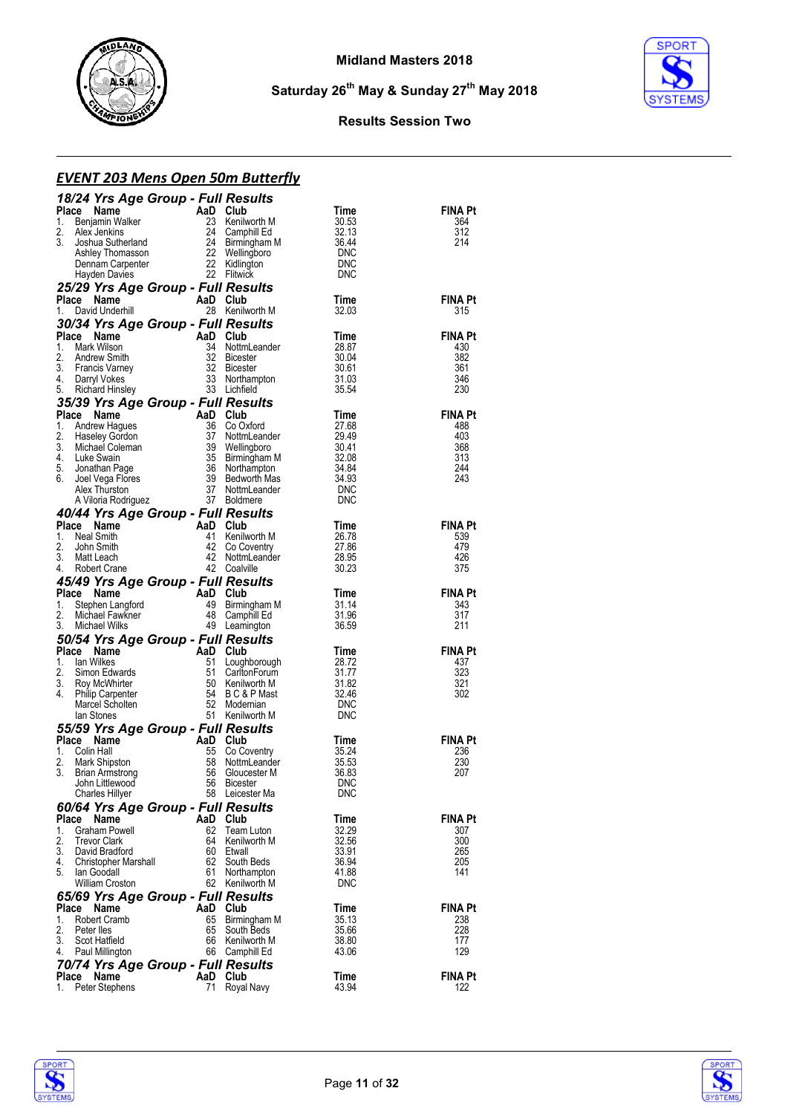



#### **Results Session Two**

## *EVENT 203 Mens Open 50m Butterfly*

| 18/24 Yrs Age Group - Full Results                                                                |                |                                                                                    |                          |                       |
|---------------------------------------------------------------------------------------------------|----------------|------------------------------------------------------------------------------------|--------------------------|-----------------------|
| Place<br>Name                                                                                     | AaD Club       |                                                                                    | Time                     | <b>FINA Pt</b>        |
| 1.<br>Benjamin Walker<br>2.<br>Alex Jenkins                                                       | 23<br>24       | Kenilworth M<br>Camphill Ed                                                        | 30.53<br>32.13           | 364<br>312            |
| 3.<br>Joshua Sutherland                                                                           |                | 24 Camphill Ed<br>24 Birmingham<br>22 Wellingboro<br>22 Kidlington<br>Birmingham M | 36.44                    | 214                   |
| Ashley Thomasson                                                                                  |                |                                                                                    | DNC                      |                       |
| Dennam Carpenter<br>Hayden Davies                                                                 |                | 22 Kidlington<br>22 Flitwick                                                       | DNC<br><b>DNC</b>        |                       |
| 25/29 Yrs Age Group - Full Results                                                                |                |                                                                                    |                          |                       |
| Place<br>Name                                                                                     | AaD Club       |                                                                                    | Time                     | FINA Pt               |
| 1.<br>David Underhill                                                                             |                | 28 Kenilworth M                                                                    | 32.03                    | 315                   |
| 30/34 Yrs Age Group - Full Results                                                                |                |                                                                                    |                          |                       |
| AaD Club<br>34 Nottm<br>32 Bicest<br>32 Bicest<br>33 Northa<br>Place<br>Name<br>1.<br>Mark Wilson |                | NottmLeander                                                                       | Time<br>28.87            | <b>FINA Pt</b><br>430 |
| 2.<br>Andrew Smith                                                                                |                | 32 Bicester                                                                        | 30.04                    | 382                   |
| 3.<br><b>Francis Varney</b>                                                                       |                | <b>Bicester</b>                                                                    | 30.61                    | 361                   |
| 4.<br>Darryl Vokes<br>5.<br>Richard Hinsley                                                       | 33             | Northampton<br>33 Lichfield                                                        | 31.03<br>35.54           | 346<br>230            |
| 35/39 Yrs Age Group - Full Results                                                                |                |                                                                                    |                          |                       |
| Place<br>Name                                                                                     | AaD Club       |                                                                                    | Time                     | <b>FINA Pt</b>        |
| 1.<br>Andrew Hagues                                                                               | 36             | Co Oxford                                                                          | 27.68                    | 488                   |
| 2.<br><b>Haseley Gordon</b><br>3.                                                                 | 37<br>39       | NottmLeander                                                                       | 29.49                    | 403<br>368            |
| Michael Coleman<br>4.<br>Luke Swain                                                               | 35             | Wellingboro<br>Birmingham M                                                        | 30.41<br>32.08           | 313                   |
| 5.<br>Jonathan Page                                                                               |                | 36 Northampton                                                                     | 34.84                    | 244                   |
| 6.<br>Joel Vega Flores                                                                            | 39             | Bedworth Mas                                                                       | 34.93                    | 243                   |
| Alex Thurston<br>A Viloria Rodriguez                                                              | 37             | NottmLeander<br>37 Boldmere                                                        | <b>DNC</b><br><b>DNC</b> |                       |
| 40/44 Yrs Age Group - Full Results                                                                |                |                                                                                    |                          |                       |
| Place<br>Name                                                                                     | AaD            | Club                                                                               | Time                     | FINA Pt               |
| 1.<br>Neal Smith                                                                                  | 41             | Kenilworth M                                                                       | 26.78                    | 539                   |
| 2.<br>John Smith<br>3.<br>Matt Leach                                                              | 42<br>42       | Co Coventry<br>NottmLeander                                                        | 27.86<br>28.95           | 479<br>426            |
| 4.<br>Robert Crane                                                                                |                | 42 Coalville                                                                       | 30.23                    | 375                   |
| 45/49 Yrs Age Group - Full Results                                                                |                |                                                                                    |                          |                       |
| Place<br>Name                                                                                     | AaD Club       |                                                                                    | Time                     | <b>FINA Pt</b>        |
| 1.<br>Stephen Langford                                                                            | 49             | Birmingham M                                                                       | 31.14                    | 343                   |
| 2.<br>Michael Fawkner<br>3.<br>Michael Wilks                                                      | 48             | Camphill Ed<br>49 Leamington                                                       | 31.96<br>36.59           | 317<br>211            |
| 50/54 Yrs Age Group - Full Results                                                                |                |                                                                                    |                          |                       |
| Place Name                                                                                        | AaD Club       |                                                                                    | Time                     | <b>FINA Pt</b>        |
| 1.<br>lan Wilkes                                                                                  | 51             | Loughborough                                                                       | 28.72                    | 437                   |
| 2.<br>Simon Edwards<br>3.<br>Roy McWhirter                                                        | 51             | CarltonForum<br>50 Kenilworth M                                                    | 31.77<br>31.82           | 323<br>321            |
| 4.<br><b>Philip Carpenter</b>                                                                     | 54             | B C & P Mast                                                                       | 32.46                    | 302                   |
| Marcel Scholten                                                                                   | 52             | Modernian                                                                          | DNC                      |                       |
| lan Stones                                                                                        |                |                                                                                    |                          |                       |
|                                                                                                   |                | 51 Kenilworth M                                                                    | <b>DNC</b>               |                       |
| 55/59 Yrs Age Group - Full Results                                                                |                |                                                                                    |                          |                       |
| Place<br>Name<br>Colin Hall<br>1.                                                                 | AaD<br>55      | Club                                                                               | Time<br>35.24            | FINA Pt<br>236        |
| 2.<br>Mark Shipston                                                                               | 58             | Co Coventry<br>NottmLeander                                                        | 35.53                    | 230                   |
| 3.<br><b>Brian Armstrong</b>                                                                      | 56             | Gloucester M                                                                       | 36.83                    | 207                   |
| John Littlewood                                                                                   | 56             | Bicester                                                                           | DNC                      |                       |
| <b>Charles Hillyer</b>                                                                            |                | 58 Leicester Ma                                                                    | <b>DNC</b>               |                       |
| 60/64 Yrs Age Group - Full Results<br>Place<br>Name                                               | AaD            | Club                                                                               | Time                     | FINA Pt               |
| 1.<br>Graham Powell                                                                               | 62             | Team Luton                                                                         | 32.29                    | 307                   |
| 2.<br><b>Trevor Clark</b>                                                                         | 64 -           | Kenilworth M                                                                       | 32.56                    | 300                   |
| 3.<br>David Bradford<br>4.<br>Christopher Marshall                                                | 60<br>62       | Etwall<br>South Beds                                                               | 33.91<br>36.94           | 265<br>205            |
| 5.<br>lan Goodall                                                                                 | 61             | Northampton                                                                        | 41.88                    | 141                   |
| <b>William Croston</b>                                                                            |                | 62 Kenilworth M                                                                    | <b>DNC</b>               |                       |
| 65/69 Yrs Age Group - Full Results                                                                |                |                                                                                    |                          |                       |
| Place<br>Name<br>1.<br><b>Robert Cramb</b>                                                        | AaD Club<br>65 | Birmingham M                                                                       | Time<br>35.13            | FINA Pt<br>238        |
| 2.<br>Peter lles                                                                                  | 65             | South Beds                                                                         | 35.66                    | 228                   |
| 3.<br>Scot Hatfield                                                                               | 66             | Kenilworth M                                                                       | 38.80                    | 177                   |
| 4.<br>Paul Millington                                                                             | 66             | Camphill Ed                                                                        | 43.06                    | 129                   |
| 70/74 Yrs Age Group - Full Results<br>Place<br>Name                                               | AaD            | Club                                                                               | Time                     | FINA Pt               |

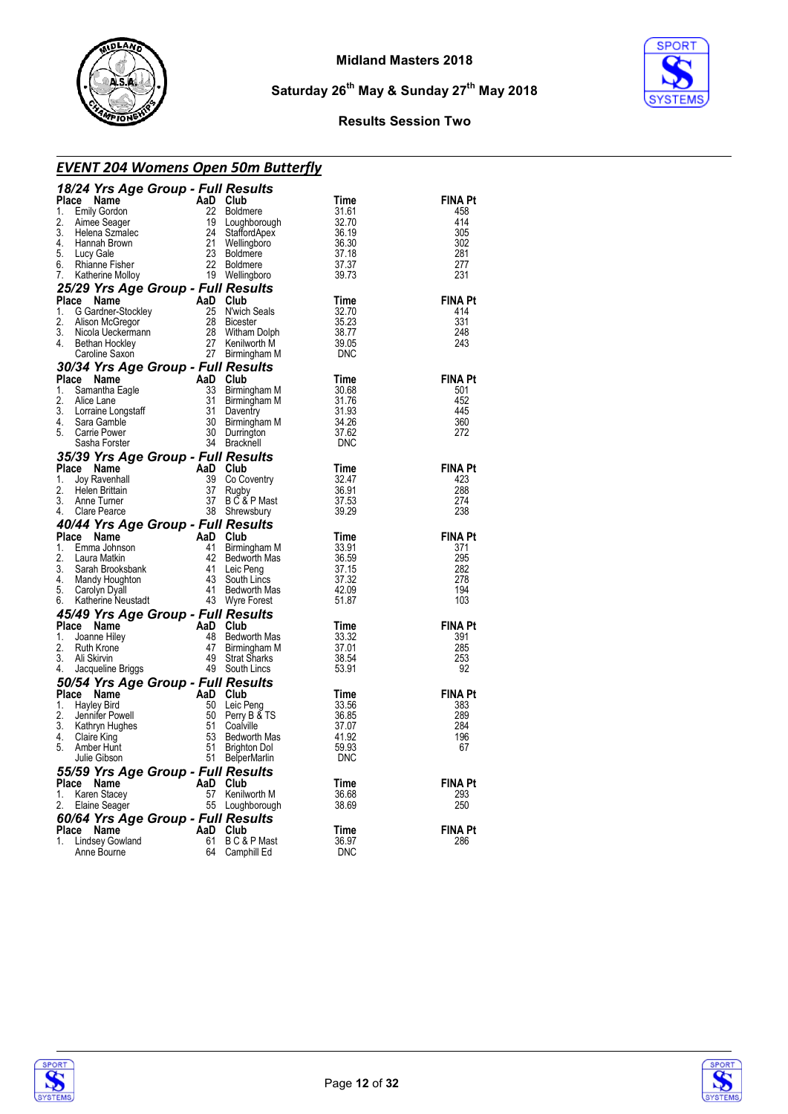

**SPORT** 

**Saturday 26th May & Sunday 27th May 2018**

#### **Results Session Two**

| <u>EVENT 204 Womens Open 50m Butterfly</u><br><b>EIVI EU .</b><br><b>24 Yrs Age Group - Full Resurse<br/> Le Name AaD Club<br/> Emily Gordon 22 Boldmere<br/> Aimee Seager 19 Loughborough<br/> Helena Szmalec 24 StaffordApex<br/> Hanna Brown 21 Wellingboro<br/> Lucy Gale 23 Boldmere<br/> Rhianne Fisher 22</b>                                                                                                                                       |     |                                                                        |                                                                  |                |  |  |
|------------------------------------------------------------------------------------------------------------------------------------------------------------------------------------------------------------------------------------------------------------------------------------------------------------------------------------------------------------------------------------------------------------------------------------------------------------|-----|------------------------------------------------------------------------|------------------------------------------------------------------|----------------|--|--|
| 18/24 Yrs Age Group - Full Results                                                                                                                                                                                                                                                                                                                                                                                                                         |     |                                                                        |                                                                  |                |  |  |
| Place Name                                                                                                                                                                                                                                                                                                                                                                                                                                                 |     |                                                                        | Time                                                             | <b>FINA Pt</b> |  |  |
| 1. Emily Gordon<br>2.                                                                                                                                                                                                                                                                                                                                                                                                                                      |     |                                                                        | 31.61                                                            | 458<br>414     |  |  |
| 3.                                                                                                                                                                                                                                                                                                                                                                                                                                                         |     |                                                                        | 32.70<br>36.19<br>36.30<br>37.18                                 | 305            |  |  |
| 4.                                                                                                                                                                                                                                                                                                                                                                                                                                                         |     |                                                                        |                                                                  | 302            |  |  |
| 5.                                                                                                                                                                                                                                                                                                                                                                                                                                                         |     |                                                                        |                                                                  | 281            |  |  |
| 6.                                                                                                                                                                                                                                                                                                                                                                                                                                                         |     |                                                                        | 37.37                                                            | 277            |  |  |
| 7.                                                                                                                                                                                                                                                                                                                                                                                                                                                         |     |                                                                        | 39.73                                                            | 231            |  |  |
| 25/29 Yrs Age Group - Full Results<br><b>The View State Croup - Full New York Cardian Club</b><br>C Gardner-Stockley<br>Alison McGregor 28 Bicester<br>Nicola Ueckermann 28 Witham Dolph<br>Bethan Hockley 27 Kenilworth M<br>Caroline Saxon 27 Birmingham M<br>Turn Results                                                                                                                                                                               |     |                                                                        |                                                                  |                |  |  |
| Place Name                                                                                                                                                                                                                                                                                                                                                                                                                                                 |     |                                                                        | Time                                                             | <b>FINA Pt</b> |  |  |
| 1.                                                                                                                                                                                                                                                                                                                                                                                                                                                         |     |                                                                        | $\begin{array}{c} 32.70 \\ 35.23 \\ 38.77 \\ \hline \end{array}$ | 414            |  |  |
| 2.<br>3.                                                                                                                                                                                                                                                                                                                                                                                                                                                   |     |                                                                        |                                                                  | 331<br>248     |  |  |
| 4.                                                                                                                                                                                                                                                                                                                                                                                                                                                         |     |                                                                        | 39.05                                                            | 243            |  |  |
|                                                                                                                                                                                                                                                                                                                                                                                                                                                            |     |                                                                        | DNC                                                              |                |  |  |
| Caroline Saxon<br><b>30/34 Yrs Age Group - Full Results</b><br><b>1.</b> Samantha Eagle<br><b>2.</b> Alice Lane<br>3. Lorraine Longstaff<br>3. Lorraine Longstaff<br>4. Sara Gamble<br>5. Carrier Power and Burningham M<br>5. Caroline Power and Burningham                                                                                                                                                                                               |     |                                                                        |                                                                  |                |  |  |
|                                                                                                                                                                                                                                                                                                                                                                                                                                                            |     |                                                                        |                                                                  | <b>FINA Pt</b> |  |  |
|                                                                                                                                                                                                                                                                                                                                                                                                                                                            |     |                                                                        |                                                                  | 501            |  |  |
|                                                                                                                                                                                                                                                                                                                                                                                                                                                            |     |                                                                        |                                                                  | 452            |  |  |
|                                                                                                                                                                                                                                                                                                                                                                                                                                                            |     |                                                                        |                                                                  | 445            |  |  |
|                                                                                                                                                                                                                                                                                                                                                                                                                                                            |     |                                                                        |                                                                  | 360            |  |  |
|                                                                                                                                                                                                                                                                                                                                                                                                                                                            |     |                                                                        |                                                                  | 272            |  |  |
|                                                                                                                                                                                                                                                                                                                                                                                                                                                            |     |                                                                        |                                                                  |                |  |  |
| 4. Sala Corre Power<br>Sasha Forster<br><b>35/39 Yrs Age Group - Full Results<br/> Name Mame AaD Club</b><br>$\frac{35}{2}$ Co Coventry<br>$\frac{39}{2}$ Co Coventry                                                                                                                                                                                                                                                                                      |     |                                                                        | Time                                                             | <b>FINA Pt</b> |  |  |
|                                                                                                                                                                                                                                                                                                                                                                                                                                                            |     |                                                                        | 32.47                                                            | 423            |  |  |
|                                                                                                                                                                                                                                                                                                                                                                                                                                                            |     |                                                                        | 36.91                                                            | 288            |  |  |
| 3.                                                                                                                                                                                                                                                                                                                                                                                                                                                         |     |                                                                        |                                                                  | 274            |  |  |
| Comparison of the Company Ray Company Ray Company Ray Company Ray Company Company Company Company Company Company Company Company Company Company Company Company Company Company Company Company Company Company Company Comp<br>4.                                                                                                                                                                                                                       |     | Rugby 36.91<br>B C & P Mast 37.53<br>Shrewsbury 39.29<br>38 Shrewsbury |                                                                  | 238            |  |  |
| 40/44 Yrs Age Group - Full Results<br>Place Name And Club<br>1. Emma Johnson<br>2. Laura Matkin<br>2. Laura Matkin<br>3. Sarah Brooksbank<br>4. Mandy Houghton<br>4. Mandy Houghton<br>5. Carolyn Dyall<br>6. Katherine Neustadt<br>6. Katherine N                                                                                                                                                                                                         |     |                                                                        |                                                                  |                |  |  |
|                                                                                                                                                                                                                                                                                                                                                                                                                                                            |     |                                                                        | Time                                                             | <b>FINA Pt</b> |  |  |
|                                                                                                                                                                                                                                                                                                                                                                                                                                                            |     |                                                                        |                                                                  | 371            |  |  |
|                                                                                                                                                                                                                                                                                                                                                                                                                                                            |     |                                                                        |                                                                  | 295            |  |  |
|                                                                                                                                                                                                                                                                                                                                                                                                                                                            |     |                                                                        |                                                                  | 282            |  |  |
|                                                                                                                                                                                                                                                                                                                                                                                                                                                            |     |                                                                        |                                                                  | 278<br>194     |  |  |
|                                                                                                                                                                                                                                                                                                                                                                                                                                                            |     |                                                                        |                                                                  | 103            |  |  |
|                                                                                                                                                                                                                                                                                                                                                                                                                                                            |     |                                                                        |                                                                  |                |  |  |
| <b>Prace Name And Constant Manufarm And Captain</b><br>1. Emma Johnson<br>2. Laura Matkin 42 Bedworth Mas<br>3. Sarah Brooksbank 41 Leic Peng 37.15<br>4. Mandy Houghton 43 South Lincs 37.32<br>6. Carolyn Dyall 41 Bedworth Mas<br>6. Katheri<br>Place Name<br>Ce Name<br>Joanne Hiley<br>Joanne Hiley<br>Ruth Krone<br>Ali Skirvin 49 Strat Sharks<br>Ali Skirvin 49 Strat Sharks<br>Jacqueline Briggs<br>19 South Lincs<br>16 September 19 South Lincs |     |                                                                        | Time                                                             | <b>FINA Pt</b> |  |  |
| 1.                                                                                                                                                                                                                                                                                                                                                                                                                                                         |     | Bedworth Mas                                                           | 33.32                                                            | 391            |  |  |
| 2.                                                                                                                                                                                                                                                                                                                                                                                                                                                         |     |                                                                        | 37.01                                                            | 285            |  |  |
| 3.                                                                                                                                                                                                                                                                                                                                                                                                                                                         |     | Birmingham M<br>Strat Sharks<br>South Lincs                            | 38.54                                                            | 253            |  |  |
| 4.                                                                                                                                                                                                                                                                                                                                                                                                                                                         |     |                                                                        | 53.91                                                            | 92             |  |  |
| <b>50/54 Yrs Age Group - Full Results<br/> Place Name<br/> 1. Hayley Bird<br/> 2. Jennifer Powell<br/> 2. Jennifer Powell<br/> 3. Kathryn Hughes<br/> 4. Claire King<br/> 5. Kathryn Hunt<br/> 5. Claire King<br/> 5. Amber Hunt<br/> 5. Amber Hunt</b>                                                                                                                                                                                                    |     |                                                                        |                                                                  |                |  |  |
|                                                                                                                                                                                                                                                                                                                                                                                                                                                            |     |                                                                        | Time                                                             | <b>FINA Pt</b> |  |  |
|                                                                                                                                                                                                                                                                                                                                                                                                                                                            |     |                                                                        | 33.56                                                            | 383            |  |  |
|                                                                                                                                                                                                                                                                                                                                                                                                                                                            |     | Perry $B \& S$                                                         | 36.85<br>37.07                                                   | 289            |  |  |
|                                                                                                                                                                                                                                                                                                                                                                                                                                                            |     |                                                                        | 41.92                                                            | 284<br>196     |  |  |
| 5.<br>Amber Hunt                                                                                                                                                                                                                                                                                                                                                                                                                                           | 51  | Bedworth Mas<br>Prighton Dol<br>Brighton Dol                           | 59.93                                                            | 67             |  |  |
| Julie Gibson                                                                                                                                                                                                                                                                                                                                                                                                                                               |     | 51 BelperMarlin                                                        | <b>DNC</b>                                                       |                |  |  |
| 55/59 Yrs Age Group - Full Results                                                                                                                                                                                                                                                                                                                                                                                                                         |     |                                                                        |                                                                  |                |  |  |
| Place<br>Name                                                                                                                                                                                                                                                                                                                                                                                                                                              | AaD | Club                                                                   | Time                                                             | <b>FINA Pt</b> |  |  |
| Karen Stacey<br>1.                                                                                                                                                                                                                                                                                                                                                                                                                                         | 57  | Kenilworth M                                                           | 36.68                                                            | 293            |  |  |
| 2.<br>Elaine Seager                                                                                                                                                                                                                                                                                                                                                                                                                                        | 55  | Loughborough                                                           | 38.69                                                            | 250            |  |  |
| 60/64 Yrs Age Group - Full Results                                                                                                                                                                                                                                                                                                                                                                                                                         |     |                                                                        |                                                                  |                |  |  |
| Place<br>Name                                                                                                                                                                                                                                                                                                                                                                                                                                              | AaD | Club                                                                   | Time                                                             | <b>FINA Pt</b> |  |  |
| 1.<br><b>Lindsey Gowland</b>                                                                                                                                                                                                                                                                                                                                                                                                                               | 61  | B C & P Mast                                                           | 36.97                                                            | 286            |  |  |
| Anne Bourne                                                                                                                                                                                                                                                                                                                                                                                                                                                | 64  | Camphill Ed                                                            | <b>DNC</b>                                                       |                |  |  |



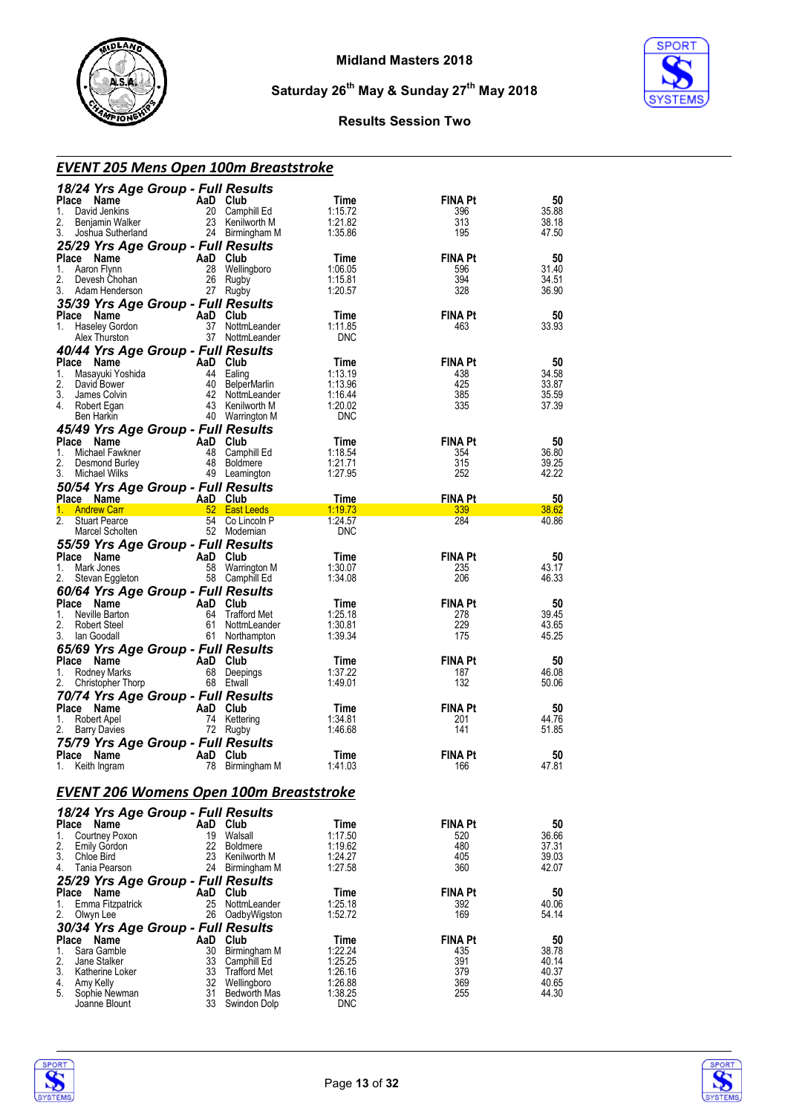



#### **Results Session Two**

| <b>EVENT 205 Mens Open 100m Breaststroke</b>                  |           |                                    |                       |                |                |
|---------------------------------------------------------------|-----------|------------------------------------|-----------------------|----------------|----------------|
| 18/24 Yrs Age Group - Full Results                            |           |                                    |                       |                |                |
| Place Name                                                    |           | AaD Club                           | Time                  | FINA Pt        | 50             |
| 1. David Jenkins<br>2.<br>Benjamin Walker                     |           | 20 Camphill Ed<br>23 Kenilworth M  | 1:15.72<br>1:21.82    | 396<br>313     | 35.88<br>38.18 |
| 3.<br>Joshua Sutherland                                       |           | 24 Birmingham M                    | 1:35.86               | 195            | 47.50          |
| 25/29 Yrs Age Group - Full Results                            |           |                                    |                       |                |                |
| Place Name                                                    |           | AaD Club                           | Time                  | <b>FINA Pt</b> | 50             |
| Aaron Flynn<br>1.<br>2.<br>Devesh Chohan                      | 28<br>26  | Wellingboro                        | 1:06.05<br>1:15.81    | 596<br>394     | 31.40<br>34.51 |
| 3. Adam Henderson                                             |           | Rugby<br>27 Rugby                  | 1:20.57               | 328            | 36.90          |
| 35/39 Yrs Age Group - Full Results                            |           |                                    |                       |                |                |
| Place Name                                                    |           | AaD Club                           | Time                  | FINA Pt        | 50             |
| Haseley Gordon<br>1.                                          |           | 37 NottmLeander<br>37 NottmLeander | 1:11.85<br><b>DNC</b> | 463            | 33.93          |
| Alex Thurston                                                 |           |                                    |                       |                |                |
| 40/44 Yrs Age Group - Full Results<br>Place Name              |           | AaD Club                           | Time                  | <b>FINA Pt</b> | 50             |
| 1.<br>Masayuki Yoshida                                        |           | 44 Ealing                          | 1:13.19               | 438            | 34.58          |
| 2.<br>David Bower                                             |           | 40 BelperMarlin                    | 1:13.96               | 425            | 33.87          |
| 3.<br>James Colvin<br>4. Robert Egan                          |           | 42 NottmLeander<br>43 Kenilworth M | 1:16.44<br>1:20.02    | 385<br>335     | 35.59<br>37.39 |
| Ben Harkin                                                    |           | 40 Warrington M                    | <b>DNC</b>            |                |                |
| 45/49 Yrs Age Group - Full Results                            |           |                                    |                       |                |                |
| Place Name                                                    | AaD Club  |                                    | Time                  | <b>FINA Pt</b> | 50             |
| 1.<br>Michael Fawkner<br>2.<br>Desmond Burley                 |           | 48 Camphill Ed<br>48 Boldmere      | 1:18.54<br>1:21.71    | 354<br>315     | 36.80<br>39.25 |
| 3.<br>Michael Wilks                                           |           | 49 Leamington                      | 1:27.95               | 252            | 42.22          |
| 50/54 Yrs Age Group - Full Results                            |           |                                    |                       |                |                |
| Place Name                                                    |           | AaD Club                           | Time                  | <b>FINA Pt</b> | 50             |
| <b>Andrew Carr</b><br>1.<br>2.<br><b>Stuart Pearce</b>        |           | 52 East Leeds<br>54 Co Lincoln P   | 1:19.73<br>1:24.57    | 339<br>284     | 38.62<br>40.86 |
| Marcel Scholten                                               |           | 52 Modernian                       | <b>DNC</b>            |                |                |
| 55/59 Yrs Age Group - Full Results                            |           |                                    |                       |                |                |
| Place Name                                                    |           | AaD Club                           | Time                  | FINA Pt        | 50             |
| Mark Jones<br>1.<br>2.<br>Stevan Eggleton                     |           | 58 Warrington M<br>58 Camphill Ed  | 1:30.07<br>1:34.08    | 235<br>206     | 43.17<br>46.33 |
| 60/64 Yrs Age Group - Full Results                            |           |                                    |                       |                |                |
| Place Name                                                    |           | AaD Club                           | Time                  | <b>FINA Pt</b> | 50             |
| Neville Barton<br>1.<br>2.                                    |           | 64 Trafford Met<br>61 NottmLeander | 1:25.18<br>1:30.81    | 278<br>229     | 39.45<br>43.65 |
| Robert Steel<br>3.<br>lan Goodall                             |           | 61 Northampton                     | 1:39.34               | 175            | 45.25          |
| 65/69 Yrs Age Group - Full Results                            |           |                                    |                       |                |                |
| Place Name                                                    |           | AaD Club                           | Time                  | FINA Pt        | 50             |
| Rodney Marks<br>1.                                            |           | 68 Deepings<br>68 Etwall           | 1:37.22<br>1:49.01    | 187<br>132     | 46.08          |
| 2.<br>Christopher Thorp<br>70/74 Yrs Age Group - Full Results |           |                                    |                       |                | 50.06          |
| Place Name                                                    |           | AaD Club                           | Time                  | FINA Pt        | 50             |
| Robert Apel<br>1.                                             |           | 74 Kettering                       | 1:34.81               | 201            | 44.76          |
| 2.<br><b>Barry Davies</b>                                     |           | 72 Rugby                           | 1:46.68               | 141            | 51.85          |
| 75/79 Yrs Age Group - Full Results<br>Place<br>Name           |           | Club                               |                       | <b>FINA Pt</b> | 50             |
| 1.<br>Keith Ingram                                            | AaD<br>78 | Birmingham M                       | l ime<br>1:41.03      | 166            | 47.81          |
|                                                               |           |                                    |                       |                |                |
| <b>EVENT 206 Womens Open 100m Breaststroke</b>                |           |                                    |                       |                |                |
| 18/24 Yrs Age Group - Full Results                            |           |                                    |                       |                |                |
| Place Name                                                    |           | AaD Club                           | Time                  | FINA Pt        | 50             |
| Courtney Poxon<br>1.                                          | 19        | Walsall                            | 1:17.50               | 520            | 36.66          |
| 2.<br><b>Emily Gordon</b><br>3.<br>Chloe Bird                 | 22<br>23  | <b>Boldmere</b><br>Kenilworth M    | 1:19.62<br>1:24.27    | 480<br>405     | 37.31<br>39.03 |
| 4.<br>Tania Pearson                                           | 24        | Birmingham M                       | 1:27.58               | 360            | 42.07          |
| 25/29 Yrs Age Group - Full Results                            |           |                                    |                       |                |                |
| Place Name                                                    |           | AaD Club                           | Time                  | <b>FINA Pt</b> | 50             |
| Emma Fitzpatrick<br>1.<br>2.<br>Olwyn Lee                     | 25<br>26  | NottmLeander<br>OadbyWigston       | 1:25.18<br>1:52.72    | 392<br>169     | 40.06<br>54.14 |
| 30/34 Yrs Age Group - Full Results                            |           |                                    |                       |                |                |
| Place Name                                                    |           | AaD Club                           | Time                  | FINA Pt        | 50             |
| Sara Gamble<br>1.                                             | 30        | Birmingham M                       | 1:22.24               | 435            | 38.78          |
| 2.<br>Jane Stalker<br>3.<br>Katherine Loker                   | 33<br>33  | Camphill Ed<br>Trafford Met        | 1:25.25<br>1:26.16    | 391<br>379     | 40.14<br>40.37 |
| 4.<br>Amy Kelly                                               |           | 32 Wellingboro                     | 1:26.88               | 369            | 40.65          |
| 5.<br>Sophie Newman                                           | 31        | <b>Bedworth Mas</b>                | 1:38.25               | 255            | 44.30          |
| Joanne Blount                                                 |           | 33 Swindon Dolp                    | <b>DNC</b>            |                |                |



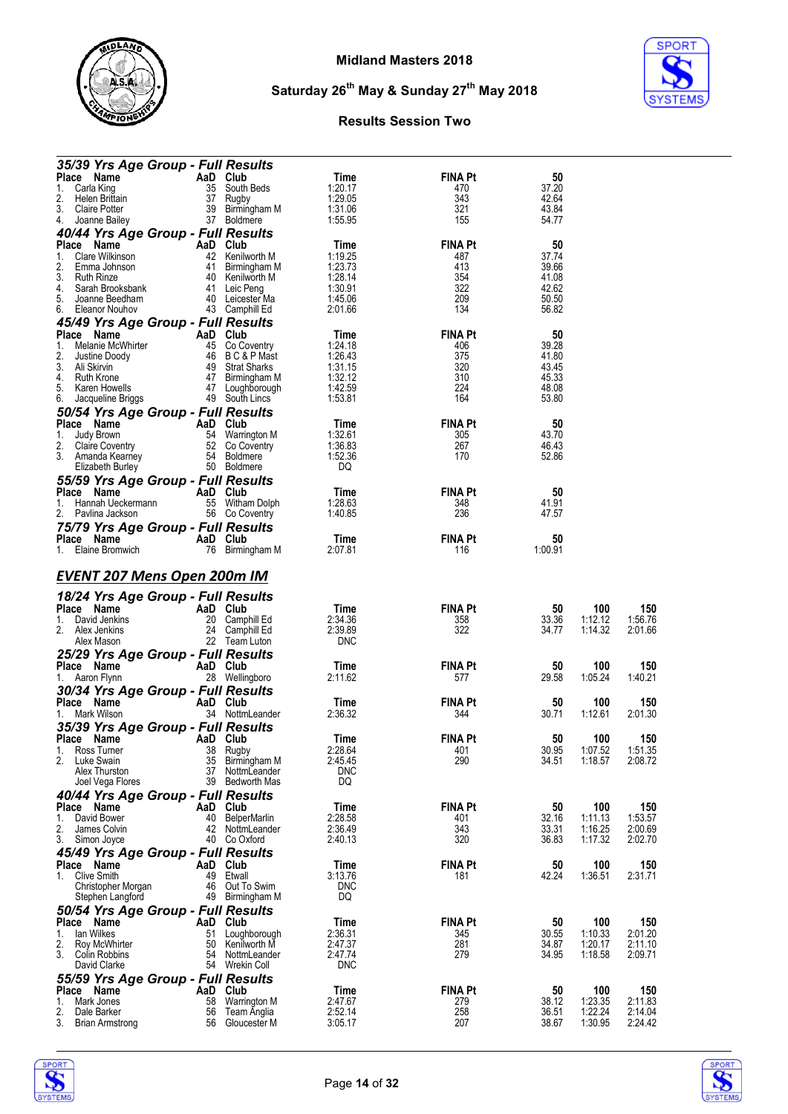

**SPORT** 

**Saturday 26th May & Sunday 27th May 2018**

#### **Results Session Two**

| 35/39 Yrs Age Group - Full Results               |          |                                 |                    |                |                |         |         |
|--------------------------------------------------|----------|---------------------------------|--------------------|----------------|----------------|---------|---------|
| Place Name                                       | AaD Club |                                 | Time               | <b>FINA Pt</b> | 50             |         |         |
| Carla King<br>1.                                 |          | 35 South Beds                   | 1:20.17            | 470            | 37.20          |         |         |
| 2.<br>Helen Brittain                             |          | 37 Rugby                        | 1:29.05            | 343            | 42.64          |         |         |
| 3.<br>Claire Potter                              |          | 39 Birmingham M                 | 1:31.06            | 321            | 43.84          |         |         |
| 4.<br>Joanne Bailey                              |          | 37 Boldmere                     | 1:55.95            | 155            | 54.77          |         |         |
| 40/44 Yrs Age Group - Full Results               |          |                                 |                    |                |                |         |         |
| Place Name                                       | AaD Club |                                 | Time               | <b>FINA Pt</b> | 50             |         |         |
| Clare Wilkinson<br>1.                            |          | 42 Kenilworth M                 | 1:19.25            | 487            | 37.74          |         |         |
| 2.<br>Emma Johnson                               |          | 41 Birmingham M                 | 1:23.73            | 413            | 39.66          |         |         |
| 3.<br><b>Ruth Rinze</b>                          |          | 40 Kenilworth M                 | 1:28.14            | 354            | 41.08          |         |         |
| 4.<br>Sarah Brooksbank<br>5.<br>Joanne Beedham   |          | 41 Leic Peng<br>40 Leicester Ma | 1:30.91<br>1:45.06 | 322<br>209     | 42.62<br>50.50 |         |         |
| Eleanor Nouhov<br>6.                             |          |                                 | 2:01.66            | 134            | 56.82          |         |         |
|                                                  |          | 43 Camphill Ed                  |                    |                |                |         |         |
| 45/49 Yrs Age Group - Full Results               |          |                                 |                    |                |                |         |         |
| Place Name                                       | AaD Club |                                 | Time               | <b>FINA Pt</b> | 50             |         |         |
| Melanie McWhirter<br>1.                          |          | 45 Co Coventry                  | 1:24.18            | 406            | 39.28          |         |         |
| 2.<br>Justine Doody<br>3.                        |          | 46 BC&PMast<br>49 Strat Sharks  | 1:26.43<br>1:31.15 | 375<br>320     | 41.80<br>43.45 |         |         |
| Ali Skirvin<br>4. Ruth Krone                     |          | 47 Birmingham M                 | 1:32.12            | 310            | 45.33          |         |         |
| 5.<br>Karen Howells                              |          | 47 Loughborough                 | 1:42.59            | 224            | 48.08          |         |         |
| 6.<br>Jacqueline Briggs                          |          | 49 South Lincs                  | 1:53.81            | 164            | 53.80          |         |         |
|                                                  |          |                                 |                    |                |                |         |         |
| 50/54 Yrs Age Group - Full Results<br>Place Name | AaD Club |                                 |                    | <b>FINA Pt</b> | 50             |         |         |
| 1.<br>Judy Brown                                 |          | 54 Warrington M                 | Time               |                | 43.70          |         |         |
|                                                  |          | 52 Co Coventry                  | 1:32.61            | 305            |                |         |         |
| 2.<br>Claire Coventry<br>3. Amanda Kearney       |          | 54 Boldmere                     | 1:36.83<br>1:52.36 | 267<br>170     | 46.43<br>52.86 |         |         |
| Elizabeth Burley                                 |          | 50 Boldmere                     | DQ                 |                |                |         |         |
|                                                  |          |                                 |                    |                |                |         |         |
| 55/59 Yrs Age Group - Full Results               |          |                                 |                    |                |                |         |         |
| Place Name                                       | AaD Club |                                 | Time               | <b>FINA Pt</b> | 50             |         |         |
| 1.<br>Hannah Ueckermann                          |          | 55 Witham Dolph                 | 1:28.63<br>1:40.85 | 348<br>236     | 41.91<br>47.57 |         |         |
| 2.<br>Pavlina Jackson                            |          | 56 Co Coventry                  |                    |                |                |         |         |
| 75/79 Yrs Age Group - Full Results               |          |                                 |                    |                |                |         |         |
| Place Name                                       | AaD Club |                                 | Time               | FINA Pt        | 50             |         |         |
| 1.<br>Elaine Bromwich                            |          | 76 Birmingham M                 | 2:07.81            | 116            | 1:00.91        |         |         |
| <b>EVENT 207 Mens Open 200m IM</b>               |          |                                 |                    |                |                |         |         |
|                                                  |          |                                 |                    |                |                |         |         |
| 18/24 Yrs Age Group - Full Results               |          |                                 |                    |                |                |         |         |
| Place Name                                       | AaD Club |                                 | Time               | FINA Pt        | 50             | 100     | 150     |
| 1.<br>David Jenkins                              |          | 20 Camphill Ed                  | 2:34.36            | 358            | 33.36          | 1:12.12 | 1:56.76 |
| 2.<br>Alex Jenkins                               |          | 24 Camphill Ed                  | 2:39.89            | 322            | 34.77          | 1:14.32 | 2:01.66 |
| Alex Mason                                       |          | 22 Team Luton                   | <b>DNC</b>         |                |                |         |         |
| 25/29 Yrs Age Group - Full Results               |          |                                 |                    |                |                |         |         |
| Place Name                                       | AaD Club |                                 | Time               | FINA Pt        | 50             | 100     | 150     |
| 1. Aaron Flynn                                   |          | 28 Wellingboro                  | 2:11.62            | 577            | 29.58          | 1:05.24 | 1:40.21 |
| 30/34 Yrs Age Group - Full Results               |          |                                 |                    |                |                |         |         |
| Place Name                                       | AaD Club |                                 | Time               | <b>FINA Pt</b> | 50             | 100     | 150     |
| Mark Wilson<br>1.                                |          | 34 NottmLeander                 | 2:36.32            | 344            | 30.71          | 1:12.61 | 2:01.30 |
|                                                  |          |                                 |                    |                |                |         |         |
| 35/39 Yrs Age Group - Full Results<br>Place Name | AaD Club |                                 | Time               | FINA Pt        | 50             | 100     | 150     |
| 1.<br>Ross Turner                                | 38       |                                 | 2:28.64            | 401            | 30.95          | 1:07.52 | 1:51.35 |
| 2.<br>Luke Swain                                 | 35       | Rugby<br>Birmingham M           | 2:45.45            | 290            | 34.51          | 1:18.57 | 2:08.72 |
| Alex Thurston                                    | 37       | NottmLeander                    | <b>DNC</b>         |                |                |         |         |
| Joel Vega Flores                                 | 39       | Bedworth Mas                    | DQ                 |                |                |         |         |
| 40/44 Yrs Age Group - Full Results               |          |                                 |                    |                |                |         |         |
| Place Name                                       | AaD      | Club                            | <b>Time</b>        | <b>FINA Pt</b> | 50             | 100     | 150     |
| David Bower<br>1.                                | 40       | BelperMarlin                    | 2:28.58            | 401            | 32.16          | 1:11.13 | 1:53.57 |
| 2.<br>James Colvin                               | 42       | NottmLeander                    | 2:36.49            | 343            | 33.31          | 1:16.25 | 2:00.69 |
| 3.<br>Simon Joyce                                | 40       | Co Oxford                       | 2:40.13            | 320            | 36.83          | 1:17.32 | 2:02.70 |
|                                                  |          |                                 |                    |                |                |         |         |
| 45/49 Yrs Age Group - Full Results<br>Place Name | AaD      | Club                            | Time               | <b>FINA Pt</b> | 50             | 100     | 150     |
| <b>Clive Smith</b><br>1.                         | 49       | Etwall                          | 3:13.76            | 181            | 42.24          | 1:36.51 | 2:31.71 |
| Christopher Morgan                               | 46       | Out To Swim                     | <b>DNC</b>         |                |                |         |         |
| Stephen Langford                                 | 49       | Birmingham M                    | DQ                 |                |                |         |         |
| 50/54 Yrs Age Group - Full Results               |          |                                 |                    |                |                |         |         |
| Place Name                                       | AaD⊣     | Club                            | Time               | <b>FINA Pt</b> | 50             | 100     | 150     |
| lan Wilkes<br>1.                                 | 51       | Loughborough                    | 2:36.31            | 345            | 30.55          | 1:10.33 | 2:01.20 |
| 2.<br>Roy McWhirter                              | 50       | Kenilworth M                    | 2:47.37            | 281            | 34.87          | 1:20.17 | 2:11.10 |
| 3.<br>Colin Robbins                              | 54       | NottmLeander                    | 2:47.74            | 279            | 34.95          | 1:18.58 | 2:09.71 |
| David Clarke                                     | 54       | Wrekin Coll                     | <b>DNC</b>         |                |                |         |         |
|                                                  |          |                                 |                    |                |                |         |         |
| 55/59 Yrs Age Group - Full Results<br>Place Name | AaD      | Club                            | Time               | <b>FINA Pt</b> | 50             | 100     | 150     |
| Mark Jones<br>1.                                 | 58       | Warrington M                    | 2:47.67            | 279            | 38.12          | 1:23.35 | 2:11.83 |
| 2.<br>Dale Barker                                | 56       | Team Anglia                     | 2:52.14            | 258            | 36.51          | 1:22.24 | 2:14.04 |
| 3.<br><b>Brian Armstrong</b>                     | 56       | Gloucester M                    | 3:05.17            | 207            | 38.67          | 1:30.95 | 2:24.42 |



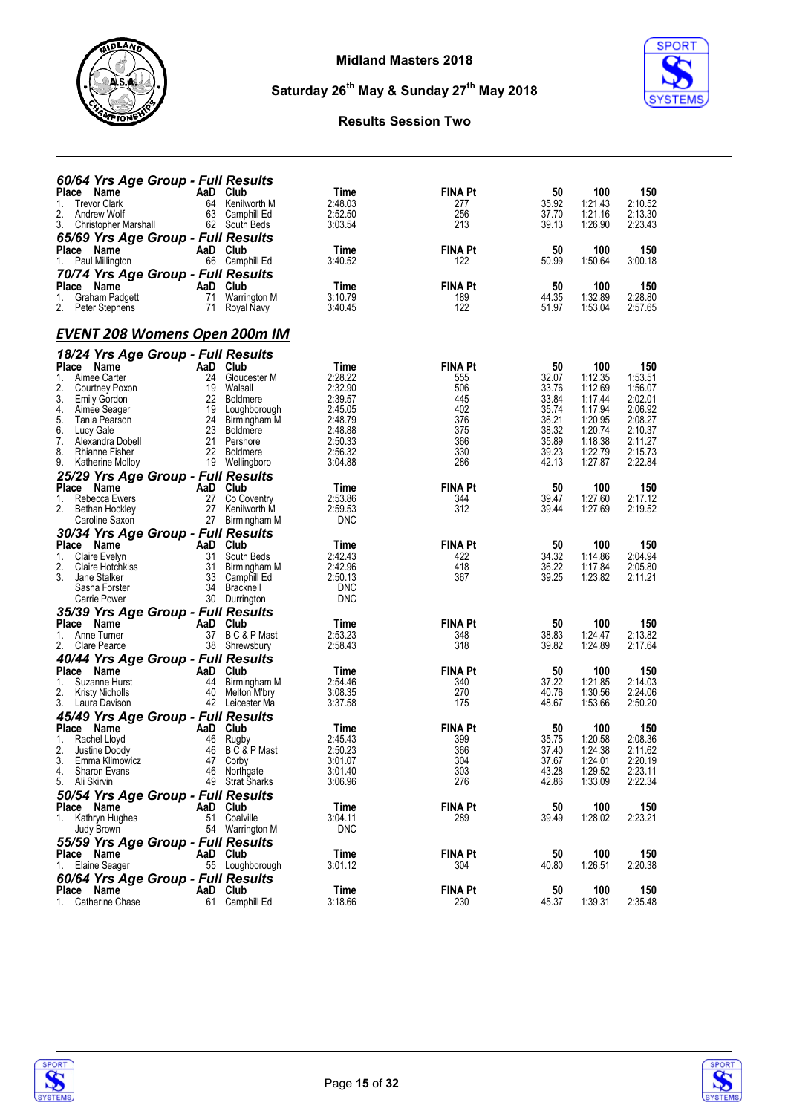

**SPORT** 

### **Results Session Two**

**Saturday 26th May & Sunday 27th May 2018**

| 60/64 Yrs Age Group - Full Results                               |                                         |                                                    |                       |                |                    |                    |
|------------------------------------------------------------------|-----------------------------------------|----------------------------------------------------|-----------------------|----------------|--------------------|--------------------|
| Place Name<br><b>Trevor Clark</b><br>1.                          | AaD<br>Club<br>64                       | Time<br>Kenilworth M<br>2:48.03                    | <b>FINA Pt</b><br>277 | 50<br>35.92    | 100<br>1:21.43     | 150<br>2:10.52     |
| 2.<br>Andrew Wolf                                                | 63<br>Camphill Ed                       | 2:52.50<br>3:03.54                                 | 256<br>213            | 37.70<br>39.13 | 1:21.16            | 2:13.30            |
| 3.<br>Christopher Marshall<br>65/69 Yrs Age Group - Full Results | 62 South Beds                           |                                                    |                       |                | 1:26.90            | 2:23.43            |
| Place Name                                                       | AaD Club                                | Time                                               | <b>FINA Pt</b>        | 50             | 100                | 150                |
| 1.<br>Paul Millington                                            | 66 Camphill Ed                          | 3:40.52                                            | 122                   | 50.99          | 1:50.64            | 3:00.18            |
| 70/74 Yrs Age Group - Full Results<br>Place Name                 | AaD<br>Club                             | Time                                               | FINA Pt               | 50             | 100                | 150                |
| Graham Padgett<br>1.                                             | 71                                      | Warrington M<br>3:10.79                            | 189                   | 44.35          | 1:32.89            | 2:28.80            |
| 2.<br>Peter Stephens                                             | 71<br>Royal Navy                        | 3:40.45                                            | 122                   | 51.97          | 1:53.04            | 2:57.65            |
| <b>EVENT 208 Womens Open 200m IM</b>                             |                                         |                                                    |                       |                |                    |                    |
| 18/24 Yrs Age Group - Full Results                               |                                         |                                                    |                       |                |                    |                    |
| Place Name<br>Aimee Carter<br>1.                                 | AaD Club<br>24                          | Time<br>2:28.22<br>Gloucester M                    | <b>FINA Pt</b><br>555 | 50<br>32.07    | 100<br>1:12.35     | 150<br>1:53.51     |
| 2.<br>Courtney Poxon                                             | 19<br>Walsall                           | 2:32.90                                            | 506                   | 33.76          | 1:12.69            | 1:56.07            |
| 3.<br><b>Emily Gordon</b>                                        | 22<br><b>Boldmere</b>                   | 2:39.57                                            | 445                   | 33.84          | 1:17.44            | 2:02.01            |
| 4.<br>Aimee Seager<br>5.<br>Tania Pearson                        | 19<br>24                                | 2:45.05<br>Loughborough<br>2:48.79<br>Birmingham M | 402<br>376            | 35.74<br>36.21 | 1:17.94<br>1:20.95 | 2:06.92<br>2:08.27 |
| 6.<br>Lucy Gale                                                  | 23<br><b>Boldmere</b>                   | 2:48.88                                            | 375                   | 38.32          | 1:20.74            | 2:10.37            |
| 7.<br>Alexandra Dobell<br>8.<br><b>Rhianne Fisher</b>            | 21<br>Pershore<br>22<br><b>Boldmere</b> | 2:50.33<br>2:56.32                                 | 366<br>330            | 35.89<br>39.23 | 1:18.38<br>1:22.79 | 2:11.27<br>2:15.73 |
| 9.<br>Katherine Molloy                                           | 19 Wellingboro                          | 3:04.88                                            | 286                   | 42.13          | 1:27.87            | 2:22.84            |
| 25/29 Yrs Age Group - Full Results<br>Place Name                 | AaD Club                                |                                                    | <b>FINA Pt</b>        |                |                    |                    |
| 1.<br>Rebecca Ewers                                              | 27                                      | Time<br>2:53.86<br>Co Coventry                     | 344                   | 50<br>39.47    | 100<br>1:27.60     | 150<br>2:17.12     |
| 2.<br>Bethan Hockley                                             | 27                                      | 2:59.53<br>Kenilworth M                            | 312                   | 39.44          | 1:27.69            | 2:19.52            |
| Caroline Saxon<br>30/34 Yrs Age Group - Full Results             | 27                                      | <b>DNC</b><br>Birmingham M                         |                       |                |                    |                    |
| Place Name                                                       | AaD Club                                | Time                                               | FINA Pt               | 50             | 100                | 150                |
| Claire Evelyn<br>1.                                              | 31<br>South Beds                        | 2:42.43                                            | 422                   | 34.32          | 1:14.86            | 2:04.94            |
| 2.<br>Claire Hotchkiss<br>3.<br>Jane Stalker                     | 31<br>33<br>Camphill Ed                 | 2:42.96<br>Birmingham M<br>2:50.13                 | 418<br>367            | 36.22<br>39.25 | 1:17.84<br>1:23.82 | 2:05.80<br>2:11.21 |
| Sasha Forster                                                    | 34<br>Bracknell                         | <b>DNC</b>                                         |                       |                |                    |                    |
| Carrie Power                                                     | 30<br>Durrington                        | <b>DNC</b>                                         |                       |                |                    |                    |
| 35/39 Yrs Age Group - Full Results<br>Place Name                 | AaD Club                                | Time                                               | FINA Pt               | 50             | 100                | 150                |
| Anne Turner<br>1.                                                | 37                                      | B C & P Mast<br>2:53.23                            | 348                   | 38.83          | 1:24.47            | 2:13.82            |
| 2.<br>Clare Pearce                                               | 38<br>Shrewsbury                        | 2:58.43                                            | 318                   | 39.82          | 1:24.89            | 2:17.64            |
| 40/44 Yrs Age Group - Full Results<br>Place Name                 | AaD Club                                | Time                                               | <b>FINA Pt</b>        | 50             | 100                | 150                |
| 1.<br>Suzanne Hurst                                              | 44                                      | Birmingham M<br>2:54.46                            | 340                   | 37.22          | 1:21.85            | 2:14.03            |
| 2.<br><b>Kristy Nicholls</b><br>3.<br>Laura Davison              | 40<br>42 Leicester Ma                   | 3:08.35<br>Melton M'bry<br>3:37.58                 | 270<br>175            | 40.76<br>48.67 | 1:30.56<br>1:53.66 | 2:24.06<br>2:50.20 |
| 45/49 Yrs Age Group - Full Results                               |                                         |                                                    |                       |                |                    |                    |
| Place Name                                                       | AaD Club                                | Time                                               | <b>FINA Pt</b>        | 50             | 100                | 150                |
| Rachel Lloyd<br>1.<br>2.<br>Justine Doody                        | 46<br>Rugby<br>46                       | 2:45.43<br>B C & P Mast<br>2:50.23                 | 399<br>366            | 35.75<br>37.40 | 1:20.58<br>1:24.38 | 2:08.36<br>2:11.62 |
| 3.<br>Emma Klimowicz                                             | 47 Corby                                | 3:01.07                                            | 304                   | 37.67          | 1:24.01            | 2:20.19            |
| 4.<br>Sharon Evans<br>5. Ali Skirvin                             | 46 Northgate<br>49 Strat Sharks         | 3:01.40<br>3:06.96                                 | 303<br>276            | 43.28<br>42.86 | 1:29.52<br>1:33.09 | 2:23.11<br>2:22.34 |
| 50/54 Yrs Age Group - Full Results                               |                                         |                                                    |                       |                |                    |                    |
| Place Name                                                       | AaD Club                                | Time                                               | FINA Pt               | 50             | 100                | 150                |
| 1. Kathryn Hughes<br>Judy Brown                                  | 51 Coalville<br>54 Warrington M         | 3:04.11<br><b>DNC</b>                              | 289                   | 39.49          | 1:28.02            | 2:23.21            |
| 55/59 Yrs Age Group - Full Results                               |                                         |                                                    |                       |                |                    |                    |
| Place Name                                                       | AaD Club                                | Time                                               | FINA Pt               | 50             | 100                | 150                |
| 1. Elaine Seager                                                 | 55 Loughborough                         | 3:01.12                                            | 304                   | 40.80          | 1:26.51            | 2:20.38            |
| 60/64 Yrs Age Group - Full Results<br>Place Name                 | AaD Club                                | <b>Time</b>                                        | FINA Pt               | 50             | 100                | 150                |
| 1. Catherine Chase                                               | 61 Camphill Ed                          | 3:18.66                                            | 230                   | 45.37          | 1:39.31            | 2:35.48            |



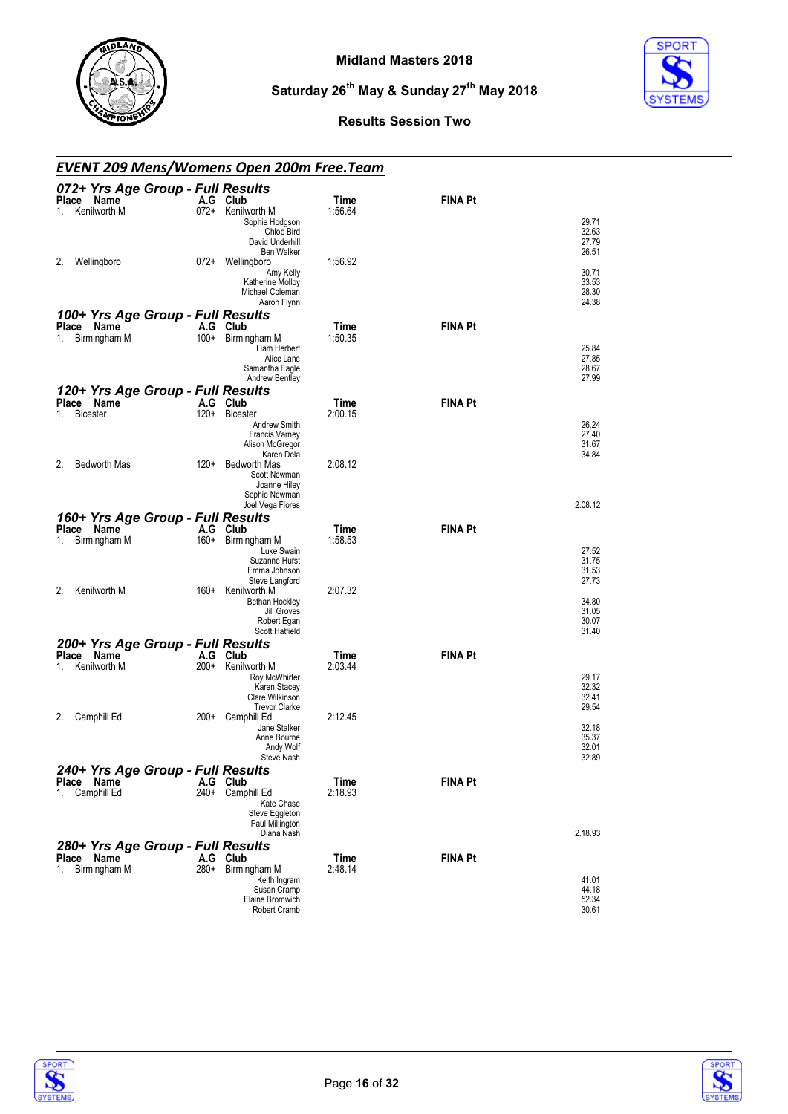



#### **Results Session Two**

#### *EVENT 209 Mens/Womens Open 200m Free.Team*

| 072+ Yrs Age Group - Full Results<br>Place Name<br>Kenilworth M          | A.G Club<br>072+ Kenilworth M                                                       | Time<br>1:56.64        | <b>FINA Pt</b> |                                  |
|--------------------------------------------------------------------------|-------------------------------------------------------------------------------------|------------------------|----------------|----------------------------------|
|                                                                          | Sophie Hodgson<br>Chloe Bird<br>David Underhill<br>Ben Walker                       |                        |                | 29.71<br>32.63<br>27.79<br>26.51 |
| Wellingboro<br>2.                                                        | 072+ Wellingboro<br>Amy Kelly<br>Katherine Molloy<br>Michael Coleman<br>Aaron Flynn | 1:56.92                |                | 30.71<br>33.53<br>28.30<br>24.38 |
| 100+ Yrs Age Group - Full Results                                        |                                                                                     |                        |                |                                  |
| Place Name<br>Birmingham M<br>1.                                         | A.G Club<br>100+ Birmingham M<br>Liam Herbert<br>Alice Lane<br>Samantha Eagle       | Time<br>1:50.35        | <b>FINA Pt</b> | 25.84<br>27.85<br>28.67          |
|                                                                          | <b>Andrew Bentley</b>                                                               |                        |                | 27.99                            |
| 120+ Yrs Age Group - Full Results<br>Place Name<br><b>Bicester</b><br>1. | A.G Club<br>120+ Bicester                                                           | Time<br>2:00.15        | <b>FINA Pt</b> |                                  |
|                                                                          | Andrew Smith<br><b>Francis Varney</b><br>Alison McGregor<br>Karen Dela              |                        |                | 26.24<br>27.40<br>31.67<br>34.84 |
| <b>Bedworth Mas</b><br>2.                                                | 120+ Bedworth Mas<br>Scott Newman<br>Joanne Hiley<br>Sophie Newman                  | 2:08.12                |                |                                  |
|                                                                          | Joel Vega Flores                                                                    |                        |                | 2.08.12                          |
| 160+ Yrs Age Group - Full Results<br>Place Name                          | A.G Club                                                                            | Time                   | <b>FINA Pt</b> |                                  |
| Birmingham M<br>1.                                                       | 160+ Birmingham M<br>Luke Swain<br>Suzanne Hurst<br>Emma Johnson<br>Steve Langford  | 1:58.53                |                | 27.52<br>31.75<br>31.53<br>27.73 |
| Kenilworth M<br>2.                                                       | 160+ Kenilworth M<br>Bethan Hockley<br>Jill Groves<br>Robert Egan<br>Scott Hatfield | 2:07.32                |                | 34.80<br>31.05<br>30.07<br>31.40 |
| 200+ Yrs Age Group - Full Results                                        |                                                                                     |                        |                |                                  |
| Place Name<br>Kenilworth M<br>1.                                         | A.G Club<br>200+ Kenilworth M                                                       | Time<br>2:03.44        | <b>FINA Pt</b> |                                  |
|                                                                          | Roy McWhirter<br>Karen Stacey<br>Clare Wilkinson<br><b>Trevor Clarke</b>            |                        |                | 29.17<br>32.32<br>32.41<br>29.54 |
| 2.<br>Camphill Ed                                                        | 200+ Camphill Ed                                                                    | 2:12.45                |                |                                  |
|                                                                          | Jane Stalker<br>Anne Bourne<br>Andy Wolf<br>Steve Nash                              |                        |                | 32.18<br>35.37<br>32.01<br>32.89 |
| 240+ Yrs Age Group - Full Results<br>Place Name                          | A.G Club                                                                            | Time                   | <b>FINA Pt</b> |                                  |
| Camphill Ed<br>1.                                                        | 240+ Camphill Ed<br>Kate Chase<br>Steve Eggleton<br>Paul Millington<br>Diana Nash   | 2:18.93                |                | 2.18.93                          |
| 280+ Yrs Age Group - Full Results                                        |                                                                                     |                        |                |                                  |
| Place Name<br>Birmingham M<br>1.                                         | A.G Club<br>280+ Birmingham M<br>Keith Ingram<br>Susan Cramp                        | <b>Time</b><br>2:48.14 | <b>FINA Pt</b> | 41.01<br>44.18                   |
|                                                                          | Elaine Bromwich<br>Robert Cramb                                                     |                        |                | 52.34<br>30.61                   |



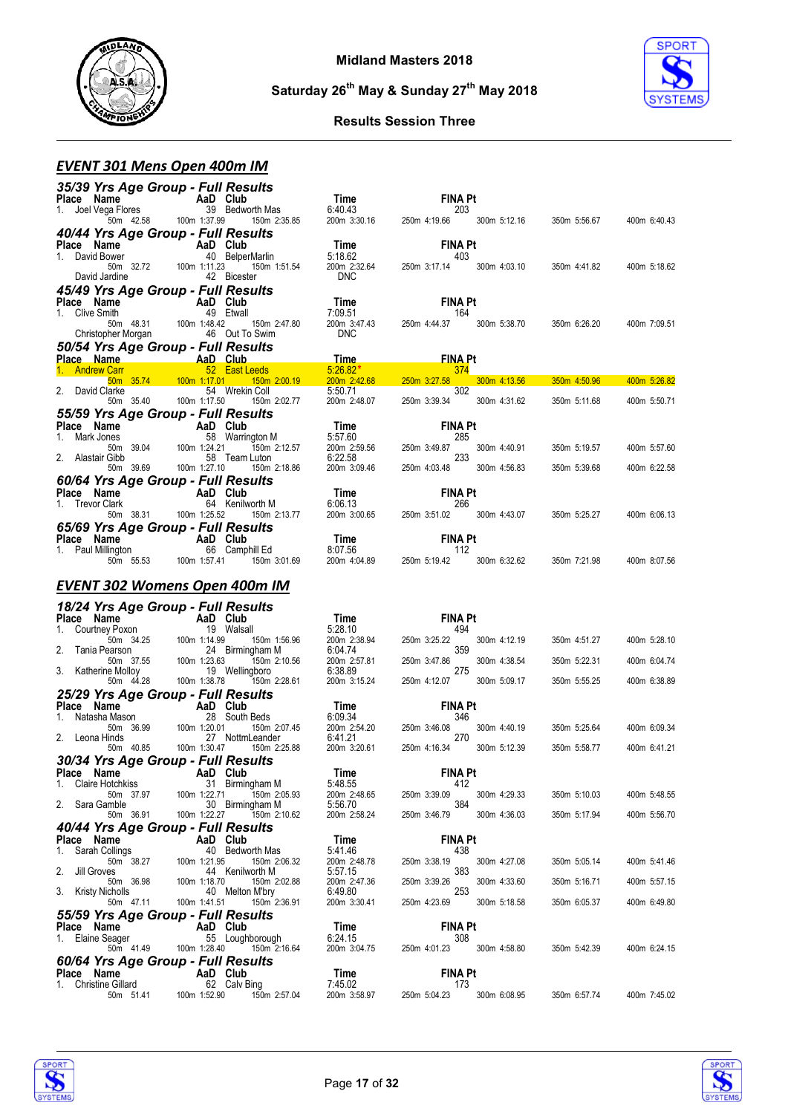



#### **Results Session Three**

# *EVENT 301 Mens Open 400m IM*

| 35/39 Yrs Age Group - Full Results                                                  |                         |                                                       |                                    |                                  |              |              |              |
|-------------------------------------------------------------------------------------|-------------------------|-------------------------------------------------------|------------------------------------|----------------------------------|--------------|--------------|--------------|
| Place Name<br>1. Joel Vega Flores<br>50m 42.58 100m 1:37.99                         |                         |                                                       | Time                               | <b>FINA Pt</b>                   |              |              |              |
|                                                                                     |                         | 39 Bedworth Mas<br>150m 2:35.85                       | 6:40.43<br>$200m$ 3:30.16          | 203<br>250m 4:19.66              | 300m 5:12.16 | 350m 5:56.67 | 400m 6:40.43 |
| 40/44 Yrs Age Group - Full Results                                                  |                         |                                                       |                                    |                                  |              |              |              |
| Place Name AaD Club                                                                 |                         |                                                       |                                    | <b>FINA Pt</b>                   |              |              |              |
| 1. David Bower                                                                      |                         | 40 BelperMarlin                                       | 5:18.62                            | 403                              |              |              |              |
| 50m 32.72 100m 1:11.23                                                              |                         | 150m 1:51.54                                          | 200m 2:32.64                       | 250m 3:17.14                     | 300m 4:03.10 | 350m 4:41.82 | 400m 5:18.62 |
| David Jardine                                                                       |                         | 42 Bicester                                           | <b>DNC</b>                         |                                  |              |              |              |
| 45/49 Yrs Age Group - Full Results                                                  |                         |                                                       |                                    |                                  |              |              |              |
| Place Name<br>1. Clive Smith                                                        | $\overline{A}$ a D Club | 49 Etwall                                             | Time<br>7:09.51                    | <b>FINA Pt</b><br>-- 164         |              |              |              |
|                                                                                     |                         | 150m 2:47.80                                          | 200m 3:47.43                       | 250m 4:44.37                     | 300m 5:38.70 | 350m 6:26.20 | 400m 7:09.51 |
| ء וויטסו 1:48.42 100m<br>her Morgan 1:48.42 100m 1:48.42 100m<br>Christopher Morgan |                         |                                                       | <b>DNC</b>                         |                                  |              |              |              |
| 50/54 Yrs Age Group - Full Results                                                  |                         |                                                       |                                    |                                  |              |              |              |
| Place Name <b>AaD</b> Club                                                          |                         |                                                       | <u>Time </u><br>$5:26.82*$         | <b>FINA Pt</b>                   |              |              |              |
| 1. Andrew Carr<br>50m 35.74 100m 1:17.01                                            |                         | 52 East Leeds<br>150m 2:00.19                         | 200m 2:42.68                       | 374<br>250m 3:27.58              | 300m 4:13.56 | 350m 4:50.96 | 400m 5:26.82 |
| 2. David Clarke                                                                     |                         | 54 Wrekin Coll                                        | 5:50.71                            | 302                              |              |              |              |
| 50m 35.40                                                                           | 100m 1:17.50            | 150m 2:02.77                                          | 200m 2:48.07                       | 250m 3:39.34                     | 300m 4:31.62 | 350m 5:11.68 | 400m 5:50.71 |
| 55/59 Yrs Age Group - Full Results                                                  |                         |                                                       |                                    |                                  |              |              |              |
| Place Name<br>Mark Jones<br>$1_{-}$                                                 | AaD Club                | 58 Warrington M                                       | <b>Time</b><br>5:57.60             | <b>FINA Pt</b><br>285            |              |              |              |
| 50m 39.04                                                                           | 100m 1:24.21            | 150m 2:12.57                                          | $5.57.60$<br>$200m$ $2.59.56$      | 250m 3:49.87                     | 300m 4:40.91 | 350m 5:19.57 | 400m 5:57.60 |
| 2. Alastair Gibb                                                                    |                         | 58 Team Luton                                         | 6:22.58                            | 233                              |              |              |              |
| 50m 39.69                                                                           | 100m 1:27.10            | 150m 2:18.86                                          | 200m 3:09.46                       | 250m 4:03.48                     | 300m 4:56.83 | 350m 5:39.68 | 400m 6:22.58 |
| 60/64 Yrs Age Group - Full Results                                                  |                         |                                                       |                                    |                                  |              |              |              |
| <b>Place Name</b><br>1. Trevor Clark<br>1. Trevor Clark<br>1. Trevor Clark          |                         | 64 Kenilworth M                                       | Time<br>6:06.13                    | <b>FINA Pt</b><br>266            |              |              |              |
| 50m 38.31                                                                           | 100m 1:25.52            | 150m 2:13.77                                          | 200m 3:00.65                       | 250m 3:51.02                     | 300m 4:43.07 | 350m 5:25.27 | 400m 6:06.13 |
| 65/69 Yrs Age Group - Full Results                                                  |                         |                                                       |                                    |                                  |              |              |              |
| Place Name<br>1. Paul Millington 66 Campl                                           |                         |                                                       | Time                               | <b>FINA Pt</b>                   |              |              |              |
| 50m 55.53 100m 1:57.41                                                              |                         | 66 Camphill Ed<br>:57.41 150m 3:01.69<br>150m 3:01.69 | 8:07.56<br>8:07.56<br>200m 4:04.89 | 112<br>250m 5:19.42 300m 6:32.62 |              | 350m 7:21.98 | 400m 8:07.56 |
|                                                                                     |                         |                                                       |                                    |                                  |              |              |              |
| <b>EVENT 302 Womens Open 400m IM</b>                                                |                         |                                                       |                                    |                                  |              |              |              |
|                                                                                     |                         |                                                       |                                    |                                  |              |              |              |
|                                                                                     |                         |                                                       |                                    |                                  |              |              |              |
| 18/24 Yrs Age Group - Full Results                                                  |                         |                                                       |                                    |                                  |              |              |              |
|                                                                                     |                         |                                                       | Time                               | <b>FINA Pt</b>                   |              |              |              |
| Place Name<br>1. Courtney Poxon<br>19 Walsa                                         |                         | 19 Walsall<br>150m 1:56.96                            | 5:28.10                            | 494<br>250m 3:25.22              | 300m 4:12.19 | 350m 4:51.27 | 400m 5:28.10 |
| $\frac{1}{2}$ 50m 34.25 100m 1:14.99<br>Tania Pearson                               |                         | 24 Birmingham M                                       | 5.26.10<br>200m 2:38.94<br>6:04.74 | 359                              |              |              |              |
| 50m 37.55                                                                           | 100m 1:23.63            | 150m 2:10.56                                          | 200m 2:57.81                       | 250m 3:47.86                     | 300m 4:38.54 | 350m 5:22.31 | 400m 6:04.74 |
| 3. Katherine Molloy<br>50m  44.28                                                   | 100m<br>100m 1:38.78    | 19 Wellingboro<br>150m 2:28.61                        | 6:38.89<br>200m 3:15.24            | 275<br>250m 4:12.07              | 300m 5:09.17 | 350m 5:55.25 | 400m 6:38.89 |
| 25/29 Yrs Age Group - Full Results                                                  |                         |                                                       |                                    |                                  |              |              |              |
| Place Name                                                                          | - AaD Club              |                                                       | Time                               | <b>FINA Pt</b>                   |              |              |              |
| 1. Natasha Mason                                                                    |                         | 28 South Beds                                         | 6:09.34                            | 346                              |              |              |              |
| 50m 36.99<br>2. Leona Hinds                                                         | 100m 1:20.01            | 150m 2:07.45<br>27 NottmLeander                       | $200m$ 2:54.20<br>6:41.21          | 250m 3:46.08<br>270              | 300m 4:40.19 | 350m 5:25.64 | 400m 6:09.34 |
| 50m 40.85                                                                           | 100m 1:30.47            | 150m 2:25.88                                          | 200m 3:20.61                       | 250m 4:16.34                     | 300m 5:12.39 | 350m 5:58.77 | 400m 6:41.21 |
| 30/34 Yrs Age Group - Full Results                                                  |                         |                                                       |                                    |                                  |              |              |              |
| Place Name AaD Club                                                                 |                         |                                                       | Time                               | <b>FINA Pt</b>                   |              |              |              |
| 1. Claire Hotchkiss                                                                 |                         | 31 Birmingham M                                       | 5:48.55                            | 412<br>250m 3:39.09              |              |              |              |
| 50m 37.97<br>2. Sara Gamble                                                         | 100m 1:22.71            | 150m 2:05.93<br>30 Birmingham M                       | 200m 2:48.65<br>5:56.70            | 384                              | 300m 4:29.33 | 350m 5:10.03 | 400m 5:48.55 |
| 50m 36.91                                                                           | 100m 1:22.27            | 150m 2:10.62                                          | 200m 2:58.24                       | 250m 3:46.79                     | 300m 4:36.03 | 350m 5:17.94 | 400m 5:56.70 |
| 40/44 Yrs Age Group - Full Results                                                  |                         |                                                       |                                    |                                  |              |              |              |
| Place Name<br>1.                                                                    | AaD Club                | 40 Bedworth Mas                                       | Time<br>5:41.46                    | <b>FINA Pt</b>                   |              |              |              |
| Sarah Collings<br>50m 38.27                                                         | 100m 1:21.95            | 150m 2:06.32                                          | 200m 2:48.78                       | 438<br>250m 3:38.19              | 300m 4:27.08 | 350m 5:05.14 | 400m 5:41.46 |
| Jill Groves<br>2.                                                                   |                         | 44 Kenilworth M                                       | 5:57.15                            | 383                              |              |              |              |
| 50m 36.98<br>3. Kristy Nicholls                                                     | 100m 1:18.70            | 150m 2:02.88<br>40 Melton M'bry                       | 200m 2:47.36<br>6:49.80            | 250m 3:39.26<br>253              | 300m 4:33.60 | 350m 5:16.71 | 400m 5:57.15 |
| 50m 47.11                                                                           | 100m 1:41.51            | 150m 2:36.91                                          | 200m 3:30.41                       | 250m 4:23.69                     | 300m 5:18.58 | 350m 6:05.37 | 400m 6:49.80 |
| 55/59 Yrs Age Group - Full Results                                                  |                         |                                                       |                                    |                                  |              |              |              |
| Place Name                                                                          | AaD Club                |                                                       | Time                               | <b>FINA Pt</b>                   |              |              |              |
| Elaine Seager<br>1.<br>50m 41.49                                                    | 100m 1:28.40            | 55 Loughborough<br>150m 2:16.64                       | 6:24.15<br>200m 3:04.75            | 308<br>250m 4:01.23              | 300m 4:58.80 | 350m 5:42.39 | 400m 6:24.15 |
| 60/64 Yrs Age Group - Full Results                                                  |                         |                                                       |                                    |                                  |              |              |              |
| Place Name                                                                          | AaD Club                |                                                       | Time                               | <b>FINA Pt</b>                   |              |              |              |
| 1. Christine Gillard<br>50m 51.41                                                   | 100m 1:52.90            | 62 Calv Bing<br>150m 2:57.04                          | 7:45.02<br>200m 3:58.97            | 173<br>250m 5:04.23              | 300m 6:08.95 | 350m 6:57.74 | 400m 7:45.02 |



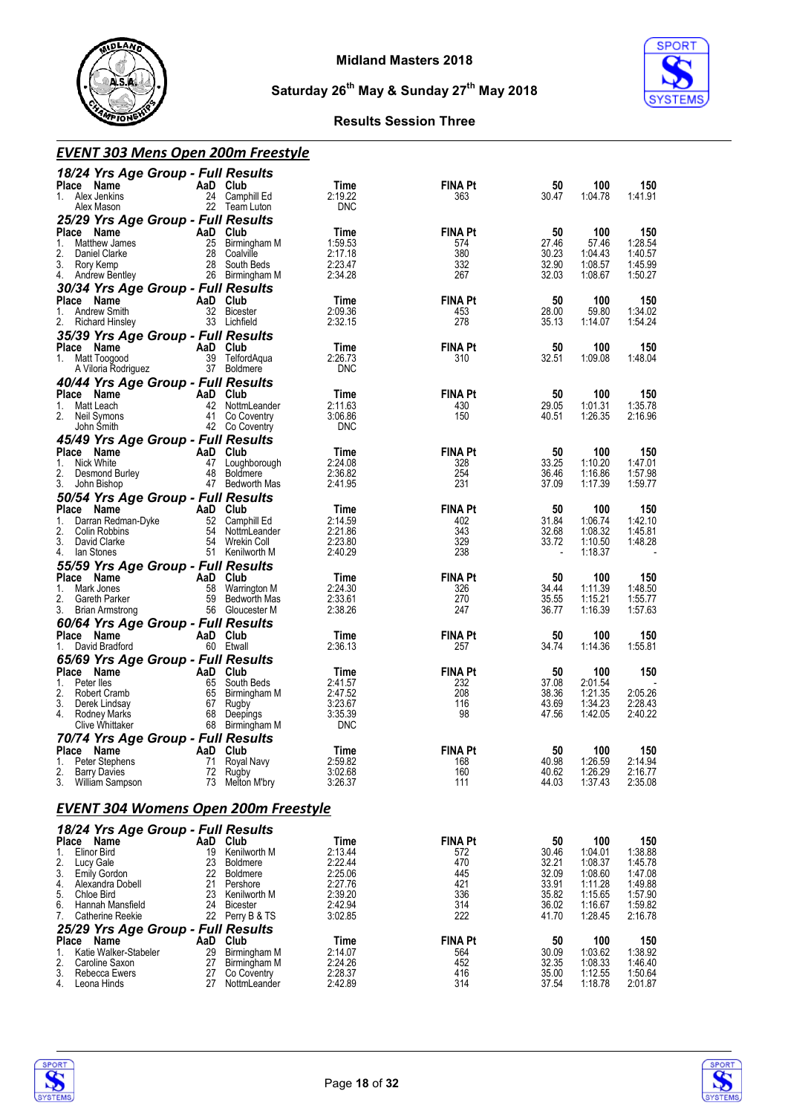



#### **Results Session Three**

#### *EVENT 303 Mens Open 200m Freestyle*

| 18/24 Yrs Age Group - Full Results<br>Place Name                       | AaD Club  |                                   | Time                  | <b>FINA Pt</b>        | 50             | 100                | 150                |
|------------------------------------------------------------------------|-----------|-----------------------------------|-----------------------|-----------------------|----------------|--------------------|--------------------|
| 1.<br>Alex Jenkins<br>Alex Mason<br>25/29 Yrs Age Group - Full Results |           | 24 Camphill Ed<br>22 Team Luton   | 2:19.22<br><b>DNC</b> | 363                   | 30.47          | 1:04.78            | 1:41.91            |
| Place<br>Name                                                          | AaD       | Club                              | Time                  | <b>FINA Pt</b>        | 50             | 100                | 150                |
| 1.<br>Matthew James<br>2.<br>Daniel Clarke                             | 25<br>28  | Birmingham M<br>Coalville         | 1:59.53<br>2:17.18    | 574<br>380            | 27.46<br>30.23 | 57.46<br>1:04.43   | 1:28.54<br>1:40.57 |
| 3.<br>Rory Kemp                                                        | 28        | South Beds                        | 2:23.47               | 332                   | 32.90          | 1:08.57            | 1:45.99            |
| 4.<br>Andrew Bentley                                                   |           | 26 Birmingham M                   | 2:34.28               | 267                   | 32.03          | 1:08.67            | 1:50.27            |
| 30/34 Yrs Age Group - Full Results                                     |           |                                   |                       |                       |                |                    |                    |
| Place<br>Name<br><b>Andrew Smith</b><br>1.                             | AaD Club  | 32 Bicester                       | Time<br>2:09.36       | <b>FINA Pt</b><br>453 | 50<br>28.00    | 100<br>59.80       | 150<br>1:34.02     |
| 2.<br><b>Richard Hinsley</b>                                           |           | 33 Lichfield                      | 2:32.15               | 278                   | 35.13          | 1:14.07            | 1:54.24            |
| 35/39 Yrs Age Group - Full Results                                     |           |                                   |                       |                       |                |                    |                    |
| Place<br>Name                                                          | AaD Club  |                                   | Time                  | <b>FINA Pt</b>        | 50             | 100                | 150                |
| 1. Matt Toogood<br>A Viloria Rodriguez                                 |           | 39 TelfordAqua<br>37 Boldmere     | 2:26.73<br><b>DNC</b> | 310                   | 32.51          | 1:09.08            | 1:48.04            |
| 40/44 Yrs Age Group - Full Results                                     |           |                                   |                       |                       |                |                    |                    |
| Place<br>Name                                                          | AaD       | Club                              | Time                  | <b>FINA Pt</b>        | 50             | 100                | 150                |
| Matt Leach<br>1.<br>2.<br>Neil Symons                                  |           | 42 NottmLeander<br>41 Co Coventry | 2:11.63<br>3:06.86    | 430<br>150            | 29.05<br>40.51 | 1:01.31<br>1:26.35 | 1:35.78<br>2:16.96 |
| John Smith                                                             |           | 42 Co Coventry                    | <b>DNC</b>            |                       |                |                    |                    |
| 45/49 Yrs Age Group - Full Results                                     |           |                                   |                       |                       |                |                    |                    |
| Place<br>Name                                                          | AaD Club  |                                   | Time                  | <b>FINA Pt</b>        | 50             | 100                | 150                |
| 1.<br>Nick White<br>2.<br>Desmond Burley                               | 48        | 47 Loughborough<br>Boldmere       | 2:24.08<br>2:36.82    | 328<br>254            | 33.25<br>36.46 | 1:10.20<br>1:16.86 | 1:47.01<br>1:57.98 |
| 3.<br>John Bishop                                                      |           | 47 Bedworth Mas                   | 2:41.95               | 231                   | 37.09          | 1:17.39            | 1:59.77            |
| 50/54 Yrs Age Group - Full Results                                     |           |                                   |                       |                       |                |                    |                    |
| Place<br>Name<br>Darran Redman-Dyke<br>1.                              | AaD<br>52 | Club<br>Camphill Ed               | Time<br>2:14.59       | <b>FINA Pt</b><br>402 | 50<br>31.84    | 100<br>1:06.74     | 150<br>1:42.10     |
| 2.<br>Colin Robbins                                                    | 54        | NottmLeander                      | 2:21.86               | 343                   | 32.68          | 1:08.32            | 1:45.81            |
| 3.<br>David Clarke                                                     |           | 54 Wrekin Coll                    | 2:23.80               | 329                   | 33.72          | 1:10.50            | 1:48.28            |
| 4.<br>lan Stones<br>55/59 Yrs Age Group - Full Results                 |           | 51 Kenilworth M                   | 2:40.29               | 238                   |                | 1:18.37            |                    |
| Place<br>Name                                                          | AaD       | Club                              | Time                  | <b>FINA Pt</b>        | 50             | 100                | 150                |
| Mark Jones<br>1.                                                       | 58        | Warrington M                      | 2:24.30               | 326                   | 34.44          | 1:11.39            | 1:48.50            |
| 2.<br>Gareth Parker<br>3.<br><b>Brian Armstrong</b>                    | 59        | Bedworth Mas<br>56 Gloucester M   | 2:33.61<br>2:38.26    | 270<br>247            | 35.55<br>36.77 | 1:15.21<br>1:16.39 | 1:55.77<br>1:57.63 |
| 60/64 Yrs Age Group - Full Results                                     |           |                                   |                       |                       |                |                    |                    |
| Place Name                                                             | AaD Club  |                                   | Time                  | <b>FINA Pt</b>        | 50             | 100                | 150                |
| David Bradford<br>1.                                                   |           | 60 Etwall                         | 2:36.13               | 257                   | 34.74          | 1:14.36            | 1:55.81            |
| 65/69 Yrs Age Group - Full Results                                     |           |                                   |                       | <b>FINA Pt</b>        |                |                    |                    |
| Place<br>Name<br>Peter lles<br>1.                                      | AaD<br>65 | Club<br>South Beds                | Time<br>2:41.57       | 232                   | 50<br>37.08    | 100<br>2:01.54     | 150                |
| 2.<br>Robert Cramb                                                     | 65        | Birmingham M                      | 2:47.52               | 208                   | 38.36          | 1:21.35            | 2:05.26            |
| 3.<br>Derek Lindsay<br>4.<br>Rodney Marks                              | 67<br>68  | Rugby<br>Deepings                 | 3:23.67<br>3:35.39    | 116<br>98             | 43.69<br>47.56 | 1:34.23<br>1:42.05 | 2:28.43<br>2:40.22 |
| <b>Clive Whittaker</b>                                                 | 68        | Birmingham M                      | <b>DNC</b>            |                       |                |                    |                    |
| 70/74 Yrs Age Group - Full Results                                     |           |                                   |                       |                       |                |                    |                    |
| Place<br>Name                                                          | AaD       | Club                              | Time                  | <b>FINA Pt</b>        | 50             | 100                | 150                |
| 1.<br>Peter Stephens<br>2.<br><b>Barry Davies</b>                      | 71<br>72  | Royal Navy<br>Rugby               | 2:59.82<br>3:02.68    | 168<br>160            | 40.98<br>40.62 | 1:26.59<br>1:26.29 | 2:14.94<br>2:16.77 |
| 3.<br>William Sampson                                                  | 73        | Melton M'bry                      | 3:26.37               | 111                   | 44.03          | 1:37.43            | 2:35.08            |
| <b>EVENT 304 Womens Open 200m Freestyle</b>                            |           |                                   |                       |                       |                |                    |                    |
| 18/24 Yrs Age Group - Full Results                                     |           |                                   |                       |                       |                |                    |                    |
| Place<br>Name                                                          | AaD Club  |                                   | Time                  | <b>FINA Pt</b>        | 50             | 100                | 150                |
| 1.<br><b>Elinor Bird</b><br>2.<br>Lucy Gale                            | 19<br>23  | Kenilworth M<br>Boldmere          | 2:13.44<br>2:22.44    | 572<br>470            | 30.46<br>32.21 | 1:04.01<br>1:08.37 | 1:38.88<br>1:45.78 |
| 3.<br><b>Emily Gordon</b>                                              | 22        | <b>Boldmere</b>                   | 2:25.06               | 445                   | 32.09          | 1:08.60            | 1:47.08            |
| 4.<br>Alexandra Dobell                                                 | 21<br>23  | Pershore                          | 2:27.76<br>2:39.20    | 421                   | 33.91          | 1:11.28            | 1:49.88            |
| 5.<br>Chloe Bird<br>6.<br>Hannah Mansfield                             | 24        | Kenilworth M<br><b>Bicester</b>   | 2:42.94               | 336<br>314            | 35.82<br>36.02 | 1:15.65<br>1:16.67 | 1:57.90<br>1:59.82 |
| 7.<br>Catherine Reekie                                                 |           | 22 Perry B & TS                   | 3:02.85               | 222                   | 41.70          | 1:28.45            | 2:16.78            |
| 25/29 Yrs Age Group - Full Results                                     |           |                                   |                       |                       |                |                    |                    |
| Place<br>Name<br>Katie Walker-Stabeler<br>1.                           | AaD<br>29 | Club<br>Birmingham M              | Time<br>2:14.07       | <b>FINA Pt</b><br>564 | 50<br>30.09    | 100<br>1:03.62     | 150<br>1:38.92     |
| 2.<br>Caroline Saxon                                                   | 27        | Birmingham M                      | 2:24.26               | 452                   | 32.35          | 1:08.33            | 1:46.40            |
| 3.<br>Rebecca Ewers<br>4.                                              | 27        | Co Coventry                       | 2:28.37               | 416<br>314            | 35.00          | 1:12.55            | 1:50.64            |
| Leona Hinds                                                            | 27        | NottmLeander                      | 2:42.89               |                       | 37.54          | 1:18.78            | 2:01.87            |

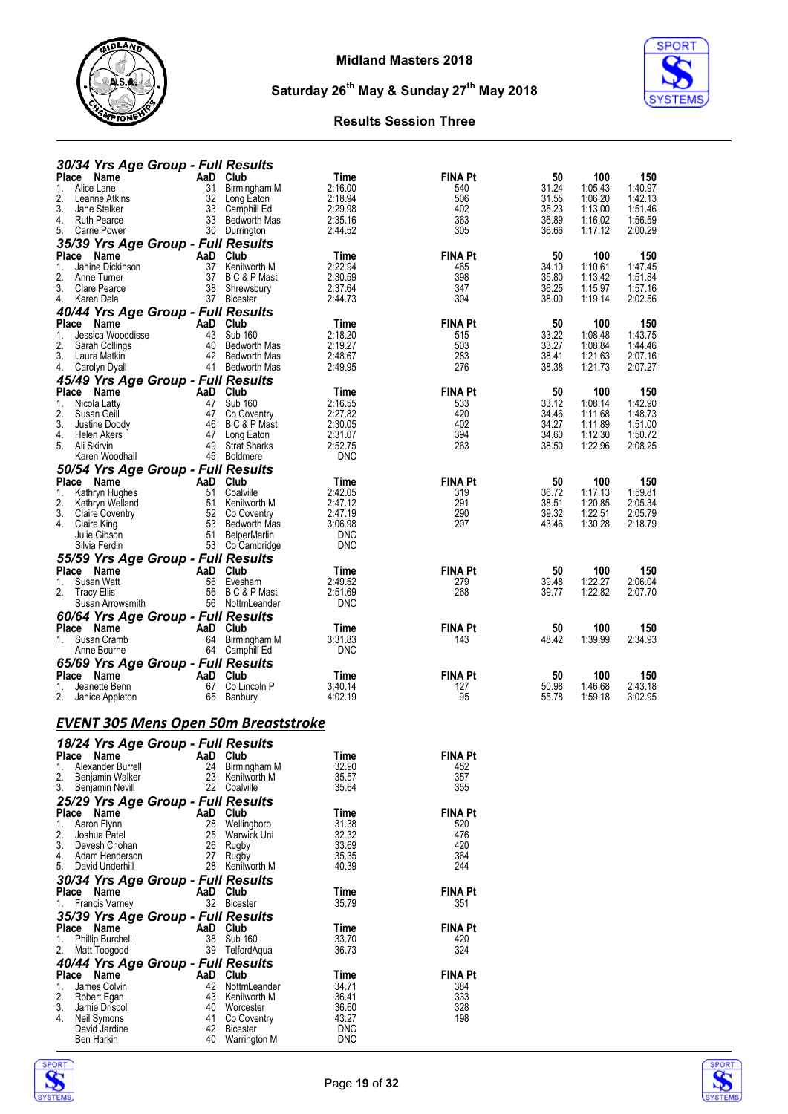



| 30/34 Yrs Age Group - Full Results               |                                      |                                    |                       |                |                    |                    |
|--------------------------------------------------|--------------------------------------|------------------------------------|-----------------------|----------------|--------------------|--------------------|
| Place Name<br>1.<br>Alice Lane                   | AaD Club<br>31                       | Time                               | <b>FINA Pt</b><br>540 | 50<br>31.24    | 100<br>1:05.43     | 150<br>1:40.97     |
| 2.<br>Leanne Atkins                              | 32<br>Long Eaton                     | Birmingham M<br>2:16.00<br>2:18.94 | 506                   | 31.55          | 1:06.20            | 1:42.13            |
| 3.<br>Jane Stalker                               | 33<br>Camphill Ed                    | 2:29.98                            | 402                   | 35.23          | 1:13.00            | 1:51.46            |
| 4. Ruth Pearce                                   | 33 Bedworth Mas                      | 2:35.16                            | 363                   | 36.89          | 1:16.02            | 1:56.59            |
| 5.<br>Carrie Power                               | 30 Durrington                        | 2:44.52                            | 305                   | 36.66          | 1:17.12            | 2:00.29            |
| 35/39 Yrs Age Group - Full Results               |                                      |                                    |                       |                |                    |                    |
| Place Name                                       | AaD<br>Club                          | Time                               | <b>FINA Pt</b>        | 50             | 100                | 150                |
| Janine Dickinson<br>1.                           | 37 Kenilworth M                      | 2:22.94                            | 465                   | 34.10          | 1:10.61            | 1:47.45            |
| 2.<br>Anne Turner<br>3.                          | 37 BC&PMast                          | 2:30.59                            | 398                   | 35.80          | 1:13.42            | 1:51.84<br>1:57.16 |
| Clare Pearce<br>4.<br>Karen Dela                 | 38<br>Shrewsbury<br>37 Bicester      | 2:37.64<br>2:44.73                 | 347<br>304            | 36.25<br>38.00 | 1:15.97<br>1:19.14 | 2:02.56            |
| 40/44 Yrs Age Group - Full Results               |                                      |                                    |                       |                |                    |                    |
| Place Name                                       | AaD Club                             | Time                               | <b>FINA Pt</b>        | 50             | 100                | 150                |
| 1.<br>Jessica Wooddisse                          | 43<br><b>Sub 160</b>                 | 2:18.20                            | 515                   | 33.22          | 1:08.48            | 1:43.75            |
| 2.<br>Sarah Collings                             | 40                                   | 2:19.27<br>Bedworth Mas            | 503                   | 33.27          | 1:08.84            | 1:44.46            |
| 3.<br>Laura Matkin                               | 42 Bedworth Mas                      | 2:48.67                            | 283                   | 38.41          | 1:21.63            | 2:07.16            |
| 4. Carolyn Dyall                                 | 41 Bedworth Mas                      | 2:49.95                            | 276                   | 38.38          | 1:21.73            | 2:07.27            |
| 45/49 Yrs Age Group - Full Results               |                                      |                                    |                       |                |                    |                    |
| Place Name                                       | AaD Club                             | Time                               | <b>FINA Pt</b>        | 50             | 100                | 150                |
| 1.<br>Nicola Latty<br>2.<br>Susan Geill          | 47 Sub 160<br>47<br>Co Coventry      | 2:16.55<br>2:27.82                 | 533<br>420            | 33.12<br>34.46 | 1:08.14<br>1:11.68 | 1:42.90<br>1:48.73 |
| 3.<br>Justine Doody                              | 46                                   | B C & P Mast<br>2:30.05            | 402                   | 34.27          | 1:11.89            | 1:51.00            |
| 4.<br>Helen Akers                                | 47 Long Eaton                        | 2:31.07                            | 394                   | 34.60          | 1:12.30            | 1:50.72            |
| 5.<br>Ali Skirvin                                | 49<br><b>Strat Sharks</b>            | 2:52.75                            | 263                   | 38.50          | 1:22.96            | 2:08.25            |
| Karen Woodhall                                   | 45 Boldmere                          | <b>DNC</b>                         |                       |                |                    |                    |
| 50/54 Yrs Age Group - Full Results               |                                      |                                    |                       |                |                    |                    |
| Place Name                                       | AaD Club                             | Time                               | <b>FINA Pt</b>        | 50             | 100                | 150                |
| Kathryn Hughes<br>1.                             | 51<br>Coalville                      | 2:42.05                            | 319                   | 36.72          | 1:17.13            | 1:59.81            |
| 2.<br>Kathryn Welland<br>3.                      | 51<br>Kenilworth M<br>52 Co Coventry | 2:47.12                            | 291<br>290            | 38.51          | 1:20.85            | 2:05.34<br>2:05.79 |
| Claire Coventry<br>4. Claire King                | 53                                   | 2:47.19<br>3:06.98<br>Bedworth Mas | 207                   | 39.32<br>43.46 | 1:22.51<br>1:30.28 | 2:18.79            |
| Julie Gibson                                     | 51 BelperMarlin                      | <b>DNC</b>                         |                       |                |                    |                    |
| Silvia Ferdin                                    | 53 Co Cambridge                      | <b>DNC</b>                         |                       |                |                    |                    |
| 55/59 Yrs Age Group - Full Results               |                                      |                                    |                       |                |                    |                    |
| Place Name                                       | AaD Club                             | Time                               | <b>FINA Pt</b>        | 50             | 100                | 150                |
| Susan Watt<br>1.                                 | 56 Evesham                           | 2:49.52                            | 279                   | 39.48          | 1:22.27            | 2:06.04            |
| 2.<br><b>Tracy Ellis</b>                         | 56<br>B C & P Mast                   | 2:51.69                            | 268                   | 39.77          | 1:22.82            | 2:07.70            |
| Susan Arrowsmith                                 | 56 NottmLeander                      | <b>DNC</b>                         |                       |                |                    |                    |
| 60/64 Yrs Age Group - Full Results               |                                      |                                    |                       |                |                    |                    |
| Place Name                                       | AaD<br>Club                          | Time                               | <b>FINA Pt</b>        | 50             | 100                | 150                |
| 1. Susan Cramb<br>Anne Bourne                    | 64 Birmingham M<br>64 Camphill Ed    | 3:31.83<br><b>DNC</b>              | 143                   | 48.42          | 1:39.99            | 2:34.93            |
|                                                  |                                      |                                    |                       |                |                    |                    |
| 65/69 Yrs Age Group - Full Results<br>Place Name | Club<br>AaD                          | Time                               | <b>FINA Pt</b>        | 50             | 100                | 150                |
| 1.<br>Jeanette Benn                              | 67<br>Co Lincoln P                   | 3:40.14                            | 127                   | 50.98          | 1:46.68            | 2:43.18            |
| 2.<br>Janice Appleton                            | 65<br>Banbury                        | 4:02.19                            | 95                    | 55.78          | 1:59.18            | 3:02.95            |
|                                                  |                                      |                                    |                       |                |                    |                    |
| <b>EVENT 305 Mens Open 50m Breaststroke</b>      |                                      |                                    |                       |                |                    |                    |
|                                                  |                                      |                                    |                       |                |                    |                    |
| 18/24 Yrs Age Group - Full Results               |                                      |                                    |                       |                |                    |                    |
| Place Name                                       | AaD Club                             | <b>Time</b>                        | <b>FINA Pt</b>        |                |                    |                    |
| Alexander Burrell<br>1.                          | 24 Birmingham M                      | 32.90                              | 452                   |                |                    |                    |
| 2.<br>Benjamin Walker<br>3.                      | 23 Kenilworth M<br>22 Coalville      | 35.57<br>35.64                     | 357<br>355            |                |                    |                    |
| Benjamin Nevill                                  |                                      |                                    |                       |                |                    |                    |
| 25/29 Yrs Age Group - Full Results<br>Place Name | AaD Club                             | Time                               | <b>FINA Pt</b>        |                |                    |                    |
| Aaron Flynn<br>1.                                | 28 Wellingboro                       | 31.38                              | 520                   |                |                    |                    |
| 2.<br>Joshua Patel                               | 25<br>Warwick Uni                    | 32.32                              | 476                   |                |                    |                    |
| 3.<br>Devesh Chohan                              | 26<br>Rugby                          | 33.69                              | 420                   |                |                    |                    |
| 4. Adam Henderson                                | 27 Rugby                             | 35.35                              | 364                   |                |                    |                    |
| 5. David Underhill                               | 28 Kenilworth M                      | 40.39                              | 244                   |                |                    |                    |
| 30/34 Yrs Age Group - Full Results               |                                      |                                    |                       |                |                    |                    |
| Place Name                                       | AaD Club                             | Time                               | <b>FINA Pt</b>        |                |                    |                    |
| 1. Francis Varney                                | 32 Bicester                          | 35.79                              | 351                   |                |                    |                    |
| 35/39 Yrs Age Group - Full Results               |                                      |                                    |                       |                |                    |                    |
| Place Name                                       | AaD Club                             | Time                               | <b>FINA Pt</b>        |                |                    |                    |
| <b>Phillip Burchell</b><br>1.<br>2.              | 38 Sub 160<br>39 TelfordAqua         | 33.70<br>36.73                     | 420<br>324            |                |                    |                    |
| Matt Toogood                                     |                                      |                                    |                       |                |                    |                    |
| 40/44 Yrs Age Group - Full Results<br>Place Name | AaD Club                             | Time                               | <b>FINA Pt</b>        |                |                    |                    |
| 1.<br>James Colvin                               | 42 NottmLeander                      | 34.71                              | 384                   |                |                    |                    |
| 2.<br>Robert Egan                                | 43 Kenilworth M                      | 36.41                              | 333                   |                |                    |                    |
| 3.<br>Jamie Driscoll                             | 40 Worcester                         | 36.60                              | 328                   |                |                    |                    |
| 4.<br>Neil Symons                                | 41<br>Co Coventry                    | 43.27                              | 198                   |                |                    |                    |
| David Jardine                                    | 42 Bicester                          | <b>DNC</b><br><b>DNC</b>           |                       |                |                    |                    |
| Ben Harkin                                       | 40 Warrington M                      |                                    |                       |                |                    |                    |



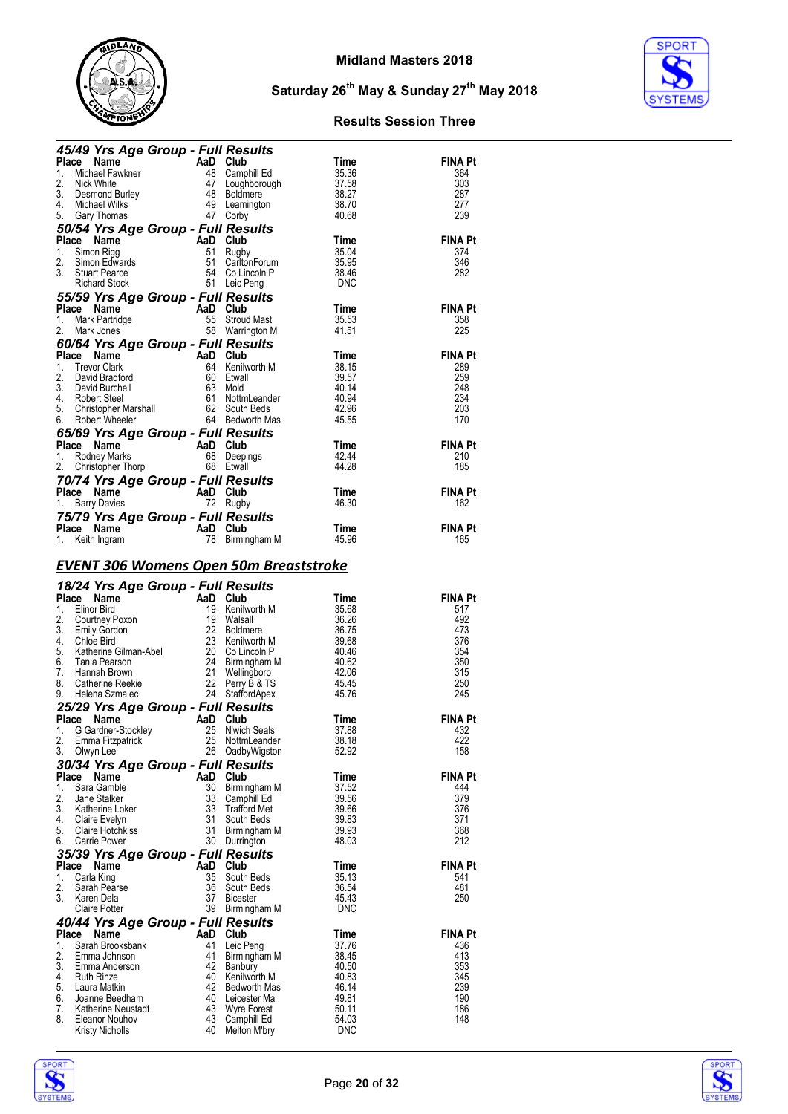



| <b>45/49 Yrs Age Group - Full Results<br/> Place Name AaD Club Time<br/> 1. Michael Fawkner 48 Camphill Ed 35.36<br/> 2. Nick White 47 Loughborough 37.58<br/> 3. Desmond Burley 48 Boldmere 38.27<br/> 4. Michael Wilks 49 Leamington 38.70<br/> 5. Gar</b>                                |           |                                   |                    |                       |
|---------------------------------------------------------------------------------------------------------------------------------------------------------------------------------------------------------------------------------------------------------------------------------------------|-----------|-----------------------------------|--------------------|-----------------------|
|                                                                                                                                                                                                                                                                                             |           |                                   |                    | <b>FINA Pt</b>        |
|                                                                                                                                                                                                                                                                                             |           |                                   |                    | 364<br>303            |
|                                                                                                                                                                                                                                                                                             |           |                                   |                    | 287                   |
|                                                                                                                                                                                                                                                                                             |           |                                   |                    | 277                   |
| 5. Gary Thomas 47 Corby 40.68<br>50/54 Yrs Age Group - Full Results<br>Place Name AaD Club Time<br>2. Simon Edwards 51 Regby 35.95<br>2. Simon Edwards 51 Carlton Forum 35.95<br>3. Stuart Pearce 54 Co Lincoln P 38.46<br>Richard Stock                                                    |           |                                   |                    | 239                   |
|                                                                                                                                                                                                                                                                                             |           |                                   |                    |                       |
|                                                                                                                                                                                                                                                                                             |           |                                   |                    | FINA Pt<br>374        |
|                                                                                                                                                                                                                                                                                             |           |                                   |                    | 346                   |
|                                                                                                                                                                                                                                                                                             |           |                                   |                    | 282                   |
|                                                                                                                                                                                                                                                                                             |           |                                   |                    |                       |
|                                                                                                                                                                                                                                                                                             |           |                                   |                    | <b>FINA Pt</b>        |
|                                                                                                                                                                                                                                                                                             |           |                                   |                    | 358                   |
|                                                                                                                                                                                                                                                                                             |           |                                   |                    | 225                   |
|                                                                                                                                                                                                                                                                                             |           |                                   |                    |                       |
|                                                                                                                                                                                                                                                                                             |           |                                   |                    | <b>FINA Pt</b>        |
|                                                                                                                                                                                                                                                                                             |           |                                   |                    | 289<br>259            |
|                                                                                                                                                                                                                                                                                             |           |                                   |                    | 248                   |
|                                                                                                                                                                                                                                                                                             |           |                                   |                    | 234                   |
|                                                                                                                                                                                                                                                                                             |           |                                   |                    | 203                   |
|                                                                                                                                                                                                                                                                                             |           |                                   |                    | 170                   |
| 65/69 Yrs Age Group - Full Results<br><b>65/69 Yrs Age Group - Full Results<br/> Place Name AaD Club Time</b><br>1. Rodney Marks 68 Deepings 42.44<br>2. Christopher Thorp 68 Etwall 44.28                                                                                                  |           |                                   |                    | <b>FINA Pt</b>        |
|                                                                                                                                                                                                                                                                                             |           |                                   |                    | 210                   |
|                                                                                                                                                                                                                                                                                             |           |                                   |                    | 185                   |
|                                                                                                                                                                                                                                                                                             |           |                                   |                    |                       |
| <b>70/74 Yrs Age Group - Full Results<br/>Place Name AaD Club<br/>1. Barry Davies 12 Rugby</b><br>Place Name<br>1. Barry Davies<br>1. Barry Davies<br>1. Carry Davies<br>1. Barry Davies                                                                                                    |           |                                   | $\frac{11}{46.30}$ | <b>FINA Pt</b>        |
|                                                                                                                                                                                                                                                                                             |           |                                   |                    | 162                   |
| 75/79 Yrs Age Group - Full Results<br>Place Name                                                                                                                                                                                                                                            |           |                                   | Time               | <b>FINA Pt</b>        |
| Place Name <b>AaD Club</b> Time<br>1. Keith Ingram <b>AaD Club</b> 78 Birmingham M 45.96                                                                                                                                                                                                    |           |                                   |                    | 165                   |
|                                                                                                                                                                                                                                                                                             |           |                                   |                    |                       |
| <u>EVENT 306 Womens Open 50m Breaststroke</u>                                                                                                                                                                                                                                               |           |                                   |                    |                       |
|                                                                                                                                                                                                                                                                                             |           |                                   |                    |                       |
|                                                                                                                                                                                                                                                                                             |           |                                   |                    |                       |
|                                                                                                                                                                                                                                                                                             |           |                                   |                    | <b>FINA Pt</b>        |
|                                                                                                                                                                                                                                                                                             |           |                                   |                    | 517                   |
|                                                                                                                                                                                                                                                                                             |           |                                   |                    | 492                   |
|                                                                                                                                                                                                                                                                                             |           |                                   |                    | 473<br>376            |
|                                                                                                                                                                                                                                                                                             |           |                                   |                    | 354                   |
|                                                                                                                                                                                                                                                                                             |           |                                   |                    | 350                   |
|                                                                                                                                                                                                                                                                                             |           |                                   |                    | 315                   |
|                                                                                                                                                                                                                                                                                             |           |                                   |                    | 250<br>245            |
|                                                                                                                                                                                                                                                                                             |           |                                   |                    |                       |
|                                                                                                                                                                                                                                                                                             |           |                                   |                    | <b>FINA Pt</b>        |
|                                                                                                                                                                                                                                                                                             |           |                                   |                    | 432                   |
| <b>EVENT 300 VVOLUED SPONSORING</b><br>18/24 Yrs Age Group - Full Results<br>Place Name AaD Club Time<br>1. Elinor Bird 19 Kenilworth M 35.68<br>2. Courtney Poxon 19 Walsall 36.26<br>3. Emily Gordon 22 Boldmere 36.75<br>5. Katherine Gilma<br>2.<br>Emma Fitzpatrick<br>3.<br>Olwyn Lee | 25        | NottmLeander<br>26 OadbyWigston   | 38.18<br>52.92     | 422<br>158            |
| 30/34 Yrs Age Group - Full Results                                                                                                                                                                                                                                                          |           |                                   |                    |                       |
| Place<br>Name                                                                                                                                                                                                                                                                               | AaD Club  |                                   | Time               | <b>FINA Pt</b>        |
| 1.<br>Sara Gamble                                                                                                                                                                                                                                                                           | 30        | Birmingham M                      | 37.52              | 444                   |
| 2.<br>Jane Stalker<br>3.                                                                                                                                                                                                                                                                    | 33<br>33  | Camphill Ed                       | 39.56              | 379                   |
| Katherine Loker<br>4.<br>Claire Evelyn                                                                                                                                                                                                                                                      | 31        | <b>Trafford Met</b><br>South Beds | 39.66<br>39.83     | 376<br>371            |
| 5.<br><b>Claire Hotchkiss</b>                                                                                                                                                                                                                                                               | 31        | Birmingham M                      | 39.93              | 368                   |
| 6.<br><b>Carrie Power</b>                                                                                                                                                                                                                                                                   |           | 30 Durrington                     | 48.03              | 212                   |
| 35/39 Yrs Age Group - Full Results                                                                                                                                                                                                                                                          |           |                                   |                    |                       |
| Place<br>Name<br>1.<br>Carla King                                                                                                                                                                                                                                                           | AaD<br>35 | Club<br>South Beds                | Time<br>35.13      | <b>FINA Pt</b><br>541 |
| 2.<br>Sarah Pearse                                                                                                                                                                                                                                                                          | 36        | South Beds                        | 36.54              | 481                   |
| 3.<br>Karen Dela                                                                                                                                                                                                                                                                            | 37        | <b>Bicester</b>                   | 45.43              | 250                   |
| <b>Claire Potter</b>                                                                                                                                                                                                                                                                        |           | 39 Birmingham M                   | <b>DNC</b>         |                       |
| 40/44 Yrs Age Group - Full Results<br>Place<br>Name                                                                                                                                                                                                                                         | AaD       | Club                              | Time               | <b>FINA Pt</b>        |
| Sarah Brooksbank<br>1.                                                                                                                                                                                                                                                                      | 41        | Leic Peng                         | 37.76              | 436                   |
| 2.<br>Emma Johnson                                                                                                                                                                                                                                                                          | 41        | Birmingham M                      | 38.45              | 413                   |
| 3.<br>Emma Anderson<br>4.<br><b>Ruth Rinze</b>                                                                                                                                                                                                                                              | 42<br>40  | Banbury<br>Kenilworth M           | 40.50<br>40.83     | 353<br>345            |
| 5.<br>Laura Matkin                                                                                                                                                                                                                                                                          | 42        | Bedworth Mas                      | 46.14              | 239                   |
| 6.<br>Joanne Beedham                                                                                                                                                                                                                                                                        | 40        | Leicester Ma                      | 49.81              | 190                   |
| 7.<br>Katherine Neustadt<br>8.<br>Eleanor Nouhov                                                                                                                                                                                                                                            | 43<br>43  | <b>Wyre Forest</b><br>Camphill Ed | 50.11<br>54.03     | 186<br>148            |



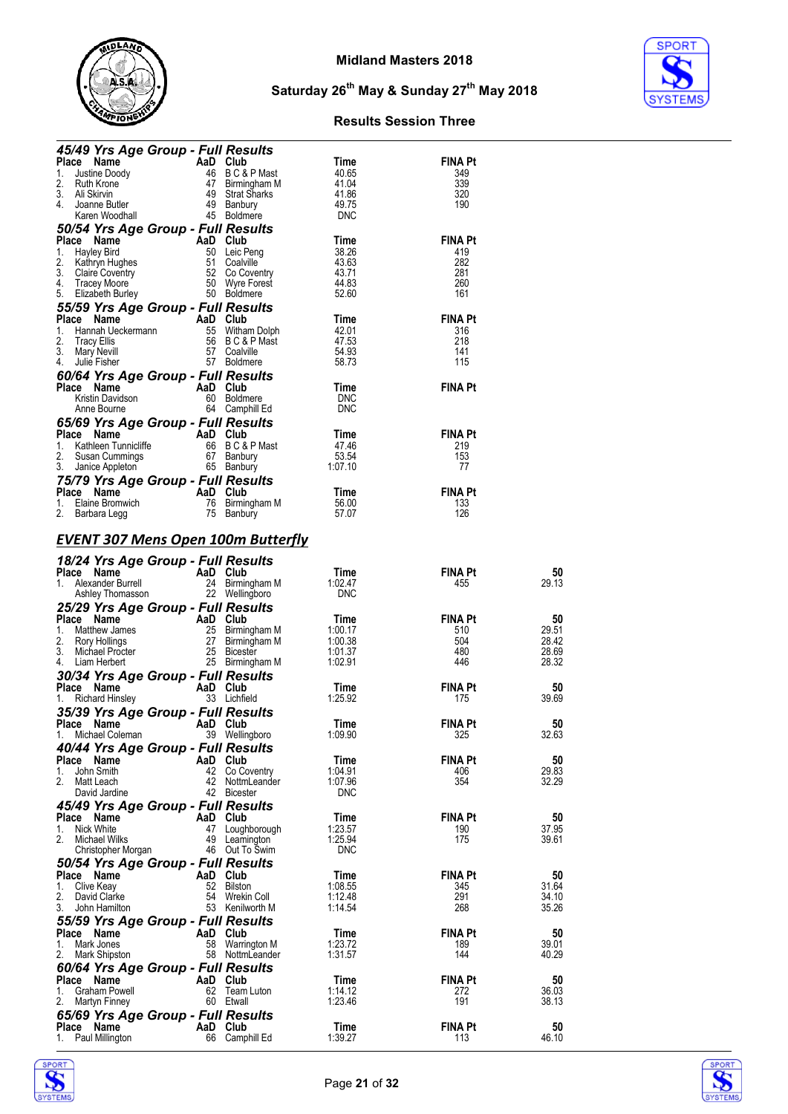



| 45/49 Yrs Age Group - Full Results                                                                                                                                                                                                                                               |          |                                                                                                |                    |                       |                |
|----------------------------------------------------------------------------------------------------------------------------------------------------------------------------------------------------------------------------------------------------------------------------------|----------|------------------------------------------------------------------------------------------------|--------------------|-----------------------|----------------|
| Place Name                                                                                                                                                                                                                                                                       |          | And Club<br>46 B C & P Mast<br>47 Birmingham M<br>49 Strat Sharks<br>49 Banbury<br>45 Roldmare | Time               | <b>FINA Pt</b>        |                |
| 1.<br>Justine Doody<br>2.<br>Ruth Krone                                                                                                                                                                                                                                          |          |                                                                                                | 40.65<br>41.04     | 349<br>339            |                |
| 3.<br>Ali Skirvin                                                                                                                                                                                                                                                                |          |                                                                                                | 41.86              | 320                   |                |
| 4.<br>Joanne Butler                                                                                                                                                                                                                                                              |          |                                                                                                | 49.75              | 190                   |                |
| Karen Woodhall                                                                                                                                                                                                                                                                   |          | 45 Boldmere                                                                                    | <b>DNC</b>         |                       |                |
| 50/54 Yrs Age Group - Full Results<br>Place Name                                                                                                                                                                                                                                 |          |                                                                                                | Time               | <b>FINA Pt</b>        |                |
| 1.<br>Hayley Bird                                                                                                                                                                                                                                                                |          | And Club<br>50 Leic Peng<br>51 Coalville<br>52 Co Coventry<br>50 Wyre Forest                   | 38.26              | 419                   |                |
| 2.<br>Kathryn Hughes                                                                                                                                                                                                                                                             |          |                                                                                                | 43.63              | 282                   |                |
| 3.<br>Claire Coventry                                                                                                                                                                                                                                                            |          |                                                                                                | 43.71              | 281                   |                |
| 4. Tracey Moore<br>5. Elizabeth Burley                                                                                                                                                                                                                                           |          | 50 Boldmere                                                                                    | 44.83<br>52.60     | 260<br>161            |                |
| 55/59 Yrs Age Group - Full Results                                                                                                                                                                                                                                               |          |                                                                                                |                    |                       |                |
| Place Name                                                                                                                                                                                                                                                                       |          |                                                                                                | Time               | <b>FINA Pt</b>        |                |
| Compared to the Hanne<br>Hannah Ueckermann<br>Tracy Ellis 56 B C & P Mast<br>Mary Nevill 57 Coalville<br>Julie Fisher 57 Boldmere<br>1.                                                                                                                                          |          |                                                                                                | 42.01              | 316                   |                |
| 2.                                                                                                                                                                                                                                                                               |          |                                                                                                | 47.53              | 218                   |                |
| 3.                                                                                                                                                                                                                                                                               |          |                                                                                                | 54.93              | 141<br>115            |                |
| Julie Fisher<br>4.<br>60/64 Yrs Age Group - Full Results                                                                                                                                                                                                                         |          | 57 Boldmere                                                                                    | 58.73              |                       |                |
| Place Name                                                                                                                                                                                                                                                                       | AaD Club |                                                                                                | Time               | <b>FINA Pt</b>        |                |
| Kristin Davidson                                                                                                                                                                                                                                                                 |          | 60 Boldmere                                                                                    | <b>DNC</b>         |                       |                |
| Anne Bourne                                                                                                                                                                                                                                                                      |          | 64 Camphill Ed                                                                                 | <b>DNC</b>         |                       |                |
| 65/69 Yrs Age Group - Full Results                                                                                                                                                                                                                                               |          |                                                                                                |                    |                       |                |
| Place Name<br>AaD Club                                                                                                                                                                                                                                                           |          |                                                                                                | Time               | <b>FINA Pt</b>        |                |
| 1.<br>2.                                                                                                                                                                                                                                                                         |          |                                                                                                | 47.46<br>53.54     | 219<br>153            |                |
| For the Hunnicliffe<br>Susan Cummings<br>Janice Appleton<br>Janice Appleton<br>Susan Cummings<br>Susan bury<br>Susan bury<br>Susan bury<br>Susan Cummings<br>Susan Cummings<br>Susan Cummings<br>Susan Cummings<br>Susan Cummings<br>Susan Cummings<br>Sus<br>3. Janice Appleton |          |                                                                                                | 1:07.10            | 77                    |                |
| 75/79 Yrs Age Group - Full Results                                                                                                                                                                                                                                               |          |                                                                                                |                    |                       |                |
| AaD Club<br>Place Name                                                                                                                                                                                                                                                           |          |                                                                                                | Time               | <b>FINA Pt</b>        |                |
| Elaine Bromwich<br>1.                                                                                                                                                                                                                                                            |          | 76 Birmingham M<br>75 Banbury                                                                  | 56.00              | 133                   |                |
| 2.<br>Barbara Legg                                                                                                                                                                                                                                                               |          |                                                                                                | 57.07              | 126                   |                |
| <b>EVENT 307 Mens Open 100m Butterfly</b>                                                                                                                                                                                                                                        |          |                                                                                                |                    |                       |                |
|                                                                                                                                                                                                                                                                                  |          |                                                                                                |                    |                       |                |
| 18/24 Yrs Age Group - Full Results                                                                                                                                                                                                                                               |          |                                                                                                |                    |                       |                |
|                                                                                                                                                                                                                                                                                  |          |                                                                                                | Time<br>1:02.47    | FINA Pt<br>455        | 50<br>29.13    |
|                                                                                                                                                                                                                                                                                  |          |                                                                                                |                    |                       |                |
|                                                                                                                                                                                                                                                                                  |          |                                                                                                | <b>DNC</b>         |                       |                |
| Frace <b>Name</b><br>1. Alexander Burrell <b>AaD Club</b><br>1. Alexander Burrell 24 Birmingham M<br>25/20 West CR 22 Wellingham                                                                                                                                                 |          |                                                                                                |                    |                       |                |
| 25/29 Yrs Age Group - Full Results<br>Place Name                                                                                                                                                                                                                                 |          |                                                                                                | Time               | FINA Pt               | 50             |
| 1.                                                                                                                                                                                                                                                                               |          |                                                                                                | 1:00.17            | 510                   | 29.51          |
| Ce Name<br>Matthew James<br>Rory Hollings<br>27 Birmingham M<br>27 Birmingham M<br>2.                                                                                                                                                                                            |          |                                                                                                | 1:00.38            | 504                   | 28.42          |
| 3.<br>Michael Procter<br>4.<br>Liam Herbert                                                                                                                                                                                                                                      |          | 25 Bicester                                                                                    | 1:01.37<br>1:02.91 | 480<br>446            | 28.69<br>28.32 |
|                                                                                                                                                                                                                                                                                  |          | 25 Birmingham M                                                                                |                    |                       |                |
| 30/34 Yrs Age Group - Full Results<br>Place Name                                                                                                                                                                                                                                 |          | AaD Club                                                                                       | Time               | FINA Pt               | 50             |
| <b>Richard Hinsley</b><br>1.                                                                                                                                                                                                                                                     |          | 33 Lichfield                                                                                   | 1:25.92            | 175                   | 39.69          |
| 35/39 Yrs Age Group - Full Results                                                                                                                                                                                                                                               |          |                                                                                                |                    |                       |                |
| AaD Club<br>Place Name                                                                                                                                                                                                                                                           |          |                                                                                                | Time               | <b>FINA Pt</b>        | 50             |
| 1. Michael Coleman                                                                                                                                                                                                                                                               |          | 39 Wellingboro                                                                                 | 1:09.90            | 325                   | 32.63          |
| 40/44 Yrs Age Group - Full Results                                                                                                                                                                                                                                               |          |                                                                                                |                    | <b>FINA Pt</b>        |                |
| Place<br>Name<br>John Smith<br>1.                                                                                                                                                                                                                                                | 42       | AaD Club<br>Co Coventry                                                                        | Time<br>1:04.91    | 406                   | 50<br>29.83    |
| 2.<br>Matt Leach                                                                                                                                                                                                                                                                 | 42       | NottmLeander                                                                                   | 1:07.96            | 354                   | 32.29          |
| David Jardine                                                                                                                                                                                                                                                                    | 42       | Bicester                                                                                       | <b>DNC</b>         |                       |                |
| 45/49 Yrs Age Group - Full Results                                                                                                                                                                                                                                               |          |                                                                                                |                    |                       |                |
| Place Name                                                                                                                                                                                                                                                                       | AaD      | Club                                                                                           | Time               | <b>FINA Pt</b>        | 50             |
| Nick White<br>1.<br>2.<br>Michael Wilks                                                                                                                                                                                                                                          | 47<br>49 | Loughborough<br>Leamington                                                                     | 1:23.57<br>1:25.94 | 190<br>175            | 37.95<br>39.61 |
| Christopher Morgan                                                                                                                                                                                                                                                               |          | 46 Out To Swim                                                                                 | <b>DNC</b>         |                       |                |
| 50/54 Yrs Age Group - Full Results                                                                                                                                                                                                                                               |          |                                                                                                |                    |                       |                |
| Place<br>Name                                                                                                                                                                                                                                                                    | AaD      | Club                                                                                           | Time               | <b>FINA Pt</b>        | 50             |
| Clive Keay<br>1.                                                                                                                                                                                                                                                                 | 52       | <b>Bilston</b>                                                                                 | 1:08.55            | 345                   | 31.64          |
| 2.<br>David Clarke<br>3.<br>John Hamilton                                                                                                                                                                                                                                        | 54       | Wrekin Coll<br>53 Kenilworth M                                                                 | 1:12.48<br>1:14.54 | 291<br>268            | 34.10<br>35.26 |
| 55/59 Yrs Age Group - Full Results                                                                                                                                                                                                                                               |          |                                                                                                |                    |                       |                |
| Place<br>Name                                                                                                                                                                                                                                                                    | AaD      | Club                                                                                           | Time               | <b>FINA Pt</b>        | 50             |
| Mark Jones<br>1.                                                                                                                                                                                                                                                                 | 58       | Warrington M                                                                                   | 1:23.72            | 189                   | 39.01          |
| 2.<br>Mark Shipston                                                                                                                                                                                                                                                              |          | 58 NottmLeander                                                                                | 1:31.57            | 144                   | 40.29          |
| 60/64 Yrs Age Group - Full Results                                                                                                                                                                                                                                               |          |                                                                                                |                    |                       |                |
| Place<br>Name                                                                                                                                                                                                                                                                    | 62       | AaD Club                                                                                       | Time<br>1:14.12    | <b>FINA Pt</b>        | 50             |
| Graham Powell<br>1.<br>2.<br><b>Martyn Finney</b>                                                                                                                                                                                                                                |          | Team Luton<br>60 Etwall                                                                        | 1:23.46            | 272<br>191            | 36.03<br>38.13 |
| 65/69 Yrs Age Group - Full Results                                                                                                                                                                                                                                               |          |                                                                                                |                    |                       |                |
| Place Name<br>Paul Millington<br>1.                                                                                                                                                                                                                                              | 66       | AaD Club<br>Camphill Ed                                                                        | Time<br>1:39.27    | <b>FINA Pt</b><br>113 | 50<br>46.10    |



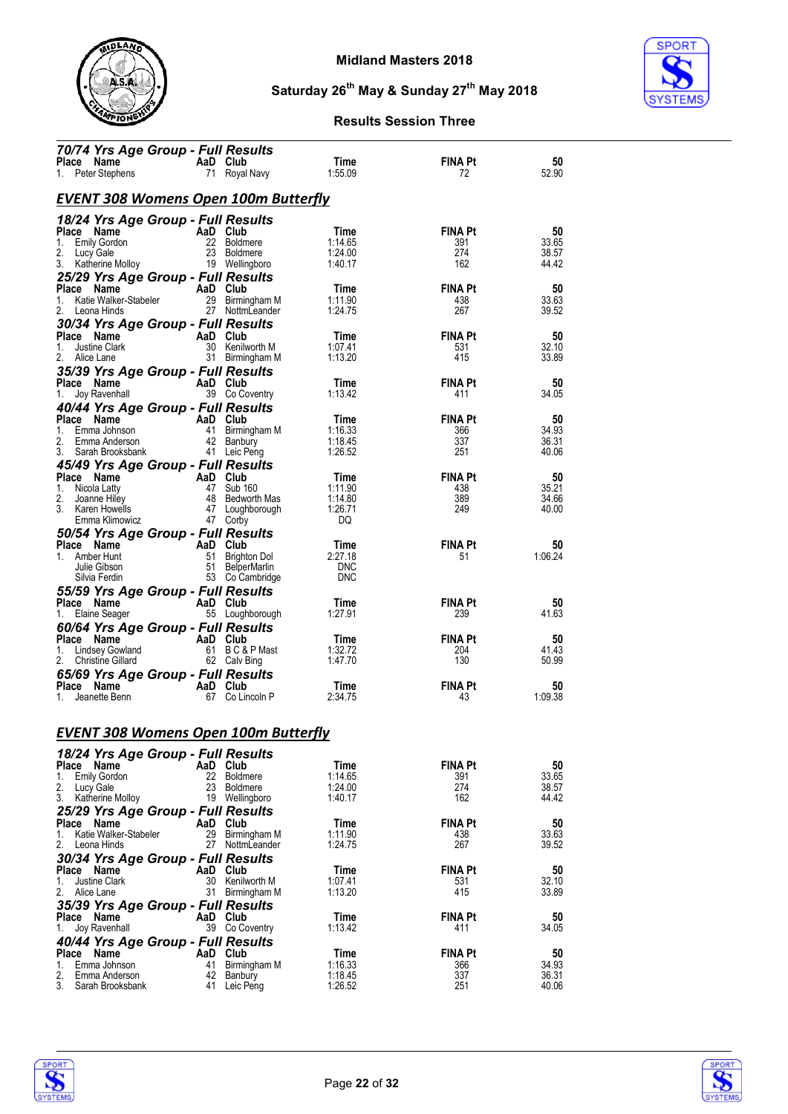



| 70/74 Yrs Age Group - Full Results               |                |                                |                    |                       |                |
|--------------------------------------------------|----------------|--------------------------------|--------------------|-----------------------|----------------|
| Place Name<br>Peter Stephens<br>1.               | AaD Club<br>71 | Royal Navy                     | Time<br>1:55.09    | <b>FINA Pt</b><br>72  | 50<br>52.90    |
| <b>EVENT 308 Womens Open 100m Butterfly</b>      |                |                                |                    |                       |                |
| 18/24 Yrs Age Group - Full Results               |                |                                |                    |                       |                |
| Place Name                                       | AaD Club       |                                | Time               | <b>FINA Pt</b>        | 50             |
| Emily Gordon<br>1.                               | 22             | <b>Boldmere</b>                | 1:14.65            | 391                   | 33.65          |
| 2.<br>Lucy Gale                                  | 23             | <b>Boldmere</b>                | 1:24.00            | 274                   | 38.57          |
| 3.<br>Katherine Molloy                           |                | 19 Wellingboro                 | 1:40.17            | 162                   | 44.42          |
| 25/29 Yrs Age Group - Full Results               |                |                                |                    |                       |                |
| Place Name<br>Katie Walker-Stabeler<br>1.        | AaD Club       | 29 Birmingham M                | Time<br>1:11.90    | <b>FINA Pt</b><br>438 | 50<br>33.63    |
| 2.<br>Leona Hinds                                |                | 27 NottmLeander                | 1:24.75            | 267                   | 39.52          |
| 30/34 Yrs Age Group - Full Results               |                |                                |                    |                       |                |
| Place Name                                       | AaD Club       |                                | Time               | <b>FINA Pt</b>        | 50             |
| Justine Clark<br>1.                              |                | 30 Kenilworth M                | 1:07.41            | 531                   | 32.10          |
| 2.<br>Alice Lane                                 |                | 31 Birmingham M                | 1:13.20            | 415                   | 33.89          |
| 35/39 Yrs Age Group - Full Results               |                |                                |                    |                       |                |
| Place Name                                       | AaD Club       |                                | Time               | <b>FINA Pt</b>        | 50             |
| Joy Ravenhall<br>1.                              |                | 39 Co Coventry                 | 1:13.42            | 411                   | 34.05          |
| 40/44 Yrs Age Group - Full Results               |                |                                |                    |                       |                |
| Place Name<br>1.<br>Emma Johnson                 | AaD<br>41      | Club                           | Time<br>1:16.33    | <b>FINA Pt</b><br>366 | 50<br>34.93    |
| 2.<br>Emma Anderson                              |                | Birmingham M<br>42 Banbury     | 1:18.45            | 337                   | 36.31          |
| 3.<br>Sarah Brooksbank                           |                | 41 Leic Peng                   | 1:26.52            | 251                   | 40.06          |
| 45/49 Yrs Age Group - Full Results               |                |                                |                    |                       |                |
| Place Name                                       | AaD Club       |                                | Time               | <b>FINA Pt</b>        | 50             |
| 1.<br>Nicola Latty                               | 47             | Sub 160                        | 1:11.90            | 438                   | 35.21          |
| 2.<br>Joanne Hilev<br>3. Karen Howells           | 48             | Bedworth Mas                   | 1:14.80<br>1:26.71 | 389<br>249            | 34.66          |
| Emma Klimowicz                                   |                | 47 Loughborough<br>47 Corby    | DQ                 |                       | 40.00          |
| 50/54 Yrs Age Group - Full Results               |                |                                |                    |                       |                |
| Place Name                                       | AaD Club       |                                | Time               | <b>FINA Pt</b>        | 50             |
| Amber Hunt<br>1.                                 | 51             | Brighton Dol                   | 2:27.18            | 51                    | 1:06.24        |
| Julie Gibson                                     | 51             | <b>BelperMarlin</b>            | <b>DNC</b>         |                       |                |
| Silvia Ferdin                                    |                | 53 Co Cambridge                | <b>DNC</b>         |                       |                |
| 55/59 Yrs Age Group - Full Results               |                |                                |                    |                       |                |
| Place Name                                       | AaD Club       |                                | Time               | <b>FINA Pt</b>        | 50             |
| 1.<br>Elaine Seager                              |                | 55 Loughborough                | 1:27.91            | 239                   | 41.63          |
| 60/64 Yrs Age Group - Full Results<br>Place Name | AaD Club       |                                | Time               | <b>FINA Pt</b>        | 50             |
| 1.<br>Lindsey Gowland                            |                | 61 BC&PMast                    | 1:32.72            | 204                   | 41.43          |
| 2.<br>Christine Gillard                          |                | 62 Calv Bing                   | 1:47.70            | 130                   | 50.99          |
| 65/69 Yrs Age Group - Full Results               |                |                                |                    |                       |                |
| Place Name                                       | AaD Club       |                                | Time               | <b>FINA Pt</b>        | 50             |
| Jeanette Benn<br>1.                              |                | 67 Co Lincoln P                | 2:34.75            | 43                    | 1:09.38        |
|                                                  |                |                                |                    |                       |                |
|                                                  |                |                                |                    |                       |                |
| <b>EVENT 308 Womens Open 100m Butterfly</b>      |                |                                |                    |                       |                |
| 18/24 Yrs Age Group - Full Results               |                |                                |                    |                       |                |
| Place Name                                       | AaD            | Club                           | Time               | <b>FINA Pt</b>        | 50             |
| <b>Emily Gordon</b><br>1.                        | 22             | <b>Boldmere</b>                | 1:14.65            | 391                   | 33.65          |
| 2.<br>Lucy Gale<br>3.<br>Katherine Molloy        | 23<br>19       | <b>Boldmere</b><br>Wellingboro | 1:24.00<br>1:40.17 | 274<br>162            | 38.57<br>44.42 |
|                                                  |                |                                |                    |                       |                |
| 25/29 Yrs Age Group - Full Results<br>Place Name | AaD            | Club                           | Time               | <b>FINA Pt</b>        | 50             |
| 1.<br>Katie Walker-Stabeler                      | 29             | Birmingham M                   | 1:11.90            | 438                   | 33.63          |
| 2.<br>Leona Hinds                                | 27             | NottmLeander                   | 1:24.75            | 267                   | 39.52          |
| 30/34 Yrs Age Group - Full Results               |                |                                |                    |                       |                |
| Place Name                                       | AaD            | Club                           | Time               | <b>FINA Pt</b>        | 50             |
| 1.<br>Justine Clark                              | 30             | Kenilworth M                   | 1:07.41            | 531                   | 32.10          |
| 2.<br>Alice Lane                                 | 31             | Birmingham M                   | 1:13.20            | 415                   | 33.89          |
| 35/39 Yrs Age Group - Full Results               | AaD Club       |                                | Time               | <b>FINA Pt</b>        | 50             |
| Place Name<br>Joy Ravenhall<br>1.                |                | 39 Co Coventry                 | 1:13.42            | 411                   | 34.05          |
| 40/44 Yrs Age Group - Full Results               |                |                                |                    |                       |                |
| Place<br>Name                                    | AaD            | Club                           | Time               | <b>FINA Pt</b>        | 50             |
| 1.<br>Emma Johnson                               | 41             | Birmingham M                   | 1:16.33            | 366                   | 34.93          |
| 2.<br>Emma Anderson                              | 42             | Banbury                        | 1:18.45            | 337                   | 36.31          |
| 3.<br>Sarah Brooksbank                           | 41             | Leic Peng                      | 1:26.52            | 251                   | 40.06          |



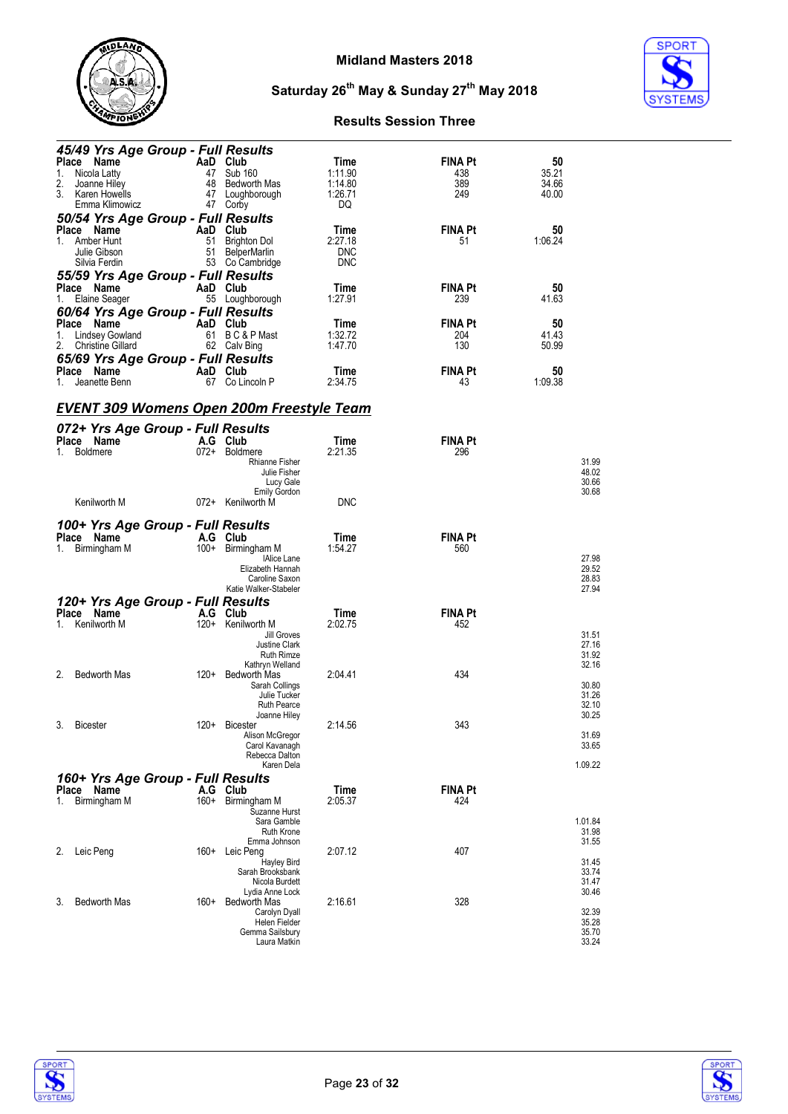



| 45/49 Yrs Age Group - Full Results               |          |                                         |                    |                |                  |
|--------------------------------------------------|----------|-----------------------------------------|--------------------|----------------|------------------|
| Place Name                                       | AaD Club |                                         | Time               | <b>FINA Pt</b> | 50               |
| Nicola Latty<br>1.<br>2.<br>Joanne Hiley         | 48       | 47 Sub 160<br>Bedworth Mas              | 1:11.90<br>1:14.80 | 438<br>389     | 35.21<br>34.66   |
| 3.<br>Karen Howells                              |          | 47 Loughborough                         | 1:26.71            | 249            | 40.00            |
| Emma Klimowicz                                   |          | 47 Corby                                | DQ                 |                |                  |
| 50/54 Yrs Age Group - Full Results               |          |                                         |                    |                |                  |
| Place Name                                       | AaD Club |                                         | Time               | <b>FINA Pt</b> | 50               |
| 1. Amber Hunt                                    | 51       | <b>Brighton Dol</b>                     | 2:27.18            | 51             | 1:06.24          |
| Julie Gibson                                     | 51       | BelperMarlin                            | <b>DNC</b>         |                |                  |
| Silvia Ferdin                                    |          | 53 Co Cambridge                         | <b>DNC</b>         |                |                  |
| 55/59 Yrs Age Group - Full Results               |          |                                         |                    |                |                  |
| Place Name                                       | AaD Club |                                         | Time               | <b>FINA Pt</b> | 50               |
| Elaine Seager<br>1.                              | 55       | Loughborough                            | 1:27.91            | 239            | 41.63            |
| 60/64 Yrs Age Group - Full Results               |          |                                         |                    |                |                  |
| Place Name                                       | AaD Club |                                         | Time               | <b>FINA Pt</b> | 50               |
| Lindsey Gowland<br>1.                            | 61       | B C & P Mast                            | 1:32.72            | 204            | 41.43            |
| <b>Christine Gillard</b><br>2.                   |          | 62 Calv Bing                            | 1:47.70            | 130            | 50.99            |
| 65/69 Yrs Age Group - Full Results               |          |                                         |                    |                |                  |
| Place Name                                       | AaD Club |                                         | Time               | <b>FINA Pt</b> | 50               |
| Jeanette Benn<br>1.                              | 67       | Co Lincoln P                            | 2:34.75            | 43             | 1:09.38          |
|                                                  |          |                                         |                    |                |                  |
| <u>EVENT 309 Womens Open 200m Freestyle Team</u> |          |                                         |                    |                |                  |
|                                                  |          |                                         |                    |                |                  |
| 072+ Yrs Age Group - Full Results                |          |                                         |                    |                |                  |
| Place Name                                       |          | A.G Club                                | Time               | <b>FINA Pt</b> |                  |
| 1. Boldmere                                      |          | 072+ Boldmere                           | 2:21.35            | 296            |                  |
|                                                  |          | <b>Rhianne Fisher</b><br>Julie Fisher   |                    |                | 31.99<br>48.02   |
|                                                  |          | Lucy Gale                               |                    |                | 30.66            |
|                                                  |          | <b>Emily Gordon</b>                     |                    |                | 30.68            |
| Kenilworth M                                     |          | 072+ Kenilworth M                       | <b>DNC</b>         |                |                  |
|                                                  |          |                                         |                    |                |                  |
| 100+ Yrs Age Group - Full Results                |          |                                         |                    |                |                  |
|                                                  |          |                                         |                    |                |                  |
| Place Name                                       |          | A.G Club                                | Time               | <b>FINA Pt</b> |                  |
| Birmingham M<br>1.                               |          | 100+ Birmingham M                       | 1:54.27            | 560            |                  |
|                                                  |          | <b>IAlice Lane</b>                      |                    |                | 27.98            |
|                                                  |          | Elizabeth Hannah                        |                    |                | 29.52            |
|                                                  |          | Caroline Saxon<br>Katie Walker-Stabeler |                    |                | 28.83<br>27.94   |
|                                                  |          |                                         |                    |                |                  |
| 120+ Yrs Age Group - Full Results<br>Place Name  |          | A.G Club                                | Time               | <b>FINA Pt</b> |                  |
| Kenilworth M<br>1.                               |          | 120+ Kenilworth M                       | 2:02.75            | 452            |                  |
|                                                  |          | Jill Groves                             |                    |                | 31.51            |
|                                                  |          | Justine Clark                           |                    |                | 27.16            |
|                                                  |          | Ruth Rimze                              |                    |                | 31.92            |
| 2.                                               |          | Kathryn Welland                         |                    |                | 32.16            |
| <b>Bedworth Mas</b>                              |          | 120+ Bedworth Mas<br>Sarah Collings     | 2:04.41            | 434            | 30.80            |
|                                                  |          | Julie Tucker                            |                    |                | 31.26            |
|                                                  |          | <b>Ruth Pearce</b>                      |                    |                | 32.10            |
|                                                  |          | Joanne Hiley                            |                    |                | 30.25            |
| <b>Bicester</b><br>3.                            | $120+$   | <b>Bicester</b>                         | 2:14.56            | 343            |                  |
|                                                  |          | Alison McGregor<br>Carol Kavanagh       |                    |                | 31.69<br>33.65   |
|                                                  |          | Rebecca Dalton                          |                    |                |                  |
|                                                  |          | Karen Dela                              |                    |                | 1.09.22          |
| 160+ Yrs Age Group - Full Results                |          |                                         |                    |                |                  |
| Place Name                                       |          | A.G Club                                | Time               | <b>FINA Pt</b> |                  |
| Birmingham M<br>1.                               |          | 160+ Birmingham M                       | 2:05.37            | 424            |                  |
|                                                  |          | Suzanne Hurst                           |                    |                |                  |
|                                                  |          | Sara Gamble<br><b>Ruth Krone</b>        |                    |                | 1.01.84<br>31.98 |
|                                                  |          | Emma Johnson                            |                    |                | 31.55            |
| Leic Peng<br>2.                                  | $160+$   | Leic Peng                               | 2:07.12            | 407            |                  |
|                                                  |          | <b>Hayley Bird</b>                      |                    |                | 31.45            |
|                                                  |          | Sarah Brooksbank<br>Nicola Burdett      |                    |                | 33.74<br>31.47   |
|                                                  |          | Lydia Anne Lock                         |                    |                | 30.46            |
| <b>Bedworth Mas</b><br>3.                        | 160+     | Bedworth Mas                            | 2:16.61            | 328            |                  |
|                                                  |          | Carolyn Dyall                           |                    |                | 32.39            |
|                                                  |          | Helen Fielder<br>Gemma Sailsbury        |                    |                | 35.28<br>35.70   |



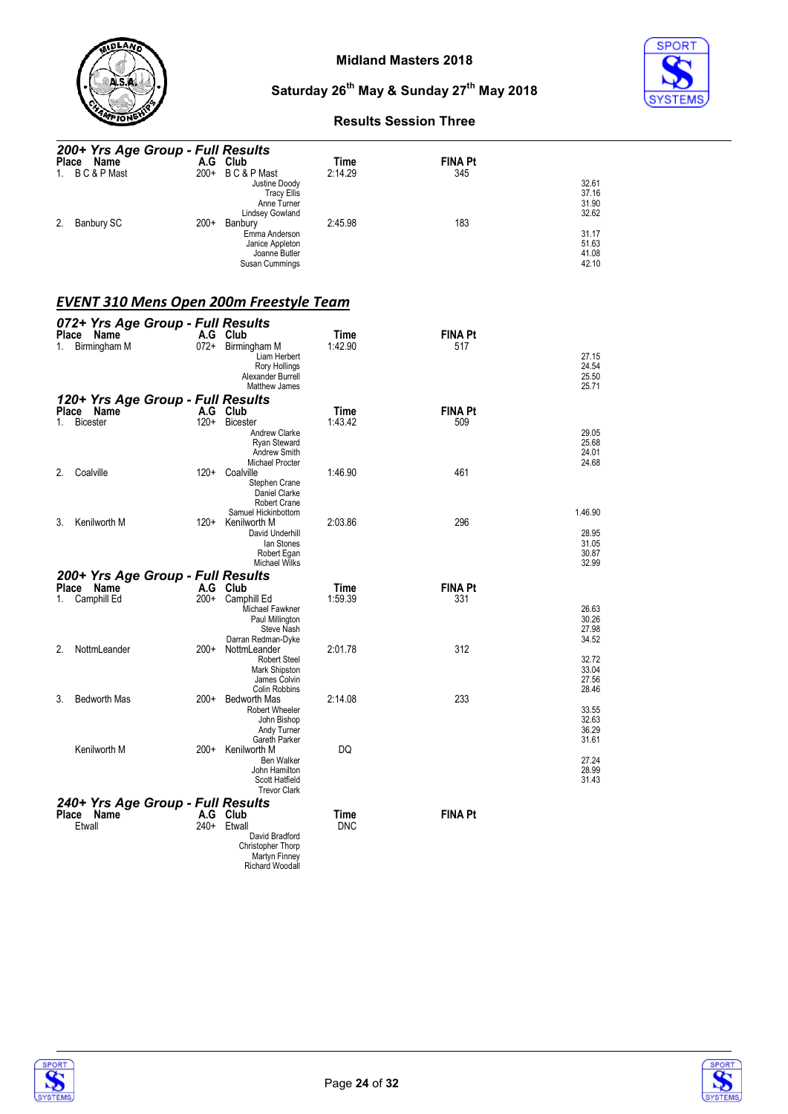



#### **Results Session Three**

| 200+ Yrs Age Group - Full Results |        |                    |         |                |       |  |  |
|-----------------------------------|--------|--------------------|---------|----------------|-------|--|--|
| Place Name                        |        | A.G Club           | Time    | <b>FINA Pt</b> |       |  |  |
| B C & P Mast<br>1.                |        | 200+ BC&PMast      | 2:14.29 | 345            |       |  |  |
|                                   |        | Justine Doody      |         |                | 32.61 |  |  |
|                                   |        | <b>Tracy Ellis</b> |         |                | 37.16 |  |  |
|                                   |        | Anne Turner        |         |                | 31.90 |  |  |
|                                   |        | Lindsey Gowland    |         |                | 32.62 |  |  |
| 2.<br>Banbury SC                  | $200+$ | Banbury            | 2:45.98 | 183            |       |  |  |
|                                   |        | Emma Anderson      |         |                | 31.17 |  |  |
|                                   |        | Janice Appleton    |         |                | 51.63 |  |  |
|                                   |        | Joanne Butler      |         |                | 41.08 |  |  |
|                                   |        |                    |         |                | 42.10 |  |  |
|                                   |        | Susan Cummings     |         |                |       |  |  |

#### *EVENT 310 Mens Open 200m Freestyle Team*

| 072+ Yrs Age Group - Full Results               |        |                                       |             |                |                |
|-------------------------------------------------|--------|---------------------------------------|-------------|----------------|----------------|
| Place Name                                      |        | A.G Club                              | Time        | <b>FINA Pt</b> |                |
| Birmingham M<br>1.                              |        | 072+ Birmingham M                     | 1:42.90     | 517            |                |
|                                                 |        | Liam Herbert                          |             |                | 27.15          |
|                                                 |        | Rory Hollings<br>Alexander Burrell    |             |                | 24.54<br>25.50 |
|                                                 |        | Matthew James                         |             |                | 25.71          |
|                                                 |        |                                       |             |                |                |
| 120+ Yrs Age Group - Full Results<br>Place Name |        | A.G Club                              | <b>Time</b> | <b>FINA Pt</b> |                |
| <b>Bicester</b><br>1.                           | $120+$ | <b>Bicester</b>                       | 1:43.42     | 509            |                |
|                                                 |        | Andrew Clarke                         |             |                | 29.05          |
|                                                 |        | <b>Ryan Steward</b>                   |             |                | 25.68          |
|                                                 |        | Andrew Smith                          |             |                | 24.01          |
|                                                 |        | <b>Michael Procter</b>                |             |                | 24.68          |
| Coalville<br>2.                                 | $120+$ | Coalville                             | 1:46.90     | 461            |                |
|                                                 |        | Stephen Crane<br>Daniel Clarke        |             |                |                |
|                                                 |        | <b>Robert Crane</b>                   |             |                |                |
|                                                 |        | Samuel Hickinbottom                   |             |                | 1.46.90        |
| Kenilworth M<br>3.                              | 120+   | Kenilworth M                          | 2:03.86     | 296            |                |
|                                                 |        | David Underhill                       |             |                | 28.95          |
|                                                 |        | lan Stones                            |             |                | 31.05<br>30.87 |
|                                                 |        | Robert Egan<br>Michael Wilks          |             |                | 32.99          |
| 200+ Yrs Age Group - Full Results               |        |                                       |             |                |                |
| Place Name                                      | A.G    | Club                                  | Time        | <b>FINA Pt</b> |                |
| Camphill Ed<br>1.                               | $200+$ | Camphill Ed                           | 1:59.39     | 331            |                |
|                                                 |        | Michael Fawkner                       |             |                | 26.63          |
|                                                 |        | Paul Millington                       |             |                | 30.26          |
|                                                 |        | Steve Nash                            |             |                | 27.98          |
| 2.<br>NottmLeander                              | 200+   | Darran Redman-Dyke<br>NottmLeander    | 2:01.78     | 312            | 34.52          |
|                                                 |        | <b>Robert Steel</b>                   |             |                | 32.72          |
|                                                 |        | Mark Shipston                         |             |                | 33.04          |
|                                                 |        | James Colvin                          |             |                | 27.56          |
|                                                 |        | <b>Colin Robbins</b>                  |             |                | 28.46          |
| <b>Bedworth Mas</b><br>3.                       | $200+$ | <b>Bedworth Mas</b>                   | 2:14.08     | 233            |                |
|                                                 |        | <b>Robert Wheeler</b><br>John Bishop  |             |                | 33.55<br>32.63 |
|                                                 |        | Andy Turner                           |             |                | 36.29          |
|                                                 |        | Gareth Parker                         |             |                | 31.61          |
| Kenilworth M                                    | $200+$ | Kenilworth M                          | DQ          |                |                |
|                                                 |        | Ben Walker                            |             |                | 27.24          |
|                                                 |        | John Hamilton                         |             |                | 28.99          |
|                                                 |        | Scott Hatfield<br><b>Trevor Clark</b> |             |                | 31.43          |
|                                                 |        |                                       |             |                |                |
| 240+ Yrs Age Group - Full Results<br>Place Name | A.G    | Club                                  | Time        | <b>FINA Pt</b> |                |
| Etwall                                          | 240+   | Etwall                                | <b>DNC</b>  |                |                |
|                                                 |        | David Bradford                        |             |                |                |
|                                                 |        | Christopher Thorp                     |             |                |                |
|                                                 |        | Martyn Finney                         |             |                |                |
|                                                 |        | Richard Woodall                       |             |                |                |



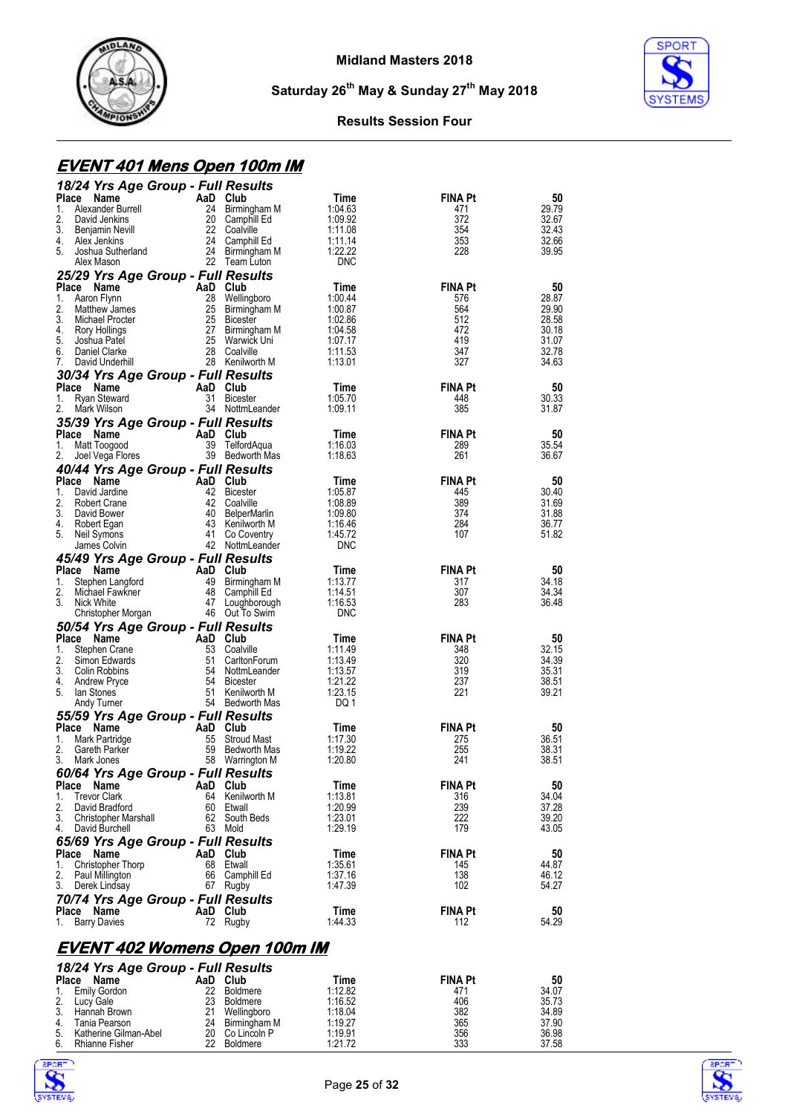



#### **Results Session Four**

## **EVENT 401 Mens Open 100m IM**

| 18/24 Yrs Age Group - Full Results               |                |                                    |                    |                       |                |
|--------------------------------------------------|----------------|------------------------------------|--------------------|-----------------------|----------------|
| Place<br>Name                                    | AaD Club       |                                    | Time               | <b>FINA Pt</b>        | 50             |
| Alexander Burrell<br>1.                          | 24             | Birmingham M                       | 1:04.63            | 471                   | 29.79          |
| 2.<br>David Jenkins<br>3.<br>Benjamin Nevill     |                | 20 Camphill Ed<br>22 Coalville     | 1:09.92<br>1:11.08 | 372<br>354            | 32.67<br>32.43 |
| 4.<br>Alex Jenkins                               |                | 24 Camphill Ed                     | 1.11.14            | 353                   | 32.66          |
| 5.<br>Joshua Sutherland                          |                | 24 Birmingham M                    | 1:22.22            | 228                   | 39.95          |
| Alex Mason                                       |                | 22 Team Luton                      | <b>DNC</b>         |                       |                |
| 25/29 Yrs Age Group - Full Results               |                |                                    |                    |                       |                |
| Place<br>Name                                    |                | AaD Club                           | Time               | <b>FINA Pt</b>        | 50             |
| 1.<br>Aaron Flynn                                | 28             | Wellingboro                        | 1:00.44            | 576                   | 28.87          |
| 2.<br>Matthew James                              | 25             | Birmingham M                       | 1:00.87            | 564                   | 29.90          |
| 3.<br>Michael Procter<br>4.<br>Rory Hollings     | 25<br>27       | Bicester                           | 1:02.86<br>1:04.58 | 512<br>472            | 28.58<br>30.18 |
| 5.<br>Joshua Patel                               | 25             | Birmingham M<br>Warwick Uni        | 1:07.17            | 419                   | 31.07          |
| 6.<br>Daniel Clarke                              | 28             | Coalville                          | 1.11.53            | 347                   | 32.78          |
| 7.<br>David Underhill                            |                | 28 Kenilworth M                    | 1:13.01            | 327                   | 34.63          |
| 30/34 Yrs Age Group - Full Results               |                |                                    |                    |                       |                |
| Place<br>Name                                    |                | AaD Club                           | Time               | <b>FINA Pt</b>        | 50             |
| Ryan Steward<br>1.                               | 31             | <b>Bicester</b>                    | 1:05.70            | 448                   | 30.33          |
| 2.<br>Mark Wilson                                |                | 34 NottmLeander                    | 1:09.11            | 385                   | 31.87          |
| 35/39 Yrs Age Group - Full Results               |                |                                    |                    |                       |                |
| Place<br>Name                                    | AaD            | Club                               | Time               | <b>FINA Pt</b>        | 50             |
| Matt Toogood<br>1.<br>2.<br>Joel Vega Flores     | 39             | TelfordAqua<br>39 Bedworth Mas     | 1:16.03<br>1:18.63 | 289<br>261            | 35.54<br>36.67 |
|                                                  |                |                                    |                    |                       |                |
| 40/44 Yrs Age Group - Full Results<br>Place Name | AaD Club       |                                    | Time               | <b>FINA Pt</b>        | 50             |
| David Jardine<br>1.                              |                | 42 Bicester                        | 1:05.87            | 445                   | 30.40          |
| 2.<br>Robert Crane                               |                | 42 Coalville                       | 1:08.89            | 389                   | 31.69          |
| 3.<br>David Bower                                |                | 40 BelperMarlin                    | 1:09.80            | 374                   | 31.88          |
| 4.<br>Robert Egan                                |                | 43 Kenilworth M                    | 1:16.46            | 284                   | 36.77          |
| 5.<br>Neil Symons                                |                | 41 Co Coventry                     | 1:45.72            | 107                   | 51.82          |
| James Colvin                                     |                | 42 NottmLeander                    | <b>DNC</b>         |                       |                |
| 45/49 Yrs Age Group - Full Results               |                |                                    |                    |                       |                |
| Place Name<br>Stephen Langtord<br>1.             | AaD Club<br>49 | Birmingham M                       | Time<br>1:13.77    | <b>FINA Pt</b><br>317 | 50<br>34.18    |
| 2.<br>Michael Fawkner                            |                | 48 Camphill Ed                     | 1:14.51            | 307                   | 34.34          |
| 3.<br>Nick White                                 |                | 47 Loughborough                    | 1:16.53            | 283                   | 36.48          |
| Christopher Morgan                               |                | 46 Out To Swim                     | <b>DNC</b>         |                       |                |
| 50/54 Yrs Age Group - Full Results               |                |                                    |                    |                       |                |
| Place Name                                       | AaD Club       |                                    | Time               | <b>FINA Pt</b>        | 50             |
| 1.<br>Stephen Crane                              | 53             | Coalville                          | 1:11.49            | 348                   | 32.15          |
| 2.<br>Simon Edwards                              | 51             | CarltonForum                       | 1:13.49            | 320                   | 34.39          |
| 3.<br>Colin Robbins<br>4.<br><b>Andrew Pryce</b> | 54             | 54 NottmLeander<br><b>Bicester</b> | 1:13.57<br>1:21.22 | 319<br>237            | 35.31<br>38.51 |
| 5.<br>lan Stones                                 | 51             | Kenilworth M                       | 1:23.15            | 221                   | 39.21          |
| Andy Turner                                      |                | 54 Bedworth Mas                    | DQ 1               |                       |                |
| 55/59 Yrs Age Group - Full Results               |                |                                    |                    |                       |                |
| Place Name                                       | AaD            | Club                               | Time               | <b>FINA Pt</b>        | 50             |
| Mark Partridge<br>1.                             | 55             | <b>Stroud Mast</b>                 | 1:17.30            | 275                   | 36.51          |
| 2.<br>Gareth Parker                              | 59             | Bedworth Mas                       | 1:19.22            | 255                   | 38.31          |
| 3.<br>Mark Jones                                 |                | 58 Warrington M                    | 1:20.80            | 241                   | 38.51          |
| 60/64 Yrs Age Group - Full Results               |                |                                    |                    |                       |                |
| Place Name<br><b>Trevor Clark</b><br>1.          |                | AaD Club<br>64 Kenilworth M        | Time<br>1:13.81    | <b>FINA Pt</b><br>316 | 50             |
| 2.<br>David Bradford                             |                | 60 Etwall                          | 1:20.99            | 239                   | 34.04<br>37.28 |
| 3. Christopher Marshall                          |                | 62 South Beds                      | 1:23.01            | 222                   | 39.20          |
| 4. David Burchell                                |                | 63 Mold                            | 1:29.19            | 179                   | 43.05          |
| 65/69 Yrs Age Group - Full Results               |                |                                    |                    |                       |                |
| Place Name                                       | AaD Club       |                                    | Time               | FINA Pt               | 50             |
| 1.<br>Christopher Thorp                          |                | 68 Etwall                          | 1:35.61            | 145                   | 44.87          |
| 2.<br>Paul Millington                            |                | 66 Camphill Ed                     | 1:37.16            | 138                   | 46.12          |
| 3. Derek Lindsay                                 |                | 67 Rugby                           | 1:47.39            | 102                   | 54.27          |
| 70/74 Yrs Age Group - Full Results               |                |                                    |                    |                       |                |
| Place Name                                       |                | AaD Club<br>72 Rugby               | Time<br>1:44.33    | FINA Pt<br>112        | 50<br>54.29    |
| 1. Barry Davies                                  |                |                                    |                    |                       |                |
| <u>EVENT 402 Womens Open 100m IM</u>             |                |                                    |                    |                       |                |





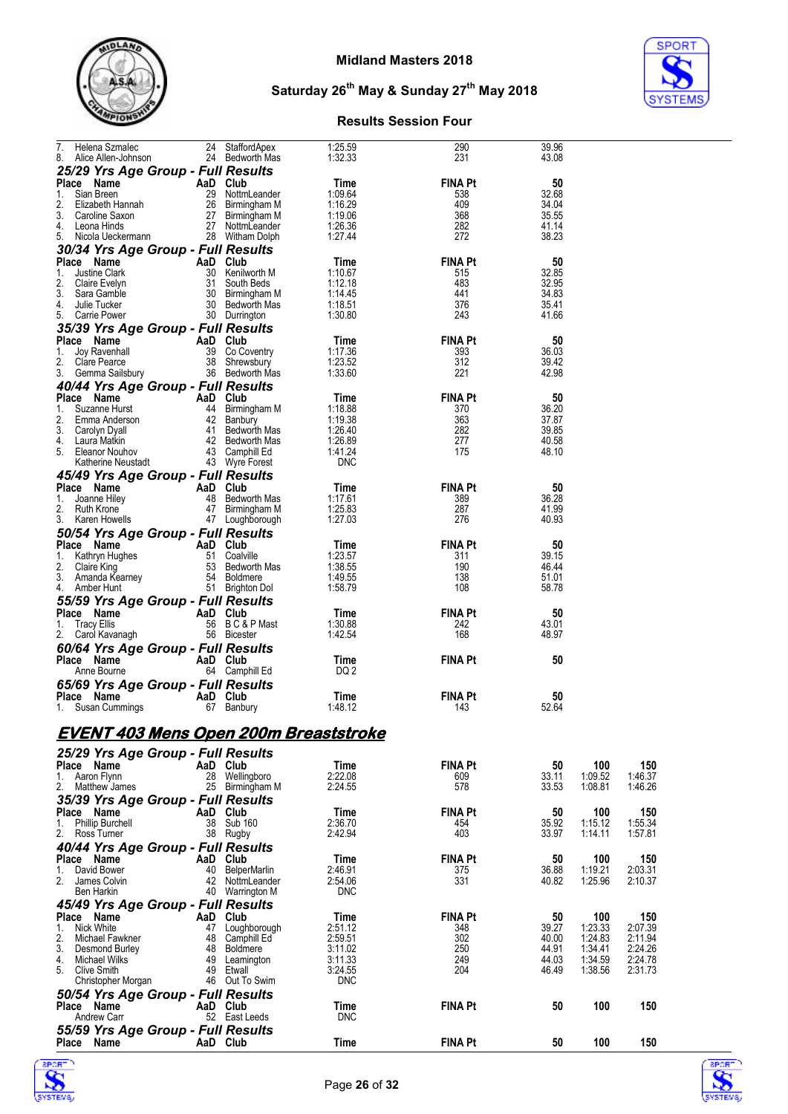



## **Results Session Four**

| Helena Szmalec<br>7.<br>8.<br>Alice Allen-Johnson        | 24             | StaffordApex<br>24 Bedworth Mas    | 1:25.59<br>1:32.33 | 290<br>231            | 39.96<br>43.08 |                |                    |
|----------------------------------------------------------|----------------|------------------------------------|--------------------|-----------------------|----------------|----------------|--------------------|
| 25/29 Yrs Age Group - Full Results                       |                |                                    |                    |                       |                |                |                    |
| Place Name                                               | AaD Club       |                                    | Time               | <b>FINA Pt</b>        | 50             |                |                    |
| Sian Breen<br>1.                                         |                | 29 NottmLeander                    | 1:09.64            | 538                   | 32.68          |                |                    |
| 2.<br>Elizabeth Hannah<br>3.                             |                | 26 Birmingham M<br>27 Birmingham M | 1:16.29<br>1:19.06 | 409<br>368            | 34.04<br>35.55 |                |                    |
| Caroline Saxon<br>4.<br>Leona Hinds                      |                | 27 NottmLeander                    | 1:26.36            | 282                   | 41.14          |                |                    |
| 5.<br>Nicola Ueckermann                                  |                | 28 Witham Dolph                    | 1:27.44            | 272                   | 38.23          |                |                    |
| 30/34 Yrs Age Group - Full Results                       |                |                                    |                    |                       |                |                |                    |
| Place Name<br>1.<br>Justine Clark                        | AaD Club<br>30 | Kenilworth M                       | Time<br>1:10.67    | <b>FINA Pt</b><br>515 | 50<br>32.85    |                |                    |
| 2.<br>Claire Evelyn                                      | 31             | South Beds                         | 1:12.18            | 483                   | 32.95          |                |                    |
| 3.<br>Sara Gamble                                        |                | 30 Birmingham M                    | 1:14.45            | 441                   | 34.83          |                |                    |
| 4.<br>Julie Tucker<br>5.<br>Carrie Power                 |                | 30 Bedworth Mas<br>30 Durrington   | 1:18.51<br>1:30.80 | 376<br>243            | 35.41<br>41.66 |                |                    |
| 35/39 Yrs Age Group - Full Results                       |                |                                    |                    |                       |                |                |                    |
| Place Name                                               | AaD Club       |                                    | Time               | <b>FINA Pt</b>        | 50             |                |                    |
| Joy Ravenhall<br>1.                                      |                | 39 Co Coventry                     | 1:17.36            | 393                   | 36.03          |                |                    |
| 2.<br>Clare Pearce<br>3. Gemma Sailsbury                 |                | 38 Shrewsbury<br>36 Bedworth Mas   | 1:23.52<br>1:33.60 | 312<br>221            | 39.42<br>42.98 |                |                    |
| 40/44 Yrs Age Group - Full Results                       |                |                                    |                    |                       |                |                |                    |
| Place Name                                               | AaD Club       |                                    | Time               | <b>FINA Pt</b>        | 50             |                |                    |
| 1.<br>Suzanne Hurst                                      |                | 44 Birmingham M                    | 1:18.88            | 370                   | 36.20          |                |                    |
| 2.<br>Emma Anderson                                      |                | 42 Banbury                         | 1:19.38            | 363<br>282            | 37.87          |                |                    |
| 3.<br>Carolyn Dyall<br>4.<br>Laura Matkin                |                | 41 Bedworth Mas<br>42 Bedworth Mas | 1:26.40<br>1:26.89 | 277                   | 39.85<br>40.58 |                |                    |
| 5.<br>Eleanor Nouhov                                     |                | 43 Camphill Ed                     | 1:41.24            | 175                   | 48.10          |                |                    |
| Katherine Neustadt                                       |                | 43 Wyre Forest                     | <b>DNC</b>         |                       |                |                |                    |
| 45/49 Yrs Age Group - Full Results<br>Place Name         |                |                                    |                    |                       |                |                |                    |
| 1.<br>Joanne Hiley                                       | AaD Club<br>48 | Bedworth Mas                       | Time<br>1:17.61    | <b>FINA Pt</b><br>389 | 50<br>36.28    |                |                    |
| 2.<br>Ruth Krone                                         |                | 47 Birmingham M                    | 1:25.83            | 287                   | 41.99          |                |                    |
| 3.<br>Karen Howells                                      |                | 47 Loughborough                    | 1:27.03            | 276                   | 40.93          |                |                    |
| 50/54 Yrs Age Group - Full Results                       |                |                                    |                    |                       |                |                |                    |
| Place Name<br>Kathryn Hughes<br>1.                       | AaD Club       | 51 Coalville                       | Time<br>1:23.57    | <b>FINA Pt</b><br>311 | 50<br>39.15    |                |                    |
| 2.<br>Claire King                                        |                | 53 Bedworth Mas                    | 1:38.55            | 190                   | 46.44          |                |                    |
| 3.<br>Amanda Kearney                                     |                | 54 Boldmere                        | 1:49.55            | 138                   | 51.01          |                |                    |
| 4. Amber Hunt                                            |                | 51 Brighton Dol                    | 1:58.79            | 108                   | 58.78          |                |                    |
| 55/59 Yrs Age Group - Full Results<br>Place Name         | AaD Club       |                                    | Time               | <b>FINA Pt</b>        | 50             |                |                    |
| 1.<br>Tracy Ellis                                        |                | 56 BC&PMast                        | 1:30.88            | 242                   | 43.01          |                |                    |
| 2. Carol Kavanagh                                        |                | 56 Bicester                        | 1:42.54            | 168                   | 48.97          |                |                    |
| <b>60/64 Yrs Age Group - Full Results</b>                |                |                                    |                    |                       |                |                |                    |
| Place Name<br>Anne Bourne                                | AaD Club       | 64 Camphill Ed                     | Time<br>DQ 2       | <b>FINA Pt</b>        | 50             |                |                    |
| 65/69 Yrs Age Group - Full Results                       |                |                                    |                    |                       |                |                |                    |
| Place Name                                               |                | AaD Club                           |                    |                       |                |                |                    |
| 1. Susan Cummings                                        |                |                                    | Time               | <b>FINA Pt</b>        | 50             |                |                    |
|                                                          |                | 67 Banbury                         | 1:48.12            | 143                   | 52.64          |                |                    |
|                                                          |                |                                    |                    |                       |                |                |                    |
| <u>EVENT 403 Mens Open 200m Breaststroke</u>             |                |                                    |                    |                       |                |                |                    |
| 25/29 Yrs Age Group - Full Results                       |                |                                    |                    |                       |                |                |                    |
| Place Name                                               | AaD Club       |                                    | <b>Time</b>        | <b>FINA Pt</b>        | 50             | 100            | 150                |
| 1.<br>Aaron Flynn                                        | 28             | Wellingboro                        | 2:22.08            | 609                   | 33.11          | 1:09.52        | 1:46.37            |
| Matthew James<br>2.                                      | 25             | Birmingham M                       | 2:24.55            | 578                   | 33.53          | 1:08.81        | 1:46.26            |
| 35/39 Yrs Age Group - Full Results<br>Place Name         | AaD            | Club                               | <b>Time</b>        | <b>FINA Pt</b>        | 50             | 100            | 150                |
| Phillip Burchell<br>1.                                   | 38             | Sub 160                            | 2:36.70            | 454                   | 35.92          | 1:15.12        | 1:55.34            |
| 2.<br>Ross Tumer                                         |                | 38 Rugby                           | 2:42.94            | 403                   | 33.97          | 1:14.11        | 1:57.81            |
| 40/44 Yrs Age Group - Full Results                       |                |                                    |                    |                       |                |                |                    |
| Place Name<br>1.<br>David Bower                          | AaD<br>40      | Club<br>BelperMarlin               | Time<br>2:46.91    | <b>FINA Pt</b><br>375 | 50<br>36.88    | 100<br>1:19.21 | 150<br>2:03.31     |
| 2.<br>James Colvin                                       |                | 42 NottmLeander                    | 2:54.06            | 331                   | 40.82          | 1:25.96        | 2:10.37            |
| Ben Harkin                                               |                | 40 Warrington M                    | <b>DNC</b>         |                       |                |                |                    |
| 45/49 Yrs Age Group - Full Results                       |                |                                    |                    |                       |                |                |                    |
| Place Name<br>1.<br>Nick White                           | AaD<br>47      | Club<br>Loughborough               | Time<br>2:51.12    | <b>FINA Pt</b><br>348 | 50<br>39.27    | 100<br>1:23.33 | 150<br>2:07.39     |
| 2.<br>Michael Fawkner                                    |                | 48 Camphill Ed                     | 2:59.51            | 302                   | 40.00          | 1:24.83        | 2:11.94            |
| 3.<br>Desmond Burley                                     |                | 48 Boldmere                        | 3:11.02            | 250                   | 44.91          | 1:34.41        | 2:24.26            |
| 4.<br>Michael Wilks<br>5.<br>Clive Smith                 | 49             | 49 Leamington<br>Etwall            | 3:11.33<br>3:24.55 | 249<br>204            | 44.03<br>46.49 | 1:34.59        | 2:24.78<br>2:31.73 |
| Christopher Morgan                                       |                | 46 Out To Swim                     | <b>DNC</b>         |                       |                | 1:38.56        |                    |
| 50/54 Yrs Age Group - Full Results                       |                |                                    |                    |                       |                |                |                    |
| Place Name                                               | AaD Club       |                                    | Time               | <b>FINA Pt</b>        | 50             | 100            | 150                |
| <b>Andrew Carr</b><br>55/59 Yrs Age Group - Full Results |                | 52 East Leeds                      | <b>DNC</b>         |                       |                |                |                    |



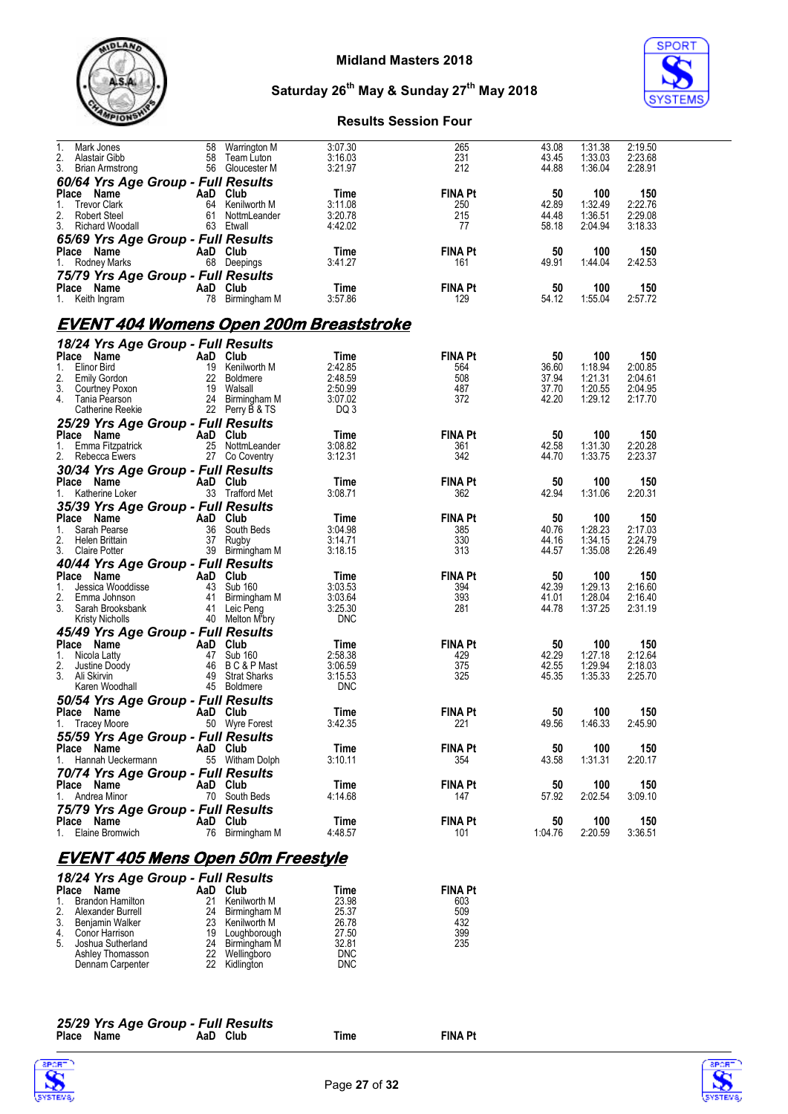



#### **Results Session Four**

| 1.<br>Mark Jones<br>2.<br>Alastair Gibb          | 58<br>58 | Warrington M<br>Team Luton         | 3:07.30<br>3:16.03    | 265<br>231            | 43.08<br>43.45 | 1:31.38<br>1:33.03 | 2:19.50<br>2:23.68 |
|--------------------------------------------------|----------|------------------------------------|-----------------------|-----------------------|----------------|--------------------|--------------------|
| 3.<br><b>Brian Armstrong</b>                     |          | 56 Gloucester M                    | 3:21.97               | 212                   | 44.88          | 1:36.04            | 2:28.91            |
| 60/64 Yrs Age Group - Full Results<br>Place Name | AaD      | Club                               | Time                  | <b>FINA Pt</b>        | 50             | 100                | 150                |
| 1.<br><b>Trevor Clark</b>                        | 64       | Kenilworth M                       | 3:11.08               | 250                   | 42.89          | 1:32.49            | 2:22.76            |
| 2.<br><b>Robert Steel</b>                        | 61       | NottmLeander                       | 3:20.78               | 215                   | 44.48          | 1:36.51            | 2:29.08            |
| 3.<br>Richard Woodall                            |          | 63 Etwall                          | 4:42.02               | 77                    | 58.18          | 2:04.94            | 3:18.33            |
| 65/69 Yrs Age Group - Full Results               |          |                                    |                       |                       |                |                    |                    |
| Place Name<br>Rodney Marks                       | AaD Club | 68 Deepings                        | Time<br>3:41.27       | <b>FINA Pt</b><br>161 | 50<br>49.91    | 100<br>1:44.04     | 150<br>2:42.53     |
| 1.                                               |          |                                    |                       |                       |                |                    |                    |
| 75/79 Yrs Age Group - Full Results<br>Place Name | AaD      | Club                               | Time                  | <b>FINA Pt</b>        | 50             | 100                | 150                |
| 1. Keith Ingram                                  | 78       | Birmingham M                       | 3:57.86               | 129                   | 54.12          | 1:55.04            | 2:57.72            |
|                                                  |          |                                    |                       |                       |                |                    |                    |
| <u>EVENT 404 Womens Open 200m Breaststroke</u>   |          |                                    |                       |                       |                |                    |                    |
| 18/24 Yrs Age Group - Full Results               |          |                                    |                       |                       |                |                    |                    |
| Place Name                                       |          | AaD Club                           | Time                  | <b>FINA Pt</b>        | 50             | 100                | 150                |
| 1.<br>Elinor Bird<br>2.<br><b>Emily Gordon</b>   | 22       | 19 Kenilworth M<br>Boldmere        | 2:42.85<br>2:48.59    | 564<br>508            | 36.60<br>37.94 | 1:18.94<br>1:21.31 | 2:00.85<br>2:04.61 |
| 3.<br>Courtney Poxon                             | 19       | Walsall                            | 2:50.99               | 487                   | 37.70          | 1:20.55            | 2:04.95            |
| 4.<br>Tania Pearson                              |          | 24 Birmingham M                    | 3:07.02               | 372                   | 42.20          | 1:29.12            | 2:17.70            |
| Catherine Reekie                                 |          | 22 Perry B & TS                    | DQ 3                  |                       |                |                    |                    |
| 25/29 Yrs Age Group - Full Results               |          |                                    |                       |                       |                |                    |                    |
| Place<br>Name<br>1.<br>Emma Fitzpatrick          |          | AaD Club<br>25 NottmLeander        | Time<br>3:08.82       | <b>FINA Pt</b><br>361 | 50<br>42.58    | 100<br>1:31.30     | 150<br>2:20.28     |
| 2.<br>Rebecca Ewers                              |          | 27 Co Coventry                     | 3:12.31               | 342                   | 44.70          | 1:33.75            | 2:23.37            |
| 30/34 Yrs Age Group - Full Results               |          |                                    |                       |                       |                |                    |                    |
| Place Name                                       | AaD Club |                                    | Time                  | <b>FINA Pt</b>        | 50             | 100                | 150                |
| 1. Katherine Loker                               |          | 33 Trafford Met                    | 3:08.71               | 362                   | 42.94          | 1:31.06            | 2:20.31            |
| 35/39 Yrs Age Group - Full Results               |          |                                    |                       |                       |                |                    |                    |
| Place Name                                       | AaD Club |                                    | Time                  | <b>FINA Pt</b>        | 50             | 100                | 150                |
| 1.<br>Sarah Pearse<br>2.<br>Helen Brittain       | 36<br>37 | South Beds<br>Rugby                | 3:04.98<br>3:14.71    | 385<br>330            | 40.76<br>44.16 | 1:28.23<br>1:34.15 | 2:17.03<br>2:24.79 |
| 3.<br><b>Claire Potter</b>                       |          | 39 Birmingham M                    | 3:18.15               | 313                   | 44.57          | 1:35.08            | 2:26.49            |
| 40/44 Yrs Age Group - Full Results               |          |                                    |                       |                       |                |                    |                    |
| Place Name                                       |          | AaD Club                           | Time                  | <b>FINA Pt</b>        | 50             | 100                | 150                |
| Jessica Wooddisse<br>1.                          |          | 43 Sub 160                         | 3:03.53               | 394                   | 42.39          | 1:29.13            | 2:16.60            |
| 2.<br>Emma Johnson<br>3.<br>Sarah Brooksbank     | 41       | Birmingham M<br>41 Leic Peng       | 3:03.64<br>3:25.30    | 393<br>281            | 41.01<br>44.78 | 1:28.04<br>1:37.25 | 2:16.40<br>2:31.19 |
| Kristy Nicholls                                  |          | 40 Melton M'bry                    | <b>DNC</b>            |                       |                |                    |                    |
| 45/49 Yrs Age Group - Full Results               |          |                                    |                       |                       |                |                    |                    |
| Place Name                                       | AaD Club |                                    | Time                  | <b>FINA Pt</b>        | 50             | 100                | 150                |
| 1.<br>Nicola Latty                               |          | 47 Sub 160                         | 2:58.38               | 429                   | 42.29          | 1:27.18            | 2:12.64            |
| 2.<br>Justine Doody                              |          | 46 BC&PMast                        | 3:06.59               | 375                   | 42.55          | 1:29.94            | 2:18.03            |
| 3. Ali Skirvin<br>Karen Woodhall                 | 49       | <b>Strat Sharks</b><br>45 Boldmere | 3:15.53<br><b>DNC</b> | 325                   | 45.35          | 1:35.33            | 2:25.70            |
| 50/54 Yrs Age Group - Full Results               |          |                                    |                       |                       |                |                    |                    |
| Place Name                                       |          | AaD Club                           | Time                  | <b>FINA Pt</b>        | 50             | 100                | 150                |
| 1. Tracey Moore                                  | 50       | <b>Wyre Forest</b>                 | 3:42.35               | 221                   | 49.56          | 1:46.33            | 2:45.90            |
| 55/59 Yrs Age Group - Full Results               |          |                                    |                       |                       |                |                    |                    |
| Place Name                                       |          | AaD Club                           | Time                  | FINA Pt               | 50             | 100                | 150                |
| Hannah Ueckermann<br>1.                          |          | 55 Witham Dolph                    | 3:10.11               | 354                   | 43.58          | 1:31.31            | 2:20.17            |
| 70/74 Yrs Age Group - Full Results<br>Place Name |          | AaD Club                           | Time                  | <b>FINA Pt</b>        | 50             | 100                | 150                |
| 1. Andrea Minor                                  |          | 70 South Beds                      | 4:14.68               | 147                   | 57.92          | 2:02.54            | 3:09.10            |
| 75/79 Yrs Age Group - Full Results               |          |                                    |                       |                       |                |                    |                    |
| Place Name                                       |          | AaD Club                           | Time                  | <b>FINA Pt</b>        | 50             | 100                | 150                |
| 1. Elaine Bromwich                               |          | 76 Birmingham M                    | 4:48.57               | 101                   | 1:04.76        | 2:20.59            | 3:36.51            |
|                                                  |          |                                    |                       |                       |                |                    |                    |
| FVFNT 405 Mens Onen 50m Freestyle                |          |                                    |                       |                       |                |                    |                    |

#### **EVENT 405 Mens Open 50m Freestyle** *18/24 Yrs Age Group - Full Results*

| $10/2$ and $113$ $\overline{)}$ by $\overline{)}$ by $\overline{)}$ and $\overline{)}$ by $\overline{)}$ |                                                                                                                     |  |                                                                                                                                      |                |  |  |  |  |
|----------------------------------------------------------------------------------------------------------|---------------------------------------------------------------------------------------------------------------------|--|--------------------------------------------------------------------------------------------------------------------------------------|----------------|--|--|--|--|
|                                                                                                          |                                                                                                                     |  | Time                                                                                                                                 | <b>FINA Pt</b> |  |  |  |  |
|                                                                                                          | 21                                                                                                                  |  | 23.98                                                                                                                                | 603            |  |  |  |  |
|                                                                                                          |                                                                                                                     |  | 25.37                                                                                                                                | 509            |  |  |  |  |
|                                                                                                          |                                                                                                                     |  | 26.78                                                                                                                                | 432            |  |  |  |  |
|                                                                                                          |                                                                                                                     |  | 27.50                                                                                                                                | 399            |  |  |  |  |
|                                                                                                          |                                                                                                                     |  | 32.81                                                                                                                                | 235            |  |  |  |  |
| Ashley Thomasson                                                                                         | 22                                                                                                                  |  | <b>DNC</b>                                                                                                                           |                |  |  |  |  |
| Dennam Carpenter                                                                                         |                                                                                                                     |  |                                                                                                                                      |                |  |  |  |  |
|                                                                                                          | Place Name<br>Brandon Hamilton<br>Alexander Burrell<br>3. Benjamin Walker<br>4. Conor Harrison<br>Joshua Sutherland |  | AaD Club<br>Kenilworth M<br>24 Birmingham M<br>23 Kenilworth M<br>19 Loughborough<br>24 Birmingham M<br>Wellingboro<br>22 Kidlington | <b>DNC</b>     |  |  |  |  |





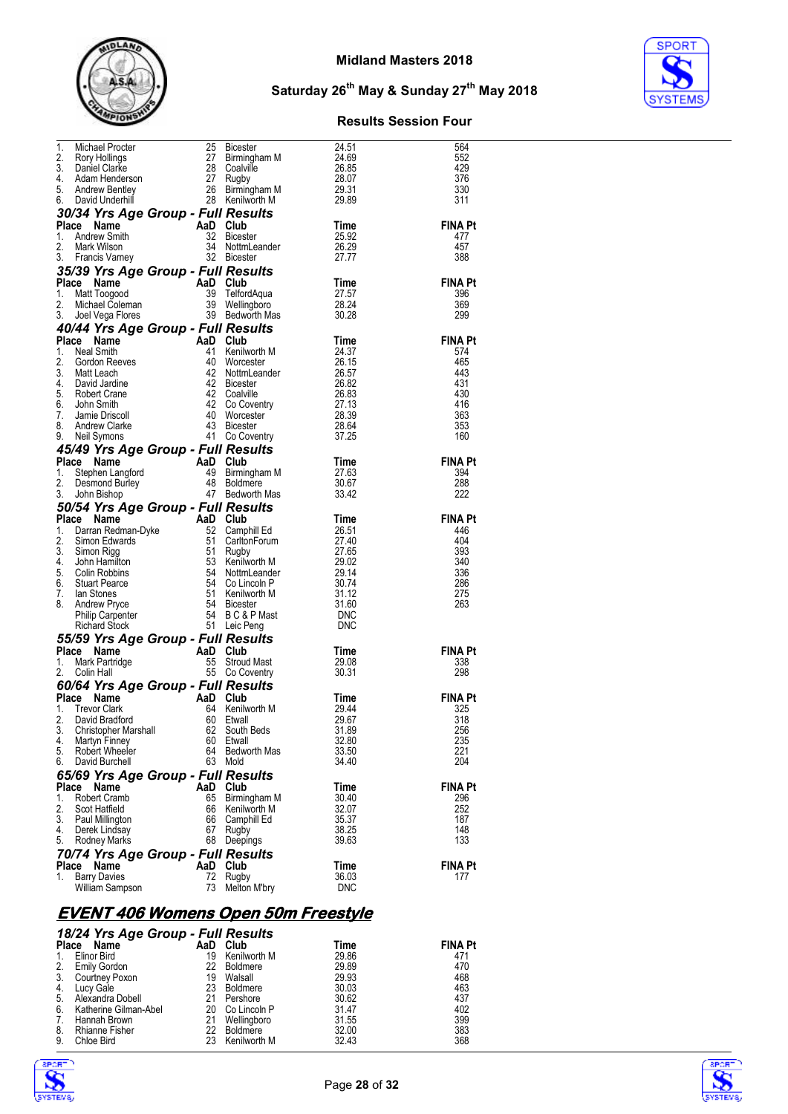



#### **Results Session Four**

|              | $\begin{tabular}{l c c c c c} \hline 1. & Michael Procter & $\color{red}25$ Bicester & $\color{red}24.51$ \\ \hline 2. & Roy Hollings & $\color{red}27$ Birmingham M & $\color{red}24.69$ \\ \hline 3. & Daniel Carke & $\color{red}28$ Coalville & $\color{red}26.85$ \\ \hline 4. & Adam Henderson & $\color{red}27$ Rugby & $\color{red}26.87$ \\ \hline 5. & Andrew Bentley & $\color{red}28$ Birmingham M & $\color{red}29.31$ \\ \hline 6. & David Underhill & $\color{red}28$ Keniworth M & $\color$ |          |                               |                        | 564                   |
|--------------|-------------------------------------------------------------------------------------------------------------------------------------------------------------------------------------------------------------------------------------------------------------------------------------------------------------------------------------------------------------------------------------------------------------------------------------------------------------------------------------------------------------|----------|-------------------------------|------------------------|-----------------------|
|              |                                                                                                                                                                                                                                                                                                                                                                                                                                                                                                             |          |                               |                        | 552                   |
|              |                                                                                                                                                                                                                                                                                                                                                                                                                                                                                                             |          |                               |                        | 429<br>376            |
|              |                                                                                                                                                                                                                                                                                                                                                                                                                                                                                                             |          |                               |                        | 330                   |
|              |                                                                                                                                                                                                                                                                                                                                                                                                                                                                                                             |          |                               |                        | 311                   |
|              |                                                                                                                                                                                                                                                                                                                                                                                                                                                                                                             |          |                               |                        |                       |
|              | Place Name<br>1. Andrew Smith<br>2. Mark Wilson<br>3. Francis Varney<br>3. Prancis Varney<br>3. Prancis Varney<br>3. Prancis Varney<br>3. Prancis Varney<br>3. Prancis Varney<br>3. Prancis Varney<br>3. Prancis Varney<br>3. Prancis Varney<br>3. Pra                                                                                                                                                                                                                                                      |          |                               | Time<br>25.92<br>26.29 | <b>FINA Pt</b>        |
|              |                                                                                                                                                                                                                                                                                                                                                                                                                                                                                                             |          |                               |                        | 477                   |
|              |                                                                                                                                                                                                                                                                                                                                                                                                                                                                                                             |          | 34 NottmLeander               |                        | 457                   |
|              |                                                                                                                                                                                                                                                                                                                                                                                                                                                                                                             |          |                               | 27.77                  | 388                   |
|              | 35/39 Yrs Age Group - Full Results<br>Place Name                                                                                                                                                                                                                                                                                                                                                                                                                                                            |          |                               |                        | <b>FINA Pt</b>        |
| 1.           |                                                                                                                                                                                                                                                                                                                                                                                                                                                                                                             |          |                               | Time<br>27.57<br>28.24 | 396                   |
| 2.           |                                                                                                                                                                                                                                                                                                                                                                                                                                                                                                             |          |                               |                        | 369                   |
| 3.           | Comment of the Mattropool Club<br>Mattrogood 30 TelfordAqua<br>Michael Coleman 39 Wellingboro<br>Joel Vega Flores 39 Bedworth Mas                                                                                                                                                                                                                                                                                                                                                                           |          |                               | -30.28                 | 299                   |
|              | 40/44 Yrs Age Group - Full Results                                                                                                                                                                                                                                                                                                                                                                                                                                                                          |          |                               |                        |                       |
|              |                                                                                                                                                                                                                                                                                                                                                                                                                                                                                                             |          |                               |                        | <b>FINA Pt</b>        |
|              |                                                                                                                                                                                                                                                                                                                                                                                                                                                                                                             |          |                               |                        | 574                   |
|              |                                                                                                                                                                                                                                                                                                                                                                                                                                                                                                             |          |                               |                        | 465<br>443            |
|              |                                                                                                                                                                                                                                                                                                                                                                                                                                                                                                             |          |                               |                        | 431                   |
|              |                                                                                                                                                                                                                                                                                                                                                                                                                                                                                                             |          |                               |                        | 430                   |
|              |                                                                                                                                                                                                                                                                                                                                                                                                                                                                                                             |          |                               |                        | 416                   |
|              |                                                                                                                                                                                                                                                                                                                                                                                                                                                                                                             |          |                               |                        | 363<br>353            |
|              |                                                                                                                                                                                                                                                                                                                                                                                                                                                                                                             |          |                               |                        | 160                   |
|              | <b>Place Name AaD Club</b><br>1. Neal Smith $^{24}$ Club Time<br>1. Neal Smith $^{24}$ Club $^{24}$ Club $^{24}$ Club $^{24}$ Club $^{24}$ Club $^{24}$ Club $^{24}$ Club $^{24}$ Club $^{24}$ Club $^{24}$ Club $^{24}$ Club $^{24}$ Club $^{24}$ C<br><sub>9. Neil Symons</sub><br><b>45/49 Yrs Age Group - Full Results</b><br>AaD Club                                                                                                                                                                  |          |                               |                        |                       |
|              | Compared to the Manne Company<br>Stephen Langford 49 Birmingham M 27.63<br>Desmond Burley 48 Boldmere 30.67<br>John Bishop 47 Bedworth Mas 33.42                                                                                                                                                                                                                                                                                                                                                            |          |                               |                        | <b>FINA Pt</b>        |
| 1.           |                                                                                                                                                                                                                                                                                                                                                                                                                                                                                                             |          |                               |                        | 394                   |
| 2.           |                                                                                                                                                                                                                                                                                                                                                                                                                                                                                                             |          |                               |                        | 288                   |
| 3.           |                                                                                                                                                                                                                                                                                                                                                                                                                                                                                                             |          |                               |                        | 222                   |
|              | 3. John Bishop<br><b>50/54 Yrs Age Group - Full Results</b><br><b>Frace Name Divide S2 Camphill Ed</b><br>1. Darran Redman-Dyke<br>2. Simon Edwards<br>3. Simon Rigg 51 Carlton Form<br>4. John Hamilton<br>53 Kenilworth M 29.02<br>4. John Hamilton<br>                                                                                                                                                                                                                                                   |          |                               |                        |                       |
|              |                                                                                                                                                                                                                                                                                                                                                                                                                                                                                                             |          |                               |                        | <b>FINA Pt</b><br>446 |
|              |                                                                                                                                                                                                                                                                                                                                                                                                                                                                                                             |          |                               |                        | 404                   |
|              |                                                                                                                                                                                                                                                                                                                                                                                                                                                                                                             |          |                               |                        | 393                   |
|              |                                                                                                                                                                                                                                                                                                                                                                                                                                                                                                             |          |                               |                        | 340                   |
|              |                                                                                                                                                                                                                                                                                                                                                                                                                                                                                                             |          |                               |                        | 336                   |
|              |                                                                                                                                                                                                                                                                                                                                                                                                                                                                                                             |          |                               |                        | 286<br>275            |
|              |                                                                                                                                                                                                                                                                                                                                                                                                                                                                                                             |          |                               |                        | 263                   |
|              |                                                                                                                                                                                                                                                                                                                                                                                                                                                                                                             |          |                               |                        |                       |
|              |                                                                                                                                                                                                                                                                                                                                                                                                                                                                                                             |          |                               |                        |                       |
|              | 8. Anton Carpenter<br>Richard Stock<br>55/59 Yrs Age Group - Full Results<br>Place Name AaD Club<br>55 Stroud Mast<br>55 Stroud Mast<br>55 Co Coventry                                                                                                                                                                                                                                                                                                                                                      |          |                               |                        |                       |
|              |                                                                                                                                                                                                                                                                                                                                                                                                                                                                                                             |          |                               | Time                   | <b>FINA Pt</b>        |
|              |                                                                                                                                                                                                                                                                                                                                                                                                                                                                                                             |          |                               | 29.08<br>30.31         | 338<br>298            |
|              | 60/64 Yrs Age Group - Full Results                                                                                                                                                                                                                                                                                                                                                                                                                                                                          |          |                               |                        |                       |
|              | Place Name                                                                                                                                                                                                                                                                                                                                                                                                                                                                                                  |          |                               |                        | <b>FINA Pt</b>        |
| 1.           | Compared to the Marine Company of the Marine Compared to the Marine Compared to the Marine Compared to the Marine Compared to the Marine Compared to the Marine Compared to the Marine Compared to Section 20.67<br>Compared to<br>Trevor Clark                                                                                                                                                                                                                                                             |          |                               |                        | 325                   |
| 2.           |                                                                                                                                                                                                                                                                                                                                                                                                                                                                                                             |          |                               |                        | 318                   |
| 3.           |                                                                                                                                                                                                                                                                                                                                                                                                                                                                                                             |          |                               |                        | 256                   |
| 4.<br>5.     | Martyn Finney                                                                                                                                                                                                                                                                                                                                                                                                                                                                                               | 60<br>64 | Etwall<br><b>Bedworth Mas</b> | 32.80                  | 235<br>221            |
| 6.           | Robert Wheeler<br>David Burchell                                                                                                                                                                                                                                                                                                                                                                                                                                                                            | 63       | Mold                          | 33.50<br>34.40         | 204                   |
|              | 65/69 Yrs Age Group - Full Results                                                                                                                                                                                                                                                                                                                                                                                                                                                                          |          |                               |                        |                       |
| Place        | Name                                                                                                                                                                                                                                                                                                                                                                                                                                                                                                        | AaD      | Club                          | Time                   | FINA Pt               |
| 1.           | Robert Cramb                                                                                                                                                                                                                                                                                                                                                                                                                                                                                                | 65       | Birmingham M                  | 30.40                  | 296                   |
| 2.           | Scot Hatfield                                                                                                                                                                                                                                                                                                                                                                                                                                                                                               | 66       | Kenilworth M                  | 32.07                  | 252                   |
| 3.           | Paul Millington                                                                                                                                                                                                                                                                                                                                                                                                                                                                                             | 66       | Camphill Ed                   | 35.37                  | 187                   |
| 4.<br>5.     | Derek Lindsay<br>Rodney Marks                                                                                                                                                                                                                                                                                                                                                                                                                                                                               | 67<br>68 | Rugby<br>Deepings             | 38.25<br>39.63         | 148<br>133            |
|              | 70/74 Yrs Age Group - Full Results                                                                                                                                                                                                                                                                                                                                                                                                                                                                          |          |                               |                        |                       |
| <b>Place</b> | Name                                                                                                                                                                                                                                                                                                                                                                                                                                                                                                        | AaD      | Club                          | Time                   | FINA Pt               |
| 1.           | <b>Barry Davies</b>                                                                                                                                                                                                                                                                                                                                                                                                                                                                                         | 72       | Rugby                         | 36.03                  | 177                   |
|              | William Sampson                                                                                                                                                                                                                                                                                                                                                                                                                                                                                             | 73       | Melton M'bry                  | <b>DNC</b>             |                       |
|              |                                                                                                                                                                                                                                                                                                                                                                                                                                                                                                             |          |                               |                        |                       |

# **EVENT 406 Womens Open 50m Freestyle**

|              | 18/24 Yrs Age Group - Full Results |     |              |       |                |
|--------------|------------------------------------|-----|--------------|-------|----------------|
| <b>Place</b> | Name                               | AaD | Club         | Time  | <b>FINA Pt</b> |
| 1.           | Elinor Bird                        | 19  | Kenilworth M | 29.86 | 471            |
| 2.           | Emily Gordon                       | 22  | Boldmere     | 29.89 | 470            |
| 3.           | Courtney Poxon                     | 19  | Walsall      | 29.93 | 468            |
| 4.           | Lucy Gale                          | 23  | Boldmere     | 30.03 | 463            |
| 5.           | Alexandra Dobell                   | 21  | Pershore     | 30.62 | 437            |
| 6.           | Katherine Gilman-Abel              | 20  | Co Lincoln P | 31.47 | 402            |
| 7.           | Hannah Brown                       | 21  | Wellingboro  | 31.55 | 399            |
| 8.           | <b>Rhianne Fisher</b>              | 22. | Boldmere     | 32.00 | 383            |
| 9.           | Chloe Bird                         | 23  | Kenilworth M | 32.43 | 368            |



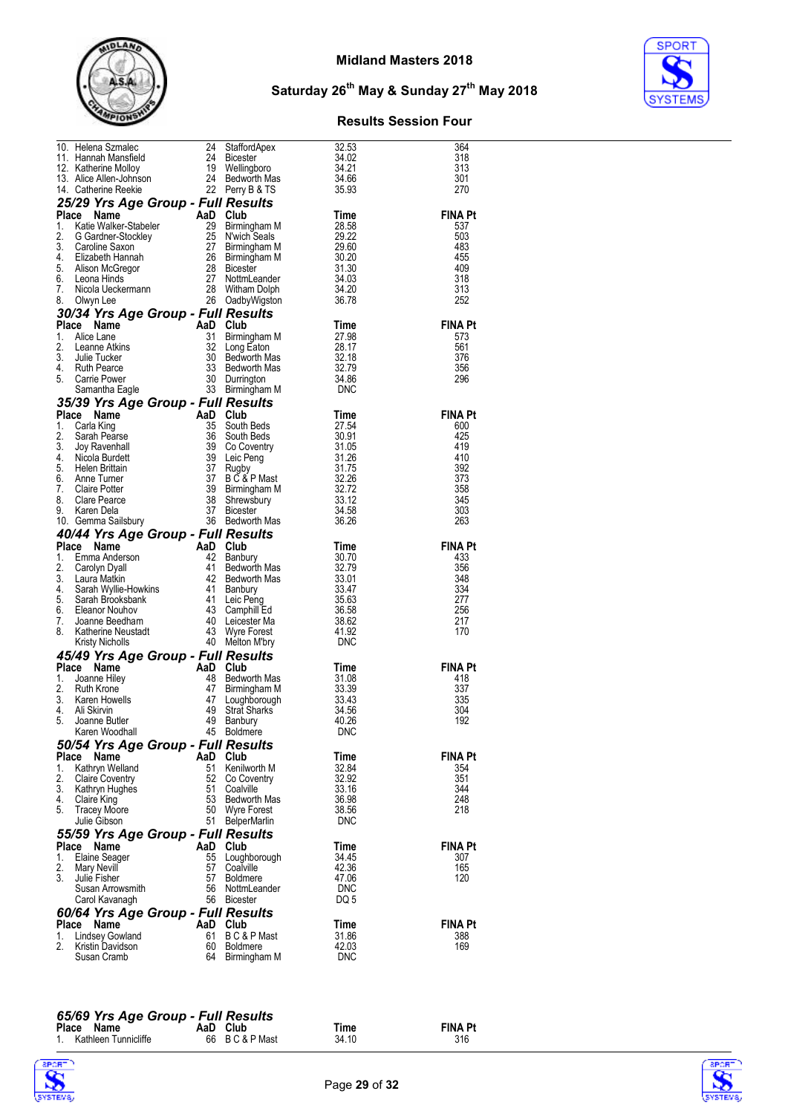



#### **Results Session Four**

|          | 10. Helena Szmalec 24 StaffordApex<br>11. Hannah Mansfield 24 Bicester<br>12. Katherine Molloy 19 Wellingboro<br>13. Alice Allen-Johnson 24 Bedworth Mas<br>14 Catherine Reekie 22 Perry B & TS                                                                                          |          |                                                                 | 32.53          | 364            |
|----------|------------------------------------------------------------------------------------------------------------------------------------------------------------------------------------------------------------------------------------------------------------------------------------------|----------|-----------------------------------------------------------------|----------------|----------------|
|          |                                                                                                                                                                                                                                                                                          |          |                                                                 | 34.02          | 318            |
|          |                                                                                                                                                                                                                                                                                          |          |                                                                 | 34.21          | 313            |
|          |                                                                                                                                                                                                                                                                                          |          |                                                                 | 34.66          | 301            |
|          |                                                                                                                                                                                                                                                                                          |          |                                                                 | 35.93          | 270            |
|          | 25/29 Yrs Age Group - Full Results                                                                                                                                                                                                                                                       |          |                                                                 |                |                |
|          | 25/29 Yrs Age Group - Full Nessure<br>1. Kate Walker-Stabeler<br>1. Kate Walker-Stabeler<br>2. G Gardner-Stockley<br>3. Caroline Saxon<br>3. Caroline Saxon<br>3. Caroline Saxon<br>4. Elizabeth Hannah<br>5. Alison McGregor<br>6. Leona Hinds<br>                                      |          |                                                                 | Time           | <b>FINA Pt</b> |
|          |                                                                                                                                                                                                                                                                                          |          |                                                                 | 28.58          | 537            |
|          |                                                                                                                                                                                                                                                                                          |          |                                                                 | 29.22          | 503            |
|          |                                                                                                                                                                                                                                                                                          |          |                                                                 | 29.60          | 483            |
|          |                                                                                                                                                                                                                                                                                          |          |                                                                 | 30.20          | 455            |
|          |                                                                                                                                                                                                                                                                                          |          |                                                                 | 31.30          | 409            |
|          |                                                                                                                                                                                                                                                                                          |          |                                                                 | 34.03          | 318            |
|          |                                                                                                                                                                                                                                                                                          |          |                                                                 | 34.20          | 313            |
|          |                                                                                                                                                                                                                                                                                          |          |                                                                 | 36.78          | 252            |
|          | 30/34 Yrs Age Group - Full Results                                                                                                                                                                                                                                                       |          |                                                                 |                |                |
|          | Place Name<br>Ce Name Add Club<br>Alice Lane Add Club<br>Alice Lane Atkins 32 Long Eaton<br>Julie Tucker 30 Bedworth Mas<br>Ruth Pearce 33 Bedworth Mas<br>Carrie Power 30 Durrington<br>Samantha Eagle 33 Bedworth Mas<br>32 Long Eaton<br>30 Bedworth Mas<br>                          |          |                                                                 | Time           | <b>FINA Pt</b> |
| 1.       |                                                                                                                                                                                                                                                                                          |          | <b>Club</b><br>Birmingham M<br>Long Eaton<br>Bedworth Mas       | 27.98          | 573            |
| 2.       |                                                                                                                                                                                                                                                                                          |          |                                                                 | 28.17          | 561            |
| 3.       |                                                                                                                                                                                                                                                                                          |          |                                                                 | -32.18         | 376            |
| 4.       |                                                                                                                                                                                                                                                                                          |          |                                                                 | 32.79          | 356            |
| 5.       |                                                                                                                                                                                                                                                                                          |          |                                                                 | 34.86          | 296            |
|          |                                                                                                                                                                                                                                                                                          |          |                                                                 | DNC            |                |
|          |                                                                                                                                                                                                                                                                                          |          |                                                                 |                |                |
|          | 35/39 Yrs Age Group - Full Results                                                                                                                                                                                                                                                       |          |                                                                 |                |                |
|          |                                                                                                                                                                                                                                                                                          |          |                                                                 | Time           | <b>FINA Pt</b> |
|          |                                                                                                                                                                                                                                                                                          |          | 35<br>36 South Beds<br>39 Co Coventry<br>29 Leic Peng           | 27.54          | 600            |
|          |                                                                                                                                                                                                                                                                                          |          |                                                                 | -30.91         | 425<br>419     |
|          |                                                                                                                                                                                                                                                                                          |          |                                                                 | 31.05<br>31.26 | 410            |
|          |                                                                                                                                                                                                                                                                                          |          |                                                                 | 31.75          | 392            |
|          |                                                                                                                                                                                                                                                                                          |          |                                                                 | 32.26          | 373            |
|          |                                                                                                                                                                                                                                                                                          |          |                                                                 | 32.72          | 358            |
|          |                                                                                                                                                                                                                                                                                          |          |                                                                 | 33.12          | 345            |
|          |                                                                                                                                                                                                                                                                                          |          | RUS B<br>B C & P Mast<br>Birmingham M<br>Shrewsbury<br>Bicester | 34.58          | 303            |
|          |                                                                                                                                                                                                                                                                                          |          |                                                                 | 36.26          | 263            |
|          | <b>Prince Name Can be all the Said Club</b><br><b>Place Name AaD Club</b><br>1. Carla King 35 South Beds<br>3. Joy Ravenhall 39 Co Coventry<br>4. Niciola Burdett 39 Leic Peng<br>6. Helen Brittain<br>6. Anne Turner 37 B C & P Mast<br>7. Claire Pot                                   |          |                                                                 |                |                |
|          | 40/44 Yrs Age Group - Full Results                                                                                                                                                                                                                                                       |          |                                                                 |                |                |
|          | Place Name                                                                                                                                                                                                                                                                               |          |                                                                 | Time           | <b>FINA Pt</b> |
| 1.       |                                                                                                                                                                                                                                                                                          |          |                                                                 | 30.70          | 433            |
| 2.       |                                                                                                                                                                                                                                                                                          |          |                                                                 | 32.79          | 356            |
| 3.       |                                                                                                                                                                                                                                                                                          |          |                                                                 | - 33.01        | 348            |
| 4.       |                                                                                                                                                                                                                                                                                          |          |                                                                 | 33.47          | 334            |
| 5.       |                                                                                                                                                                                                                                                                                          |          |                                                                 | 35.63          | 277            |
| 6.       |                                                                                                                                                                                                                                                                                          |          |                                                                 | 36.58          | 256            |
| 7.<br>8. |                                                                                                                                                                                                                                                                                          |          |                                                                 | 38.62<br>41.92 | 217<br>170     |
|          |                                                                                                                                                                                                                                                                                          |          |                                                                 | DNC            |                |
|          | <b>744 Yrs Age Group - Full Results<br/> Ce Name<br/> Emma Anderson<br/> Earn Anderson<br/> Carolyn Dyall<br/> Laura Matkin<br/> 141 Bedworth Mas<br/> Laura Matkin<br/> 141 Bedworth Mas<br/> Sarah Brooksbank<br/> 141 Leice Peng<br/> Seleanor Nouhov<br/> Joanne Beedham<br/> 14</b> |          |                                                                 |                |                |
|          | 45/49 Yrs Age Group - Full Results                                                                                                                                                                                                                                                       |          |                                                                 |                |                |
|          | Place Name                                                                                                                                                                                                                                                                               | AaD Club |                                                                 | Time           | <b>FINA Pt</b> |
| 1.       | Joanne Hiley                                                                                                                                                                                                                                                                             |          | Bedworth Mas                                                    | 31.08          | 418            |
| 2.       | <b>Ruth Krone</b>                                                                                                                                                                                                                                                                        | 47       | Birmingham M                                                    | 33.39          | 337            |
| 3.       | Karen Howells                                                                                                                                                                                                                                                                            |          | Loughborough                                                    | 33.43          | 335            |
| 4.       | Ali Skirvin                                                                                                                                                                                                                                                                              |          | <b>Strat Sharks</b>                                             | 34.56          | 304            |
| 5.       | $\begin{array}{r} \n\text{A} \text{AD} \\ 48 \\ 47 \\ 47 \\ 49 \\ 49 \\ 45\n\end{array}$<br>Joanne Butler                                                                                                                                                                                | 45       | Banbury<br>Boldmere                                             | 40.26          | 192            |
|          | Karen Woodhall                                                                                                                                                                                                                                                                           |          |                                                                 | <b>DNC</b>     |                |
|          | 50/54 Yrs Age Group - Full Results                                                                                                                                                                                                                                                       |          |                                                                 |                |                |
| Place    | Name                                                                                                                                                                                                                                                                                     | AaD      | Club                                                            | Time           | <b>FINA Pt</b> |
| 1.       | Kathryn Welland                                                                                                                                                                                                                                                                          | 51       | Kenilworth M                                                    | 32.84          | 354            |
| 2.       | Claire Coventry                                                                                                                                                                                                                                                                          | 52       | Co Coventry                                                     | 32.92          | 351            |
| 3.       | Kathryn Hughes                                                                                                                                                                                                                                                                           | 51       | Coalville                                                       | 33.16          | 344            |
| 4.       | Claire King                                                                                                                                                                                                                                                                              | 53       | Bedworth Mas                                                    | 36.98          | 248            |
| 5.       | <b>Tracey Moore</b>                                                                                                                                                                                                                                                                      | 50       | <b>Wyre Forest</b>                                              | 38.56          | 218            |
|          | Julie Gibson                                                                                                                                                                                                                                                                             | 51       | <b>BelperMarlin</b>                                             | <b>DNC</b>     |                |
|          | 55/59 Yrs Age Group - Full Results                                                                                                                                                                                                                                                       |          |                                                                 |                |                |
| Place    | Name                                                                                                                                                                                                                                                                                     | AaD⊣     | Club                                                            | Time           | <b>FINA Pt</b> |
| 1.       | Elaine Seager                                                                                                                                                                                                                                                                            | 55       | Loughborough                                                    | 34.45          | 307            |
| 2.       | <b>Mary Nevill</b>                                                                                                                                                                                                                                                                       | 57       | Coalville                                                       | 42.36          | 165            |
| 3.       | Julie Fisher                                                                                                                                                                                                                                                                             | 57       | <b>Boldmere</b>                                                 | 47.06          | 120            |
|          | Susan Arrowsmith                                                                                                                                                                                                                                                                         | 56       | NottmLeander                                                    | <b>DNC</b>     |                |
|          | Carol Kavanagh                                                                                                                                                                                                                                                                           | 56       | Bicester                                                        | DQ 5           |                |
|          | 60/64 Yrs Age Group - Full Results                                                                                                                                                                                                                                                       |          |                                                                 |                |                |
| Place    | Name                                                                                                                                                                                                                                                                                     | AaD      | Club                                                            | Time           | FINA Pt        |
| 1.       | <b>Lindsey Gowland</b>                                                                                                                                                                                                                                                                   | 61       | B C & P Mast                                                    | 31.86          | 388            |
| 2.       | Kristin Davidson                                                                                                                                                                                                                                                                         | 60       | <b>Boldmere</b>                                                 | 42.03          | 169            |
|          | Susan Cramb                                                                                                                                                                                                                                                                              | 64       | Birmingham M                                                    | <b>DNC</b>     |                |

#### *65/69 Yrs Age Group - Full Results*

| Place Name              | AaD Club    | Time  | <b>FINA Pt</b> |
|-------------------------|-------------|-------|----------------|
| 1. Kathleen Tunnicliffe | 66 BC&PMast | 34.10 | 316            |



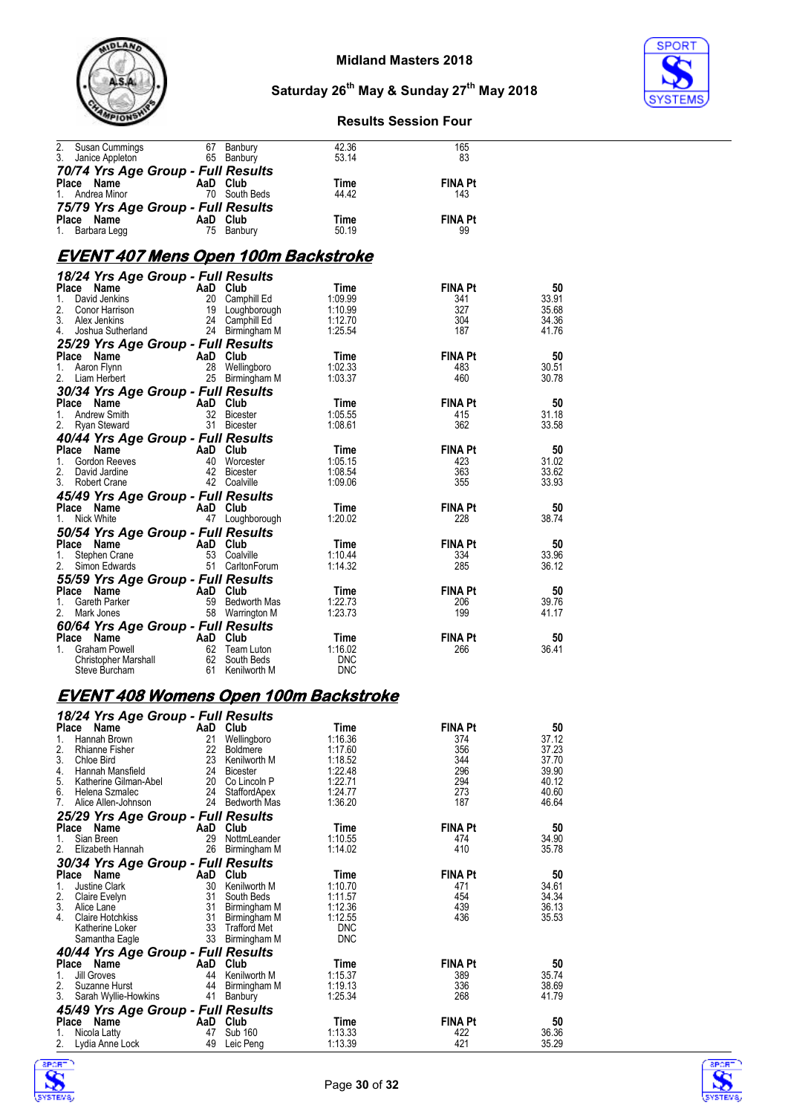



#### **Results Session Four**

| 2. Susan Cummings<br>2. Susan Cummings 67 Banbury<br>3. Janice Appleton 65 Banbury                                                                                           |                                       | 42.36              | 165                   |                |
|------------------------------------------------------------------------------------------------------------------------------------------------------------------------------|---------------------------------------|--------------------|-----------------------|----------------|
|                                                                                                                                                                              |                                       | 53.14              | 83                    |                |
| 70/74 Yrs Age Group - Full Results                                                                                                                                           |                                       |                    | <b>FINA Pt</b>        |                |
| <b>Place Name AaD Club</b><br>1. Andrea Minor 70 South Beds                                                                                                                  |                                       | Time<br>44.42      | 143                   |                |
| 75/79 Yrs Age Group - Full Results                                                                                                                                           |                                       |                    |                       |                |
| Place Name                                                                                                                                                                   | AaD Club<br>75 Banbury                | Time               | <b>FINA Pt</b>        |                |
| 1. Barbara Legg                                                                                                                                                              |                                       | 50.19              | 99                    |                |
|                                                                                                                                                                              |                                       |                    |                       |                |
| <u>EVENT 407 Mens Open 100m Backstroke</u>                                                                                                                                   |                                       |                    |                       |                |
| 18/24 Yrs Age Group - Full Results                                                                                                                                           |                                       |                    |                       |                |
| <b>Place Name AaD Club</b><br>1. David Jenkins 20 Camphill Ed<br>2. Conor Harrison 19 Loughborough<br>3. Alex Jenkins 24 Camphill Ed<br>4. Joshua Sutherland 24 Birmingham M |                                       | Time<br>1:09.99    | <b>FINA Pt</b><br>341 | 50<br>33.91    |
|                                                                                                                                                                              |                                       | 1:10.99            | 327                   | 35.68          |
|                                                                                                                                                                              |                                       | 1:12.70            | 304                   | 34.36          |
|                                                                                                                                                                              |                                       | 1:25.54            | 187                   | 41.76          |
| 25/29 Yrs Age Group - Full Results                                                                                                                                           |                                       |                    |                       |                |
|                                                                                                                                                                              |                                       | Time<br>1:02.33    | <b>FINA Pt</b><br>483 | 50<br>30.51    |
| <b>Place Name AaD Club</b><br>1. Aaron Flynn 28 Wellingboro<br>2. Liam Herbert 25 Birmingham M                                                                               |                                       | 1:03.37            | 460                   | 30.78          |
| 30/34 Yrs Age Group - Full Results                                                                                                                                           |                                       |                    |                       |                |
|                                                                                                                                                                              |                                       | Time               | <b>FINA Pt</b>        | 50             |
| <b>Place Name Care AaD Club</b><br>1. Andrew Smith Capaca 32 Bicester<br>2. Ryan Steward Capaca 31 Bicester                                                                  |                                       | 1:05.55            | 415                   | 31.18          |
|                                                                                                                                                                              |                                       | 1:08.61            | 362                   | 33.58          |
| 40/44 Yrs Age Group - Full Results                                                                                                                                           |                                       |                    |                       |                |
| Place Name<br>1. Gordon Reeves<br>2. David Jardine<br>3. Robert Crane<br>3. Robert Crane<br>2. Coalville                                                                     |                                       | Time<br>1:05.15    | <b>FINA Pt</b><br>423 | 50<br>31.02    |
|                                                                                                                                                                              |                                       | 1:08.54            | 363                   | 33.62          |
| 3. Robert Crane                                                                                                                                                              | 42 Coalville                          | 1:09.06            | 355                   | 33.93          |
| 45/49 Yrs Age Group - Full Results                                                                                                                                           |                                       |                    |                       |                |
| <b>Place Name Capacity And Club</b><br>1. Nick White <b>Capacity A</b> Loughborough                                                                                          |                                       | Time               | <b>FINA Pt</b>        | 50             |
|                                                                                                                                                                              |                                       | 1:20.02            | 228                   | 38.74          |
| 50/54 Yrs Age Group - Full Results                                                                                                                                           |                                       |                    |                       |                |
| Place Name<br>1.                                                                                                                                                             |                                       | Time<br>1:10.44    | <b>FINA Pt</b><br>334 | 50<br>33.96    |
| Compared to the Marine Contract Control Control Controller<br>Stephen Crane 53 Coalville<br>Simon Edwards 51 Carlton Forum<br>2. Simon Edwards                               |                                       | 1:14.32            | 285                   | 36.12          |
| 55/59 Yrs Age Group - Full Results                                                                                                                                           |                                       |                    |                       |                |
| Place Name<br>1. Gareth Parker<br>2. Mark Jones<br>2. Mark Jones<br>58 Warrington M                                                                                          |                                       | Time               | <b>FINA Pt</b>        | 50             |
|                                                                                                                                                                              |                                       | 1:22.73            | 206                   | 39.76          |
|                                                                                                                                                                              |                                       | 1:23.73            | 199                   | 41.17          |
| 60/64 Yrs Age Group - Full Results                                                                                                                                           |                                       |                    |                       |                |
|                                                                                                                                                                              |                                       | Time<br>1:16.02    | <b>FINA Pt</b><br>266 | 50<br>36.41    |
|                                                                                                                                                                              |                                       | <b>DNC</b>         |                       |                |
| Place Name<br>1. Graham Powell<br>1. Graham Powell<br>1. Graham Powell<br>1. Graham Powell<br>1. Graham 62 South Beds<br>Steve Burcham 61 Kenilworth M                       |                                       | <b>DNC</b>         |                       |                |
| <b>EVENT 408 Womens Open 100m Backstroke</b>                                                                                                                                 |                                       |                    |                       |                |
| 18/24 Yrs Age Group - Full Results                                                                                                                                           |                                       |                    |                       |                |
| Place Name AaD Club                                                                                                                                                          |                                       | Time               | FINA Pt               | 50             |
| 1.<br>Hannah Brown                                                                                                                                                           | 21<br>Wellingboro                     | 1:16.36            | 374                   | 37.12          |
| 2.<br><b>Rhianne Fisher</b>                                                                                                                                                  | 22<br><b>Boldmere</b>                 | 1:17.60            | 356                   | 37.23          |
| 3.<br>Chloe Bird<br>4.<br>Hannah Mansfield                                                                                                                                   | 23<br>Kenilworth M<br>24 Bicester     | 1:18.52<br>1:22.48 | 344<br>296            | 37.70<br>39.90 |
| 5.<br>Katherine Gilman-Abel                                                                                                                                                  | 20<br>Co Lincoln P                    | 1:22.71            | 294                   | 40.12          |
| 6.<br>Helena Szmalec                                                                                                                                                         | 24<br>StaffordApex                    | 1:24.77            | 273                   | 40.60          |
| Alice Allen-Johnson<br>7.                                                                                                                                                    | 24 Bedworth Mas                       | 1:36.20            | 187                   | 46.64          |
| 25/29 Yrs Age Group - Full Results                                                                                                                                           |                                       |                    |                       |                |
| Place Name                                                                                                                                                                   | AaD Club                              | Time               | <b>FINA Pt</b>        | 50             |
| Sian Breen<br>1.<br>2.<br>Elizabeth Hannah                                                                                                                                   | 29<br>NottmLeander<br>26 Birmingham M | 1:10.55<br>1:14.02 | 474<br>410            | 34.90<br>35.78 |
|                                                                                                                                                                              |                                       |                    |                       |                |

2. Elizabeth Hannah 26 Birmingham M 1:14.02 410 35.78

**Place Name 1. AaD Club 1.10.70 Time 1.10.70 FINA Pt 50**<br>1. Justine Clark 30 South M 1:10.70 471 34.61<br>2. Claire Evelyn 31 South Beds 1:11.57 454 34.34 3. Alice Lane 31 Birmingham M 1:12.36 439 36.13 4. Claire Hotchkiss 31 Birmingham M 1:12.55 436 35.53 Katherine Loker 33 Trafford Met DNC

**Place Name AaD Club Time FINA Pt 50**<br>1. Jill Groves 44 Kenilworth M 1:15.37 389 35.74 2. Suzanne Hurst 44 Birmingham M 1:19.13 336 38.69 3. Sarah Wyllie-Howkins 41 Banbury 1:25.34 268 41.79

**Place Name AaD Club Time FINA Pt 50**<br>1. Nicola Latty 47 Sub 160 41:13.33 422 422 36.36 2. Lydia Anne Lock 49 Leic Peng 1:13.39 421 35.29



*30/34 Yrs Age Group - Full Results*

*40/44 Yrs Age Group - Full Results*

*45/49 Yrs Age Group - Full Results*

Samantha Eagle 33 Birmingham M DNC

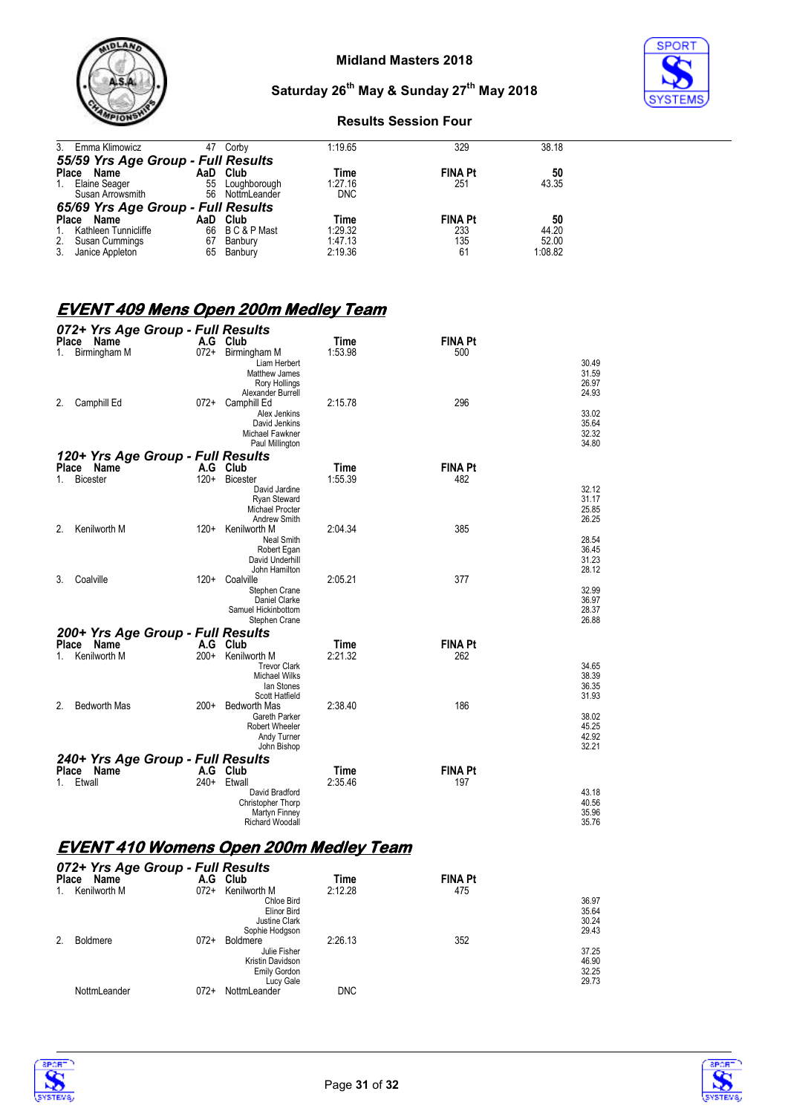

# **SPORT**

## **Saturday 26th May & Sunday 27th May 2018**

#### **Results Session Four**

|              | 3. Emma Klimowicz                  | 47 | Corby           | 1:19.65    | 329            | 38.18   |
|--------------|------------------------------------|----|-----------------|------------|----------------|---------|
|              | 55/59 Yrs Age Group - Full Results |    |                 |            |                |         |
|              | Place Name                         |    | AaD Club        | Time       | <b>FINA Pt</b> | 50      |
| $1_{\cdot}$  | Elaine Seager                      | 55 | Loughborough    | 1:27.16    | 251            | 43.35   |
|              | Susan Arrowsmith                   |    | 56 NottmLeander | <b>DNC</b> |                |         |
|              | 65/69 Yrs Age Group - Full Results |    |                 |            |                |         |
| <b>Place</b> | Name                               |    | AaD Club        | Time       | <b>FINA Pt</b> | 50      |
| 1.           | Kathleen Tunnicliffe               | 66 | B C & P Mast    | 1:29.32    | 233            | 44.20   |
|              | 2. Susan Cummings                  | 67 | Banbury         | 1:47.13    | 135            | 52.00   |
| 3.           | Janice Appleton                    | 65 | Banbury         | 2:19.36    | 61             | 1:08.82 |

#### **EVENT 409 Mens Open 200m Medley Team**

| Place<br>Name<br>Time<br><b>FINA Pt</b><br>$072+$<br>Birmingham M<br>Birmingham M<br>1:53.98<br>500<br>1.<br>30.49<br>Liam Herbert<br>31.59<br>Matthew James<br>26.97<br>Rory Hollings<br>24.93<br>Alexander Burrell<br>Camphill Ed<br>2:15.78<br>296<br>072+<br>Camphill Ed<br>2.<br>Alex Jenkins<br>David Jenkins<br>32.32<br>Michael Fawkner<br>34.80<br>Paul Millington<br>120+ Yrs Age Group - Full Results<br>Place Name<br>A.G<br>Time<br><b>FINA Pt</b><br>Club<br><b>Bicester</b><br>$120+$<br><b>Bicester</b><br>1:55.39<br>482<br>1.<br>32.12<br>David Jardine<br>31.17<br>Ryan Steward<br>25.85<br>Michael Procter<br>Andrew Smith<br>Kenilworth M<br>2.<br>$120+$<br>2:04.34<br>385<br>Kenilworth M<br><b>Neal Smith</b><br>36.45<br>Robert Egan<br>31.23<br>David Underhill<br>28.12<br>John Hamilton<br>377<br>2:05.21<br>3.<br>Coalville<br>120+ Coalville<br>Stephen Crane<br>Daniel Clarke<br>Samuel Hickinbottom<br>Stephen Crane<br>200+ Yrs Age Group - Full Results<br>Place Name<br>A.G Club<br>Time<br><b>FINA Pt</b> | 072+ Yrs Age Group - Full Results |                        |         |     |                |
|-----------------------------------------------------------------------------------------------------------------------------------------------------------------------------------------------------------------------------------------------------------------------------------------------------------------------------------------------------------------------------------------------------------------------------------------------------------------------------------------------------------------------------------------------------------------------------------------------------------------------------------------------------------------------------------------------------------------------------------------------------------------------------------------------------------------------------------------------------------------------------------------------------------------------------------------------------------------------------------------------------------------------------------------------|-----------------------------------|------------------------|---------|-----|----------------|
|                                                                                                                                                                                                                                                                                                                                                                                                                                                                                                                                                                                                                                                                                                                                                                                                                                                                                                                                                                                                                                               |                                   | A.G Club               |         |     |                |
|                                                                                                                                                                                                                                                                                                                                                                                                                                                                                                                                                                                                                                                                                                                                                                                                                                                                                                                                                                                                                                               |                                   |                        |         |     |                |
|                                                                                                                                                                                                                                                                                                                                                                                                                                                                                                                                                                                                                                                                                                                                                                                                                                                                                                                                                                                                                                               |                                   |                        |         |     |                |
|                                                                                                                                                                                                                                                                                                                                                                                                                                                                                                                                                                                                                                                                                                                                                                                                                                                                                                                                                                                                                                               |                                   |                        |         |     |                |
|                                                                                                                                                                                                                                                                                                                                                                                                                                                                                                                                                                                                                                                                                                                                                                                                                                                                                                                                                                                                                                               |                                   |                        |         |     |                |
|                                                                                                                                                                                                                                                                                                                                                                                                                                                                                                                                                                                                                                                                                                                                                                                                                                                                                                                                                                                                                                               |                                   |                        |         |     |                |
|                                                                                                                                                                                                                                                                                                                                                                                                                                                                                                                                                                                                                                                                                                                                                                                                                                                                                                                                                                                                                                               |                                   |                        |         |     | 33.02          |
|                                                                                                                                                                                                                                                                                                                                                                                                                                                                                                                                                                                                                                                                                                                                                                                                                                                                                                                                                                                                                                               |                                   |                        |         |     | 35.64          |
|                                                                                                                                                                                                                                                                                                                                                                                                                                                                                                                                                                                                                                                                                                                                                                                                                                                                                                                                                                                                                                               |                                   |                        |         |     |                |
|                                                                                                                                                                                                                                                                                                                                                                                                                                                                                                                                                                                                                                                                                                                                                                                                                                                                                                                                                                                                                                               |                                   |                        |         |     |                |
|                                                                                                                                                                                                                                                                                                                                                                                                                                                                                                                                                                                                                                                                                                                                                                                                                                                                                                                                                                                                                                               |                                   |                        |         |     |                |
|                                                                                                                                                                                                                                                                                                                                                                                                                                                                                                                                                                                                                                                                                                                                                                                                                                                                                                                                                                                                                                               |                                   |                        |         |     |                |
|                                                                                                                                                                                                                                                                                                                                                                                                                                                                                                                                                                                                                                                                                                                                                                                                                                                                                                                                                                                                                                               |                                   |                        |         |     |                |
|                                                                                                                                                                                                                                                                                                                                                                                                                                                                                                                                                                                                                                                                                                                                                                                                                                                                                                                                                                                                                                               |                                   |                        |         |     |                |
|                                                                                                                                                                                                                                                                                                                                                                                                                                                                                                                                                                                                                                                                                                                                                                                                                                                                                                                                                                                                                                               |                                   |                        |         |     |                |
|                                                                                                                                                                                                                                                                                                                                                                                                                                                                                                                                                                                                                                                                                                                                                                                                                                                                                                                                                                                                                                               |                                   |                        |         |     | 26.25          |
|                                                                                                                                                                                                                                                                                                                                                                                                                                                                                                                                                                                                                                                                                                                                                                                                                                                                                                                                                                                                                                               |                                   |                        |         |     |                |
|                                                                                                                                                                                                                                                                                                                                                                                                                                                                                                                                                                                                                                                                                                                                                                                                                                                                                                                                                                                                                                               |                                   |                        |         |     | 28.54          |
|                                                                                                                                                                                                                                                                                                                                                                                                                                                                                                                                                                                                                                                                                                                                                                                                                                                                                                                                                                                                                                               |                                   |                        |         |     |                |
|                                                                                                                                                                                                                                                                                                                                                                                                                                                                                                                                                                                                                                                                                                                                                                                                                                                                                                                                                                                                                                               |                                   |                        |         |     |                |
|                                                                                                                                                                                                                                                                                                                                                                                                                                                                                                                                                                                                                                                                                                                                                                                                                                                                                                                                                                                                                                               |                                   |                        |         |     |                |
|                                                                                                                                                                                                                                                                                                                                                                                                                                                                                                                                                                                                                                                                                                                                                                                                                                                                                                                                                                                                                                               |                                   |                        |         |     | 32.99          |
|                                                                                                                                                                                                                                                                                                                                                                                                                                                                                                                                                                                                                                                                                                                                                                                                                                                                                                                                                                                                                                               |                                   |                        |         |     | 36.97          |
|                                                                                                                                                                                                                                                                                                                                                                                                                                                                                                                                                                                                                                                                                                                                                                                                                                                                                                                                                                                                                                               |                                   |                        |         |     | 28.37          |
|                                                                                                                                                                                                                                                                                                                                                                                                                                                                                                                                                                                                                                                                                                                                                                                                                                                                                                                                                                                                                                               |                                   |                        |         |     | 26.88          |
|                                                                                                                                                                                                                                                                                                                                                                                                                                                                                                                                                                                                                                                                                                                                                                                                                                                                                                                                                                                                                                               |                                   |                        |         |     |                |
|                                                                                                                                                                                                                                                                                                                                                                                                                                                                                                                                                                                                                                                                                                                                                                                                                                                                                                                                                                                                                                               |                                   |                        |         |     |                |
|                                                                                                                                                                                                                                                                                                                                                                                                                                                                                                                                                                                                                                                                                                                                                                                                                                                                                                                                                                                                                                               | Kenilworth M<br>1.                | $200+$<br>Kenilworth M | 2:21.32 | 262 |                |
| <b>Trevor Clark</b>                                                                                                                                                                                                                                                                                                                                                                                                                                                                                                                                                                                                                                                                                                                                                                                                                                                                                                                                                                                                                           |                                   |                        |         |     | 34.65          |
| Michael Wilks                                                                                                                                                                                                                                                                                                                                                                                                                                                                                                                                                                                                                                                                                                                                                                                                                                                                                                                                                                                                                                 |                                   |                        |         |     | 38.39<br>36.35 |
| lan Stones<br>Scott Hatfield                                                                                                                                                                                                                                                                                                                                                                                                                                                                                                                                                                                                                                                                                                                                                                                                                                                                                                                                                                                                                  |                                   |                        |         |     | 31.93          |
| <b>Bedworth Mas</b><br>186<br>2.<br><b>Bedworth Mas</b><br>2:38.40<br>$200+$                                                                                                                                                                                                                                                                                                                                                                                                                                                                                                                                                                                                                                                                                                                                                                                                                                                                                                                                                                  |                                   |                        |         |     |                |
| Gareth Parker                                                                                                                                                                                                                                                                                                                                                                                                                                                                                                                                                                                                                                                                                                                                                                                                                                                                                                                                                                                                                                 |                                   |                        |         |     | 38.02          |
| <b>Robert Wheeler</b>                                                                                                                                                                                                                                                                                                                                                                                                                                                                                                                                                                                                                                                                                                                                                                                                                                                                                                                                                                                                                         |                                   |                        |         |     | 45.25          |
| Andy Turner                                                                                                                                                                                                                                                                                                                                                                                                                                                                                                                                                                                                                                                                                                                                                                                                                                                                                                                                                                                                                                   |                                   |                        |         |     | 42.92          |
| John Bishop                                                                                                                                                                                                                                                                                                                                                                                                                                                                                                                                                                                                                                                                                                                                                                                                                                                                                                                                                                                                                                   |                                   |                        |         |     | 32.21          |
| 240+ Yrs Age Group - Full Results                                                                                                                                                                                                                                                                                                                                                                                                                                                                                                                                                                                                                                                                                                                                                                                                                                                                                                                                                                                                             |                                   |                        |         |     |                |
| Place Name<br><b>FINA Pt</b><br>A.G<br>Club<br>Time                                                                                                                                                                                                                                                                                                                                                                                                                                                                                                                                                                                                                                                                                                                                                                                                                                                                                                                                                                                           |                                   |                        |         |     |                |
| $240+$<br>2:35.46<br>Etwall<br>Etwall<br>197<br>1.                                                                                                                                                                                                                                                                                                                                                                                                                                                                                                                                                                                                                                                                                                                                                                                                                                                                                                                                                                                            |                                   |                        |         |     |                |
| David Bradford                                                                                                                                                                                                                                                                                                                                                                                                                                                                                                                                                                                                                                                                                                                                                                                                                                                                                                                                                                                                                                |                                   |                        |         |     | 43.18<br>40.56 |
| Christopher Thorp<br>Martyn Finney                                                                                                                                                                                                                                                                                                                                                                                                                                                                                                                                                                                                                                                                                                                                                                                                                                                                                                                                                                                                            |                                   |                        |         |     | 35.96          |
| <b>Richard Woodall</b>                                                                                                                                                                                                                                                                                                                                                                                                                                                                                                                                                                                                                                                                                                                                                                                                                                                                                                                                                                                                                        |                                   |                        |         |     | 35.76          |

## **EVENT 410 Womens Open 200m Medley Team**

| <b>Place</b> | 072+ Yrs Age Group - Full Results<br>Name | A.G    | Club                | Time<br>2:12.28 | <b>FINA Pt</b><br>475 |       |
|--------------|-------------------------------------------|--------|---------------------|-----------------|-----------------------|-------|
| 1.           | Kenilworth M                              | $072+$ | Kenilworth M        |                 |                       |       |
|              |                                           |        | Chloe Bird          |                 |                       | 36.97 |
|              |                                           |        | Elinor Bird         |                 |                       | 35.64 |
|              |                                           |        | Justine Clark       |                 |                       | 30.24 |
|              |                                           |        | Sophie Hodgson      |                 |                       | 29.43 |
| 2.           | <b>Boldmere</b>                           | $072+$ | <b>Boldmere</b>     | 2:26.13         | 352                   |       |
|              |                                           |        | Julie Fisher        |                 |                       | 37.25 |
|              |                                           |        | Kristin Davidson    |                 |                       | 46.90 |
|              |                                           |        | <b>Emily Gordon</b> |                 |                       | 32.25 |
|              |                                           |        | Lucy Gale           |                 |                       | 29.73 |
|              | NottmLeander                              | 072+   | NottmLeander        | <b>DNC</b>      |                       |       |